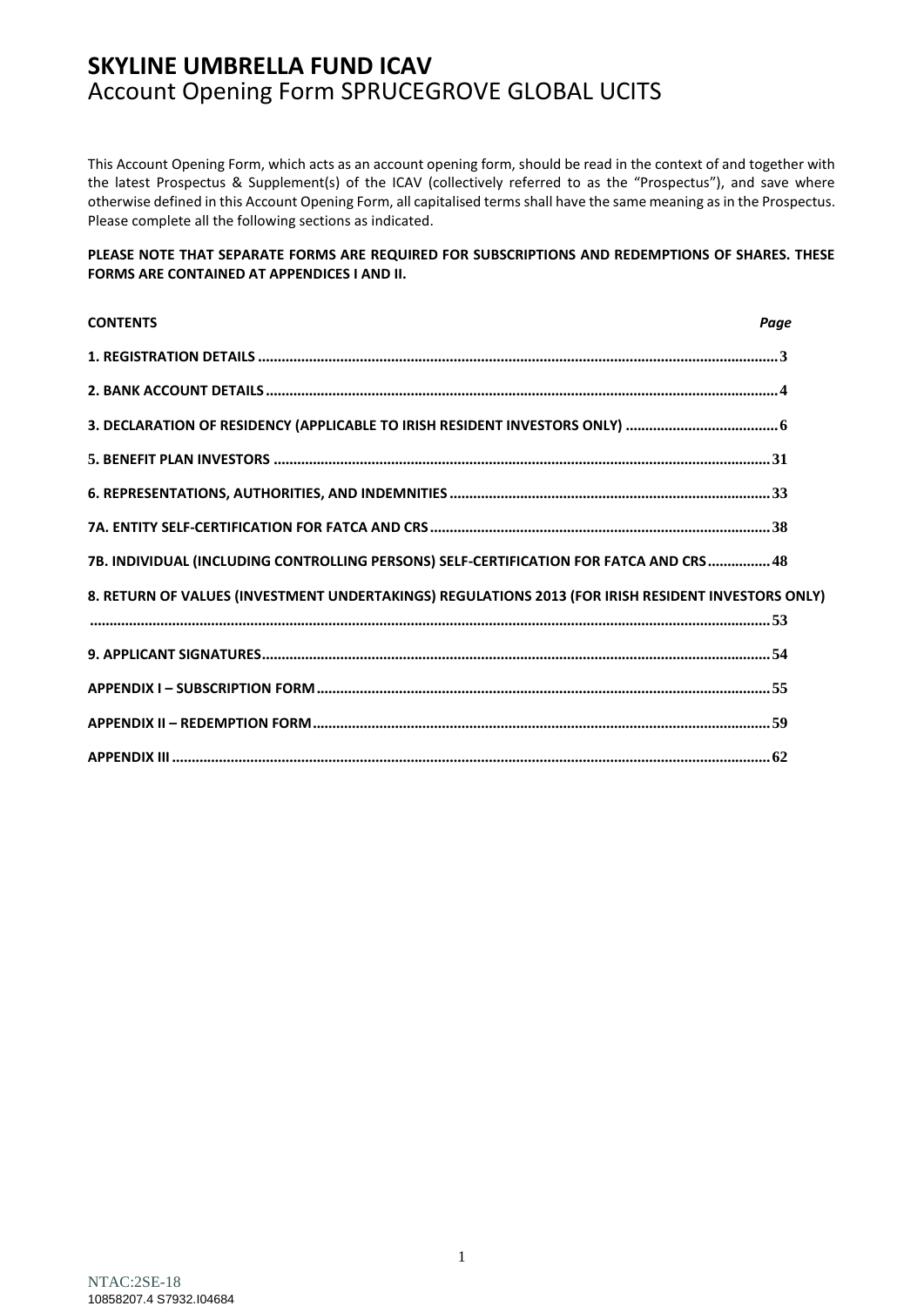This Account Opening Form, which acts as an account opening form, should be read in the context of and together with the latest Prospectus & Supplement(s) of the ICAV (collectively referred to as the "Prospectus"), and save where otherwise defined in this Account Opening Form, all capitalised terms shall have the same meaning as in the Prospectus. Please complete all the following sections as indicated.

#### **PLEASE NOTE THAT SEPARATE FORMS ARE REQUIRED FOR SUBSCRIPTIONS AND REDEMPTIONS OF SHARES. THESE FORMS ARE CONTAINED AT APPENDICES I AND II.**

| <b>CONTENTS</b>                                                                                    | Page |
|----------------------------------------------------------------------------------------------------|------|
|                                                                                                    |      |
|                                                                                                    |      |
|                                                                                                    |      |
|                                                                                                    |      |
|                                                                                                    |      |
|                                                                                                    |      |
| 7B. INDIVIDUAL (INCLUDING CONTROLLING PERSONS) SELF-CERTIFICATION FOR FATCA AND CRS 48             |      |
| 8. RETURN OF VALUES (INVESTMENT UNDERTAKINGS) REGULATIONS 2013 (FOR IRISH RESIDENT INVESTORS ONLY) |      |
|                                                                                                    |      |
|                                                                                                    |      |
|                                                                                                    |      |
|                                                                                                    |      |
|                                                                                                    |      |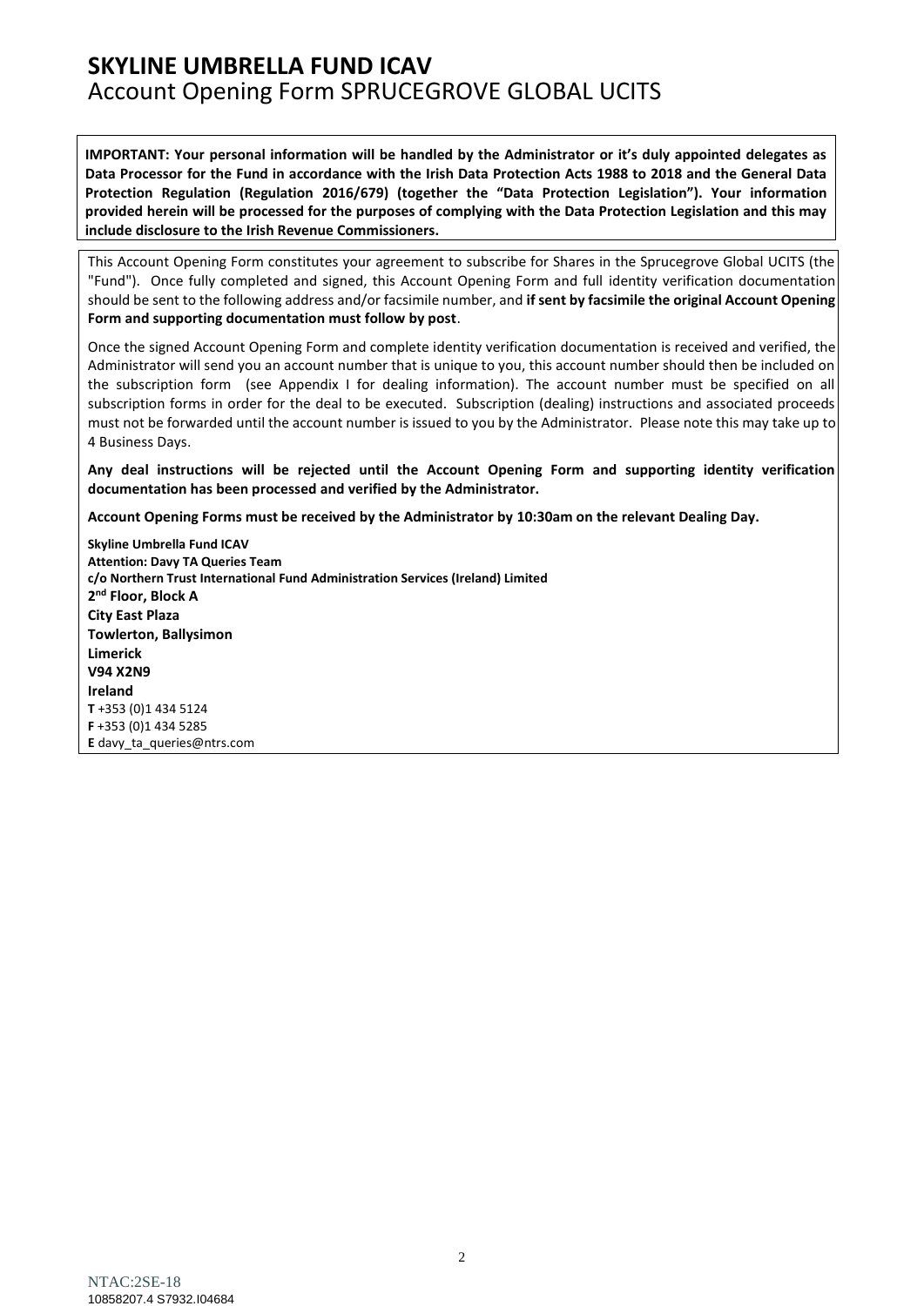**IMPORTANT: Your personal information will be handled by the Administrator or it's duly appointed delegates as Data Processor for the Fund in accordance with the Irish Data Protection Acts 1988 to 2018 and the General Data Protection Regulation (Regulation 2016/679) (together the "Data Protection Legislation"). Your information provided herein will be processed for the purposes of complying with the Data Protection Legislation and this may include disclosure to the Irish Revenue Commissioners.**

This Account Opening Form constitutes your agreement to subscribe for Shares in the Sprucegrove Global UCITS (the "Fund"). Once fully completed and signed, this Account Opening Form and full identity verification documentation should be sent to the following address and/or facsimile number, and **if sent by facsimile the original Account Opening Form and supporting documentation must follow by post**.

Once the signed Account Opening Form and complete identity verification documentation is received and verified, the Administrator will send you an account number that is unique to you, this account number should then be included on the subscription form (see Appendix I for dealing information). The account number must be specified on all subscription forms in order for the deal to be executed. Subscription (dealing) instructions and associated proceeds must not be forwarded until the account number is issued to you by the Administrator. Please note this may take up to 4 Business Days.

**Any deal instructions will be rejected until the Account Opening Form and supporting identity verification documentation has been processed and verified by the Administrator.**

**Account Opening Forms must be received by the Administrator by 10:30am on the relevant Dealing Day.**

**Skyline Umbrella Fund ICAV Attention: Davy TA Queries Team c/o Northern Trust International Fund Administration Services (Ireland) Limited 2 nd Floor, Block A City East Plaza Towlerton, Ballysimon Limerick V94 X2N9 Ireland T** +353 (0)1 434 5124 **F** +353 (0)1 434 5285 **E** [davy\\_ta\\_queries@ntrs.com](mailto:davy_ta_queries@ntrs.com)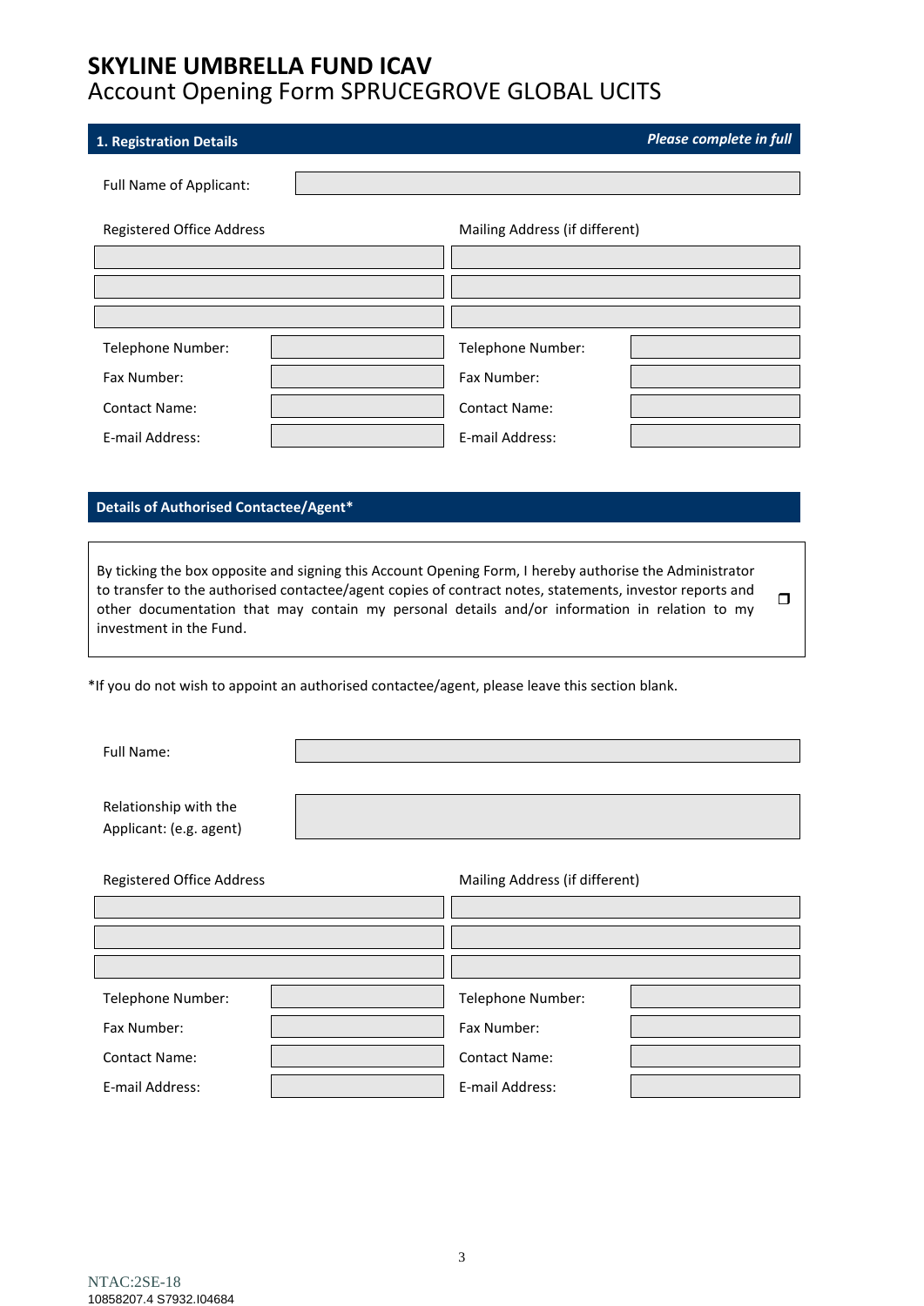<span id="page-2-0"></span>

| 1. Registration Details                                                                        |                                                                                                                                                                                                                                                                                                                      |                                | Please complete in full |  |
|------------------------------------------------------------------------------------------------|----------------------------------------------------------------------------------------------------------------------------------------------------------------------------------------------------------------------------------------------------------------------------------------------------------------------|--------------------------------|-------------------------|--|
| Full Name of Applicant:                                                                        |                                                                                                                                                                                                                                                                                                                      |                                |                         |  |
|                                                                                                |                                                                                                                                                                                                                                                                                                                      |                                |                         |  |
| Registered Office Address                                                                      |                                                                                                                                                                                                                                                                                                                      | Mailing Address (if different) |                         |  |
|                                                                                                |                                                                                                                                                                                                                                                                                                                      |                                |                         |  |
|                                                                                                |                                                                                                                                                                                                                                                                                                                      |                                |                         |  |
| Telephone Number:                                                                              |                                                                                                                                                                                                                                                                                                                      | Telephone Number:              |                         |  |
| Fax Number:                                                                                    |                                                                                                                                                                                                                                                                                                                      | Fax Number:                    |                         |  |
| <b>Contact Name:</b>                                                                           |                                                                                                                                                                                                                                                                                                                      | <b>Contact Name:</b>           |                         |  |
| E-mail Address:                                                                                |                                                                                                                                                                                                                                                                                                                      | E-mail Address:                |                         |  |
|                                                                                                |                                                                                                                                                                                                                                                                                                                      |                                |                         |  |
| Details of Authorised Contactee/Agent*                                                         |                                                                                                                                                                                                                                                                                                                      |                                |                         |  |
|                                                                                                |                                                                                                                                                                                                                                                                                                                      |                                |                         |  |
| investment in the Fund.                                                                        | By ticking the box opposite and signing this Account Opening Form, I hereby authorise the Administrator<br>to transfer to the authorised contactee/agent copies of contract notes, statements, investor reports and<br>other documentation that may contain my personal details and/or information in relation to my |                                | $\Box$                  |  |
| *If you do not wish to appoint an authorised contactee/agent, please leave this section blank. |                                                                                                                                                                                                                                                                                                                      |                                |                         |  |
| Full Name:                                                                                     |                                                                                                                                                                                                                                                                                                                      |                                |                         |  |
|                                                                                                |                                                                                                                                                                                                                                                                                                                      |                                |                         |  |
| Relationship with the                                                                          |                                                                                                                                                                                                                                                                                                                      |                                |                         |  |
| Applicant: (e.g. agent)                                                                        |                                                                                                                                                                                                                                                                                                                      |                                |                         |  |
| <b>Registered Office Address</b>                                                               |                                                                                                                                                                                                                                                                                                                      | Mailing Address (if different) |                         |  |
|                                                                                                |                                                                                                                                                                                                                                                                                                                      |                                |                         |  |
|                                                                                                |                                                                                                                                                                                                                                                                                                                      |                                |                         |  |
|                                                                                                |                                                                                                                                                                                                                                                                                                                      |                                |                         |  |
| Telephone Number:                                                                              |                                                                                                                                                                                                                                                                                                                      | Telephone Number:              |                         |  |
| Fax Number:                                                                                    |                                                                                                                                                                                                                                                                                                                      | Fax Number:                    |                         |  |
| <b>Contact Name:</b>                                                                           |                                                                                                                                                                                                                                                                                                                      | <b>Contact Name:</b>           |                         |  |
| E-mail Address:                                                                                |                                                                                                                                                                                                                                                                                                                      | E-mail Address:                |                         |  |
|                                                                                                |                                                                                                                                                                                                                                                                                                                      |                                |                         |  |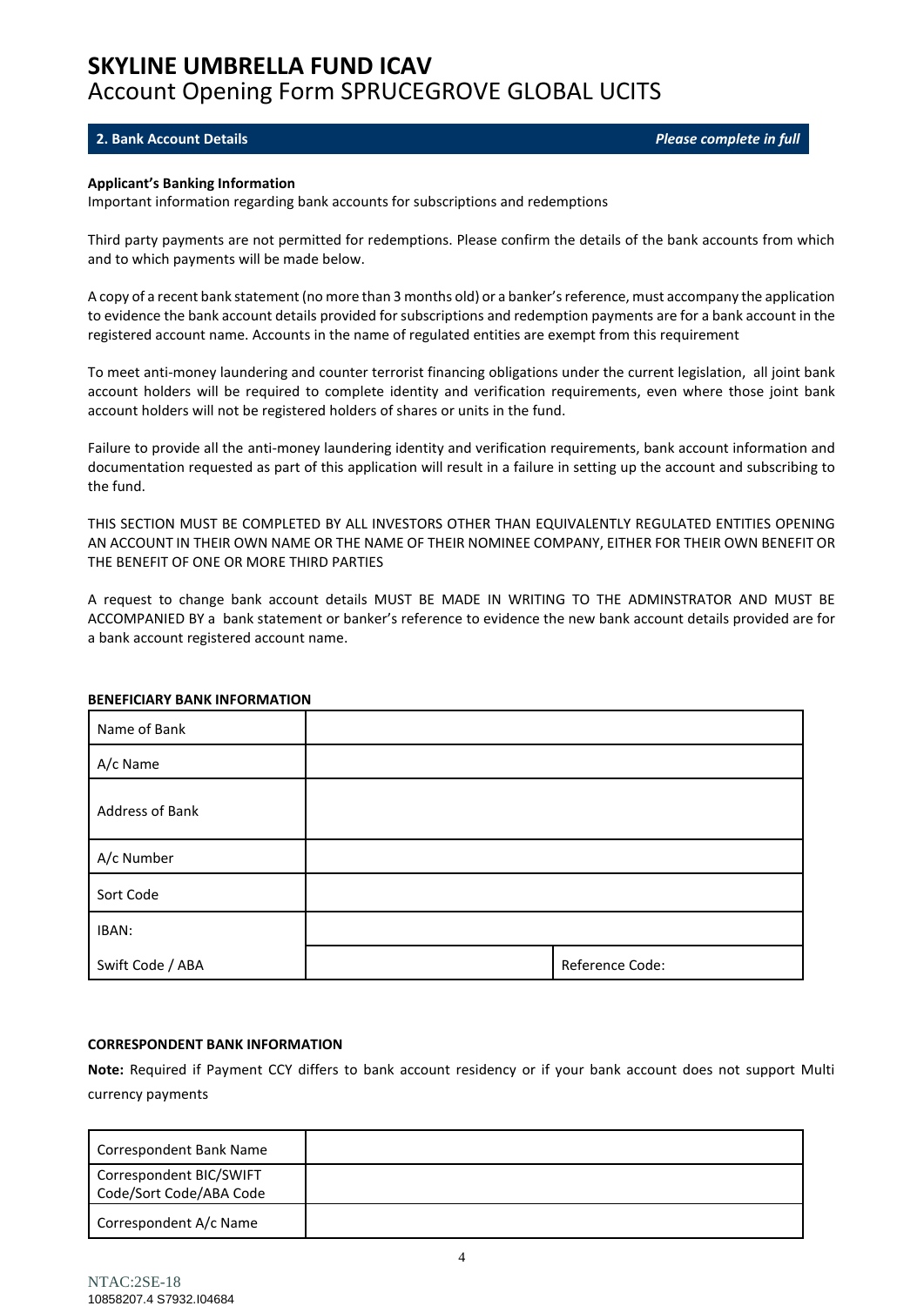#### <span id="page-3-0"></span>**2. Bank Account Details** *Please complete in full*

#### **Applicant's Banking Information**

Important information regarding bank accounts for subscriptions and redemptions

Third party payments are not permitted for redemptions. Please confirm the details of the bank accounts from which and to which payments will be made below.

A copy of a recent bank statement (no more than 3 months old) or a banker's reference, must accompany the application to evidence the bank account details provided for subscriptions and redemption payments are for a bank account in the registered account name. Accounts in the name of regulated entities are exempt from this requirement

To meet anti-money laundering and counter terrorist financing obligations under the current legislation, all joint bank account holders will be required to complete identity and verification requirements, even where those joint bank account holders will not be registered holders of shares or units in the fund.

Failure to provide all the anti-money laundering identity and verification requirements, bank account information and documentation requested as part of this application will result in a failure in setting up the account and subscribing to the fund.

THIS SECTION MUST BE COMPLETED BY ALL INVESTORS OTHER THAN EQUIVALENTLY REGULATED ENTITIES OPENING AN ACCOUNT IN THEIR OWN NAME OR THE NAME OF THEIR NOMINEE COMPANY, EITHER FOR THEIR OWN BENEFIT OR THE BENEFIT OF ONE OR MORE THIRD PARTIES

A request to change bank account details MUST BE MADE IN WRITING TO THE ADMINSTRATOR AND MUST BE ACCOMPANIED BY a bank statement or banker's reference to evidence the new bank account details provided are for a bank account registered account name.

| Name of Bank     |                 |
|------------------|-----------------|
| A/c Name         |                 |
| Address of Bank  |                 |
| A/c Number       |                 |
| Sort Code        |                 |
| IBAN:            |                 |
| Swift Code / ABA | Reference Code: |

#### **BENEFICIARY BANK INFORMATION**

#### **CORRESPONDENT BANK INFORMATION**

**Note:** Required if Payment CCY differs to bank account residency or if your bank account does not support Multi currency payments

| Correspondent Bank Name                            |  |
|----------------------------------------------------|--|
| Correspondent BIC/SWIFT<br>Code/Sort Code/ABA Code |  |
| Correspondent A/c Name                             |  |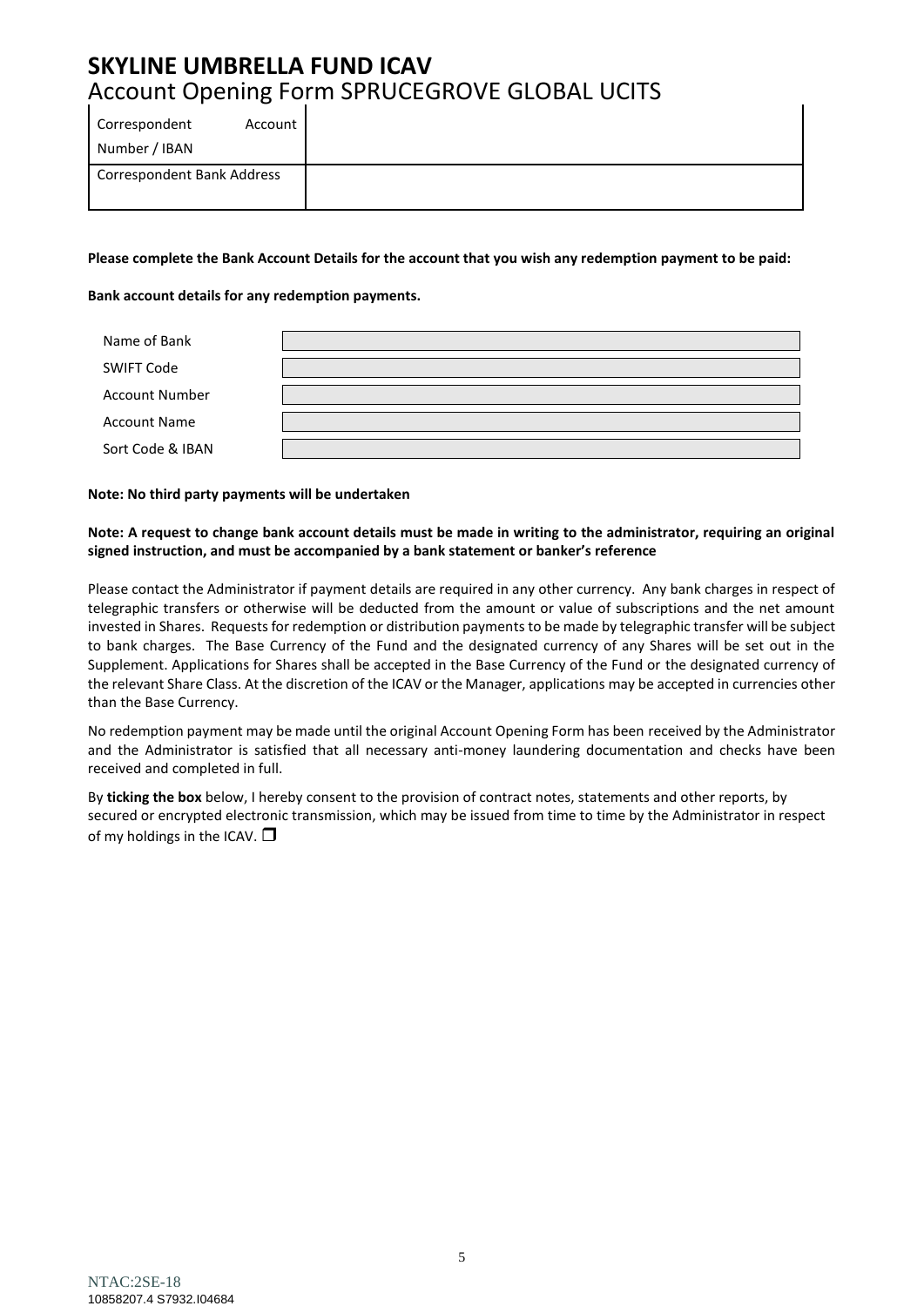**Please complete the Bank Account Details for the account that you wish any redemption payment to be paid:**

**Bank account details for any redemption payments.**

| Name of Bank          |  |
|-----------------------|--|
|                       |  |
| <b>SWIFT Code</b>     |  |
|                       |  |
| <b>Account Number</b> |  |
|                       |  |
| <b>Account Name</b>   |  |
|                       |  |
| Sort Code & IBAN      |  |
|                       |  |

#### **Note: No third party payments will be undertaken**

#### **Note: A request to change bank account details must be made in writing to the administrator, requiring an original signed instruction, and must be accompanied by a bank statement or banker's reference**

Please contact the Administrator if payment details are required in any other currency. Any bank charges in respect of telegraphic transfers or otherwise will be deducted from the amount or value of subscriptions and the net amount invested in Shares. Requests for redemption or distribution payments to be made by telegraphic transfer will be subject to bank charges. The Base Currency of the Fund and the designated currency of any Shares will be set out in the Supplement. Applications for Shares shall be accepted in the Base Currency of the Fund or the designated currency of the relevant Share Class. At the discretion of the ICAV or the Manager, applications may be accepted in currencies other than the Base Currency.

No redemption payment may be made until the original Account Opening Form has been received by the Administrator and the Administrator is satisfied that all necessary anti-money laundering documentation and checks have been received and completed in full.

By **ticking the box** below, I hereby consent to the provision of contract notes, statements and other reports, by secured or encrypted electronic transmission, which may be issued from time to time by the Administrator in respect of my holdings in the ICAV.  $\Box$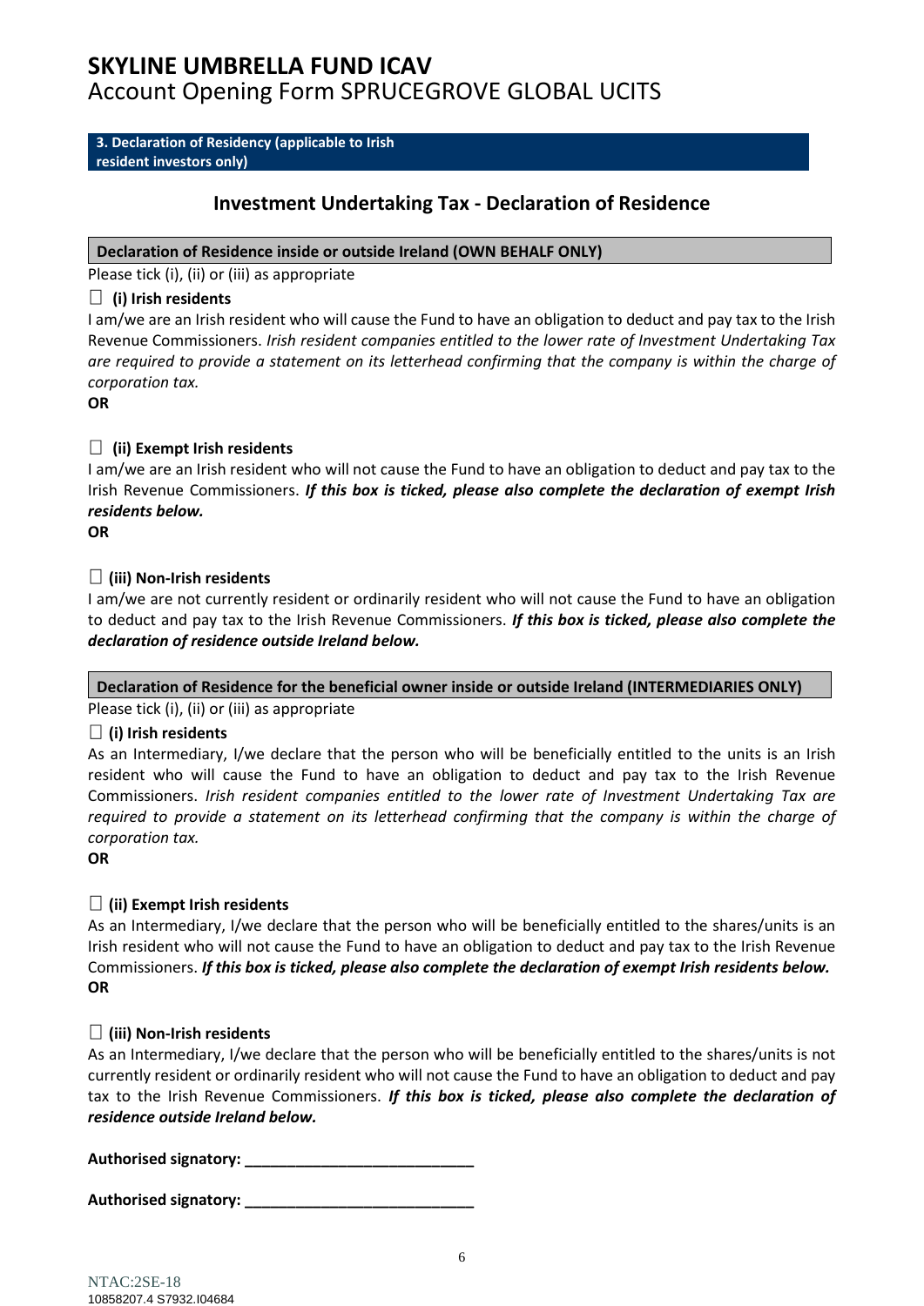<span id="page-5-0"></span>**3. Declaration of Residency (applicable to Irish resident investors only)**

## **Investment Undertaking Tax - Declaration of Residence**

### **Declaration of Residence inside or outside Ireland (OWN BEHALF ONLY)**

Please tick (i), (ii) or (iii) as appropriate

### **(i) Irish residents**

I am/we are an Irish resident who will cause the Fund to have an obligation to deduct and pay tax to the Irish Revenue Commissioners. *Irish resident companies entitled to the lower rate of Investment Undertaking Tax are required to provide a statement on its letterhead confirming that the company is within the charge of corporation tax.*

**OR**

### **(ii) Exempt Irish residents**

I am/we are an Irish resident who will not cause the Fund to have an obligation to deduct and pay tax to the Irish Revenue Commissioners. *If this box is ticked, please also complete the declaration of exempt Irish residents below.*

**OR**

### **(iii) Non-Irish residents**

I am/we are not currently resident or ordinarily resident who will not cause the Fund to have an obligation to deduct and pay tax to the Irish Revenue Commissioners. *If this box is ticked, please also complete the declaration of residence outside Ireland below.*

### **Declaration of Residence for the beneficial owner inside or outside Ireland (INTERMEDIARIES ONLY)**

Please tick (i), (ii) or (iii) as appropriate

### **(i) Irish residents**

As an Intermediary, I/we declare that the person who will be beneficially entitled to the units is an Irish resident who will cause the Fund to have an obligation to deduct and pay tax to the Irish Revenue Commissioners. *Irish resident companies entitled to the lower rate of Investment Undertaking Tax are required to provide a statement on its letterhead confirming that the company is within the charge of corporation tax.*

**OR**

### **(ii) Exempt Irish residents**

As an Intermediary, I/we declare that the person who will be beneficially entitled to the shares/units is an Irish resident who will not cause the Fund to have an obligation to deduct and pay tax to the Irish Revenue Commissioners. *If this box is ticked, please also complete the declaration of exempt Irish residents below.* **OR**

### **(iii) Non-Irish residents**

As an Intermediary, I/we declare that the person who will be beneficially entitled to the shares/units is not currently resident or ordinarily resident who will not cause the Fund to have an obligation to deduct and pay tax to the Irish Revenue Commissioners. *If this box is ticked, please also complete the declaration of residence outside Ireland below.*

**Authorised signatory: \_\_\_\_\_\_\_\_\_\_\_\_\_\_\_\_\_\_\_\_\_\_\_\_\_\_\_**

**Authorised signatory: \_\_\_\_\_\_\_\_\_\_\_\_\_\_\_\_\_\_\_\_\_\_\_\_\_\_\_**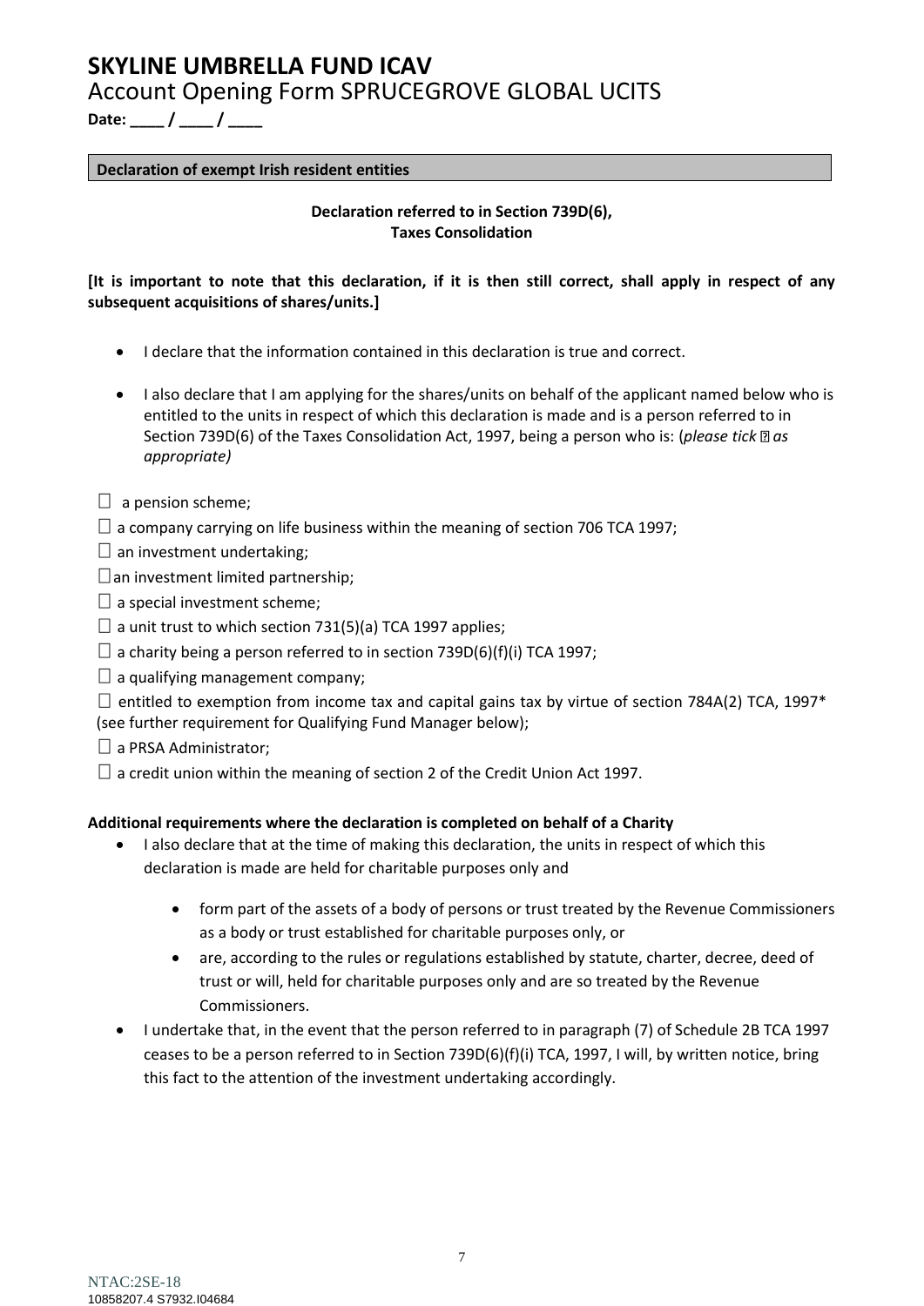**Date: \_\_\_\_ / \_\_\_\_ / \_\_\_\_**

### **Declaration of exempt Irish resident entities**

### **Declaration referred to in Section 739D(6), Taxes Consolidation**

**[It is important to note that this declaration, if it is then still correct, shall apply in respect of any subsequent acquisitions of shares/units.]**

- I declare that the information contained in this declaration is true and correct.
- I also declare that I am applying for the shares/units on behalf of the applicant named below who is entitled to the units in respect of which this declaration is made and is a person referred to in Section 739D(6) of the Taxes Consolidation Act, 1997, being a person who is: (*please tick* as *appropriate)*
- $\Box$  a pension scheme;
- $\Box$  a company carrying on life business within the meaning of section 706 TCA 1997;
- $\square$  an investment undertaking;
- $\square$  an investment limited partnership;
- $\square$  a special investment scheme;
- $\Box$  a unit trust to which section 731(5)(a) TCA 1997 applies;
- $\Box$  a charity being a person referred to in section 739D(6)(f)(i) TCA 1997;
- $\Box$  a qualifying management company;

 $\Box$  entitled to exemption from income tax and capital gains tax by virtue of section 784A(2) TCA, 1997\* (see further requirement for Qualifying Fund Manager below);

- $\Box$  a PRSA Administrator;
- $\Box$  a credit union within the meaning of section 2 of the Credit Union Act 1997.

### **Additional requirements where the declaration is completed on behalf of a Charity**

- I also declare that at the time of making this declaration, the units in respect of which this declaration is made are held for charitable purposes only and
	- form part of the assets of a body of persons or trust treated by the Revenue Commissioners as a body or trust established for charitable purposes only, or
	- are, according to the rules or regulations established by statute, charter, decree, deed of trust or will, held for charitable purposes only and are so treated by the Revenue Commissioners.
- I undertake that, in the event that the person referred to in paragraph (7) of Schedule 2B TCA 1997 ceases to be a person referred to in Section 739D(6)(f)(i) TCA, 1997, I will, by written notice, bring this fact to the attention of the investment undertaking accordingly.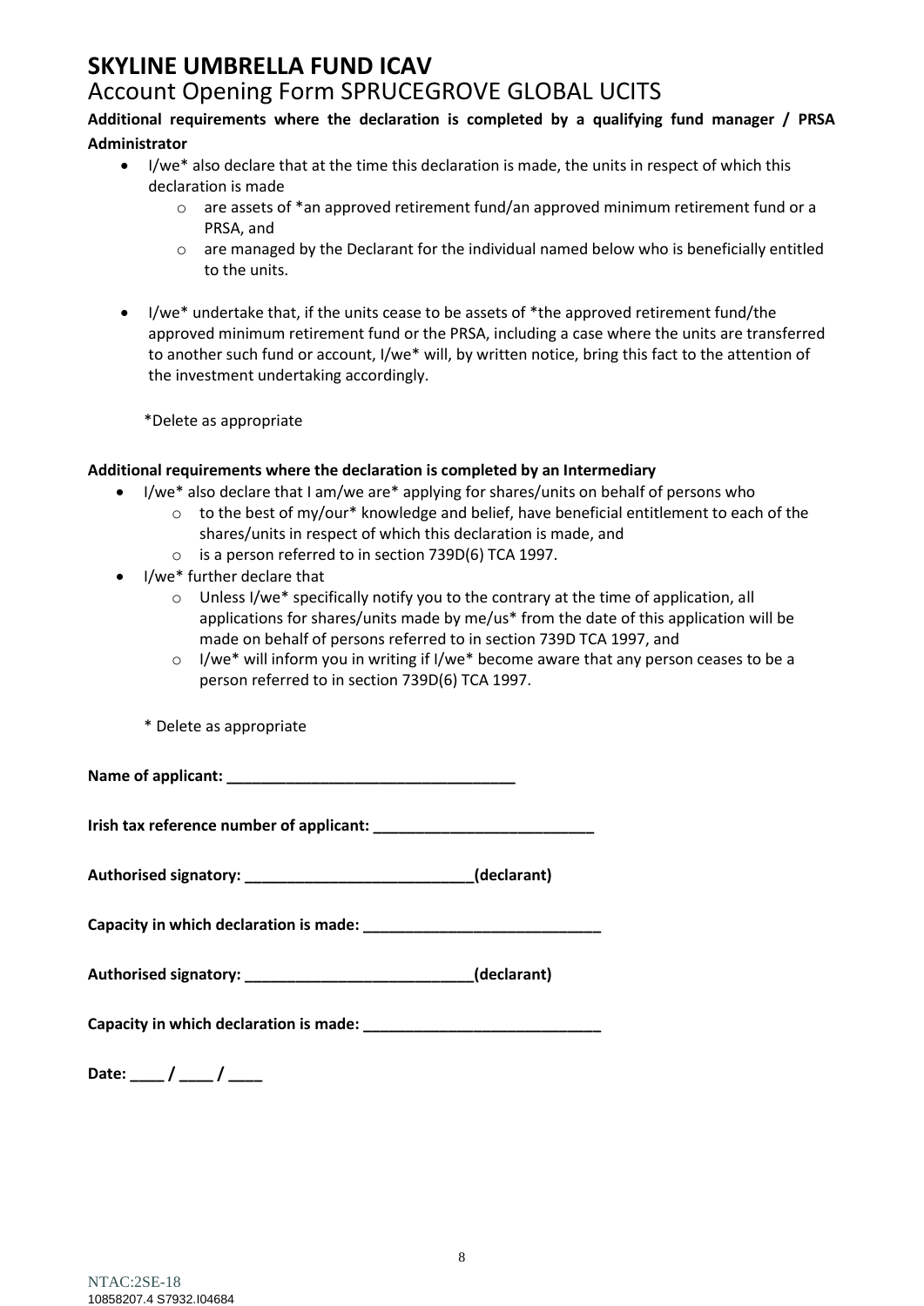# **SKYLINE UMBRELLA FUND ICAV**

# Account Opening Form SPRUCEGROVE GLOBAL UCITS

### **Additional requirements where the declaration is completed by a qualifying fund manager / PRSA Administrator**

- I/we\* also declare that at the time this declaration is made, the units in respect of which this declaration is made
	- $\circ$  are assets of \*an approved retirement fund/an approved minimum retirement fund or a PRSA, and
	- o are managed by the Declarant for the individual named below who is beneficially entitled to the units.
- I/we\* undertake that, if the units cease to be assets of \*the approved retirement fund/the approved minimum retirement fund or the PRSA, including a case where the units are transferred to another such fund or account, I/we\* will, by written notice, bring this fact to the attention of the investment undertaking accordingly.

\*Delete as appropriate

### **Additional requirements where the declaration is completed by an Intermediary**

- I/we\* also declare that I am/we are\* applying for shares/units on behalf of persons who
	- $\circ$  to the best of my/our\* knowledge and belief, have beneficial entitlement to each of the shares/units in respect of which this declaration is made, and
	- o is a person referred to in section 739D(6) TCA 1997.
- I/we\* further declare that
	- o Unless I/we\* specifically notify you to the contrary at the time of application, all applications for shares/units made by me/us\* from the date of this application will be made on behalf of persons referred to in section 739D TCA 1997, and
	- o I/we\* will inform you in writing if I/we\* become aware that any person ceases to be a person referred to in section 739D(6) TCA 1997.
	- \* Delete as appropriate

**Name of applicant: \_\_\_\_\_\_\_\_\_\_\_\_\_\_\_\_\_\_\_\_\_\_\_\_\_\_\_\_\_\_\_\_\_\_**

**Irish tax reference number of applicant:** 

**Authorised signatory: \_\_\_\_\_\_\_\_\_\_\_\_\_\_\_\_\_\_\_\_\_\_\_\_\_\_\_(declarant)**

**Capacity in which declaration is made: \_\_\_\_\_\_\_\_\_\_\_\_\_\_\_\_\_\_\_\_\_\_\_\_\_\_\_\_**

| Authorised signatory: |  | (declarant) |
|-----------------------|--|-------------|
|-----------------------|--|-------------|

**Capacity in which declaration is made: \_\_\_\_\_\_\_\_\_\_\_\_\_\_\_\_\_\_\_\_\_\_\_\_\_\_\_\_**

Date: \_\_\_\_ / \_\_\_\_ / \_\_\_\_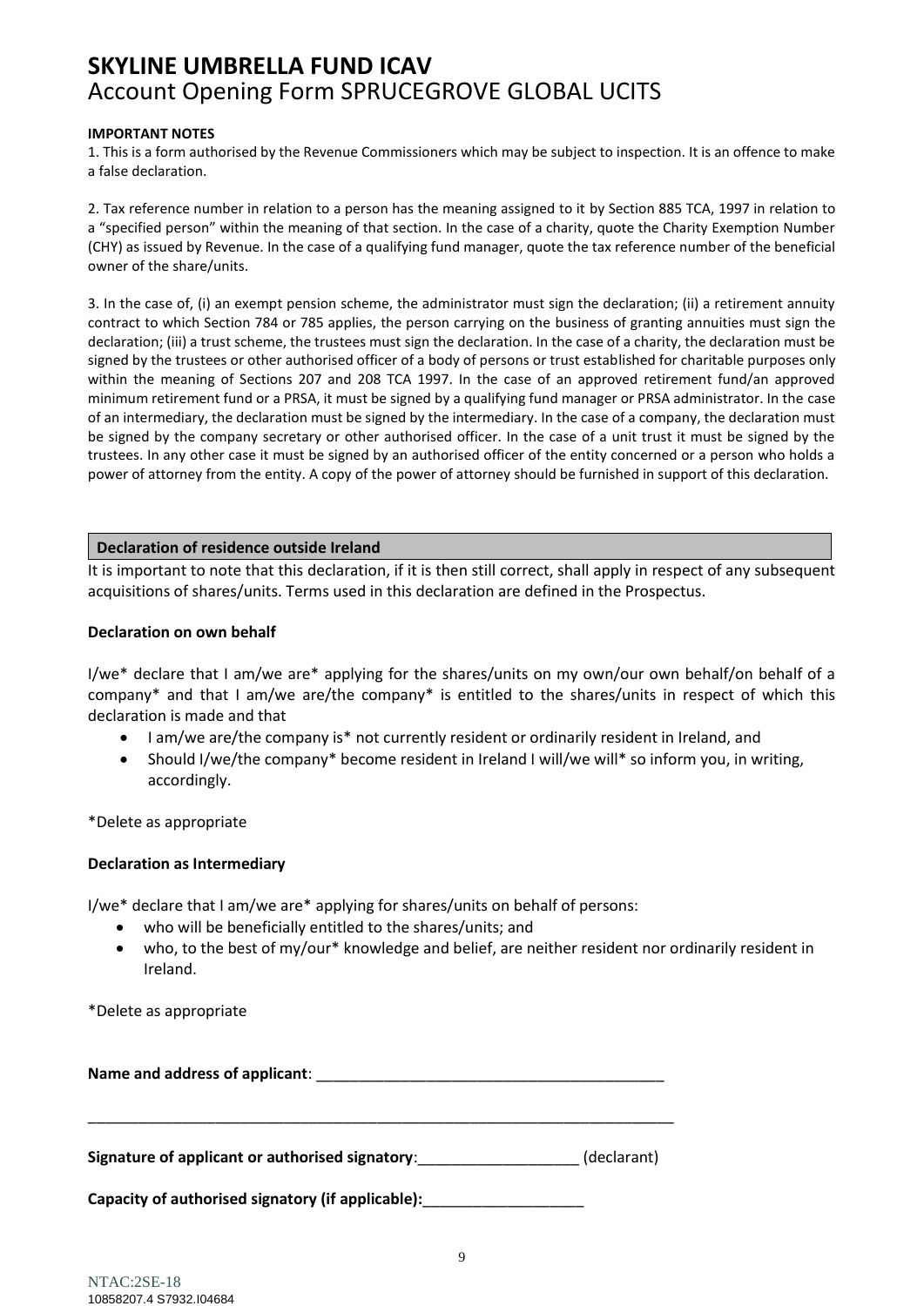### **IMPORTANT NOTES**

1. This is a form authorised by the Revenue Commissioners which may be subject to inspection. It is an offence to make a false declaration.

2. Tax reference number in relation to a person has the meaning assigned to it by Section 885 TCA, 1997 in relation to a "specified person" within the meaning of that section. In the case of a charity, quote the Charity Exemption Number (CHY) as issued by Revenue. In the case of a qualifying fund manager, quote the tax reference number of the beneficial owner of the share/units.

3. In the case of, (i) an exempt pension scheme, the administrator must sign the declaration; (ii) a retirement annuity contract to which Section 784 or 785 applies, the person carrying on the business of granting annuities must sign the declaration; (iii) a trust scheme, the trustees must sign the declaration. In the case of a charity, the declaration must be signed by the trustees or other authorised officer of a body of persons or trust established for charitable purposes only within the meaning of Sections 207 and 208 TCA 1997. In the case of an approved retirement fund/an approved minimum retirement fund or a PRSA, it must be signed by a qualifying fund manager or PRSA administrator. In the case of an intermediary, the declaration must be signed by the intermediary. In the case of a company, the declaration must be signed by the company secretary or other authorised officer. In the case of a unit trust it must be signed by the trustees. In any other case it must be signed by an authorised officer of the entity concerned or a person who holds a power of attorney from the entity. A copy of the power of attorney should be furnished in support of this declaration.

### **Declaration of residence outside Ireland**

It is important to note that this declaration, if it is then still correct, shall apply in respect of any subsequent acquisitions of shares/units. Terms used in this declaration are defined in the Prospectus.

### **Declaration on own behalf**

I/we\* declare that I am/we are\* applying for the shares/units on my own/our own behalf/on behalf of a company\* and that I am/we are/the company\* is entitled to the shares/units in respect of which this declaration is made and that

- I am/we are/the company is\* not currently resident or ordinarily resident in Ireland, and
- Should I/we/the company\* become resident in Ireland I will/we will\* so inform you, in writing, accordingly.

\*Delete as appropriate

### **Declaration as Intermediary**

I/we\* declare that I am/we are\* applying for shares/units on behalf of persons:

- who will be beneficially entitled to the shares/units; and
- who, to the best of my/our\* knowledge and belief, are neither resident nor ordinarily resident in Ireland.

\*Delete as appropriate

| Name and address of applicant:                    |             |
|---------------------------------------------------|-------------|
| Signature of applicant or authorised signatory:   | (declarant) |
| Capacity of authorised signatory (if applicable): |             |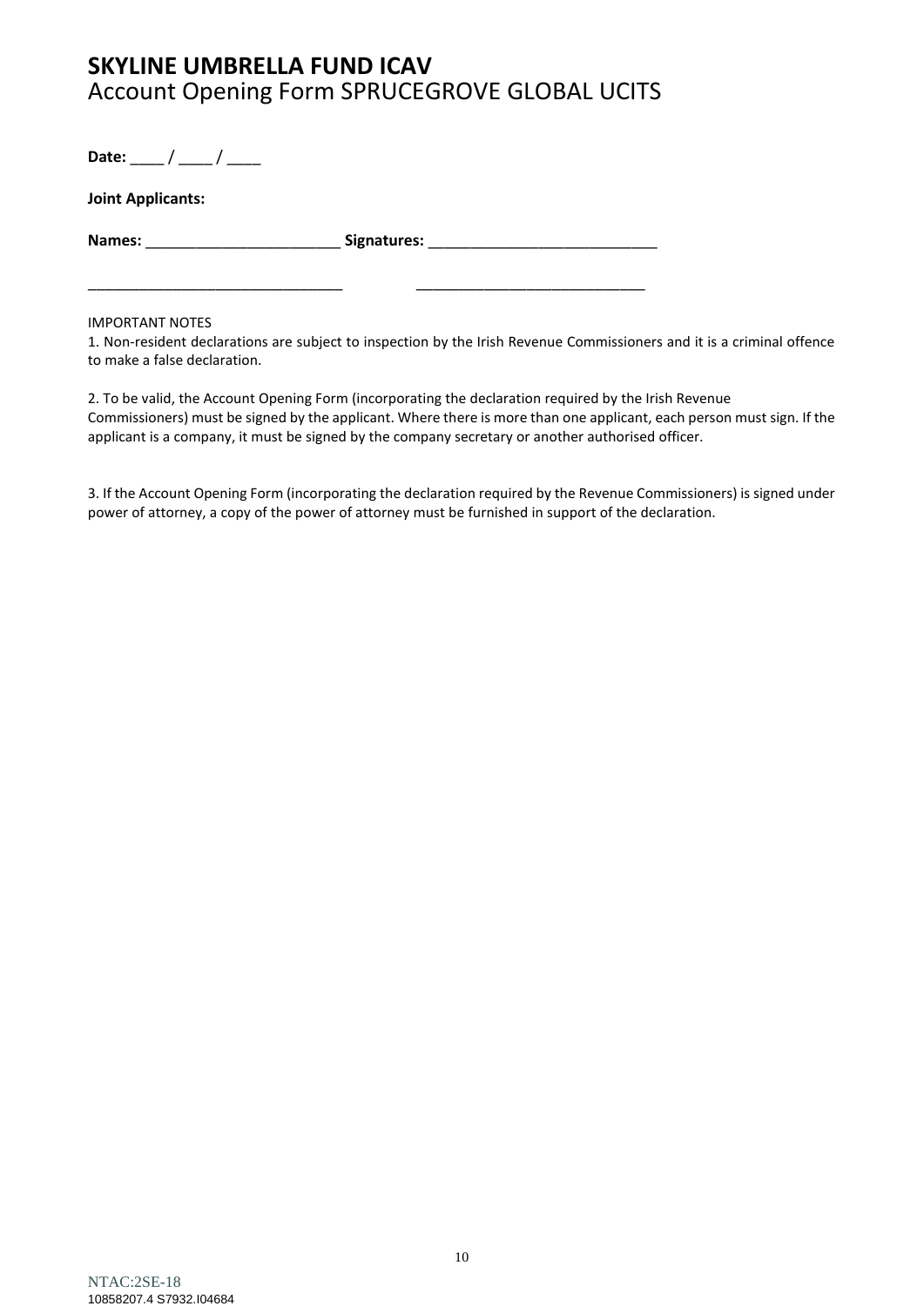**Date:** \_\_\_\_ / \_\_\_\_ / \_\_\_\_

| Joint Applicants: |             |
|-------------------|-------------|
| Names:            | Signatures: |

\_\_\_\_\_\_\_\_\_\_\_\_\_\_\_\_\_\_\_\_\_\_\_\_\_\_\_\_\_\_ \_\_\_\_\_\_\_\_\_\_\_\_\_\_\_\_\_\_\_\_\_\_\_\_\_\_\_

### IMPORTANT NOTES

1. Non-resident declarations are subject to inspection by the Irish Revenue Commissioners and it is a criminal offence to make a false declaration.

2. To be valid, the Account Opening Form (incorporating the declaration required by the Irish Revenue Commissioners) must be signed by the applicant. Where there is more than one applicant, each person must sign. If the applicant is a company, it must be signed by the company secretary or another authorised officer.

3. If the Account Opening Form (incorporating the declaration required by the Revenue Commissioners) is signed under power of attorney, a copy of the power of attorney must be furnished in support of the declaration.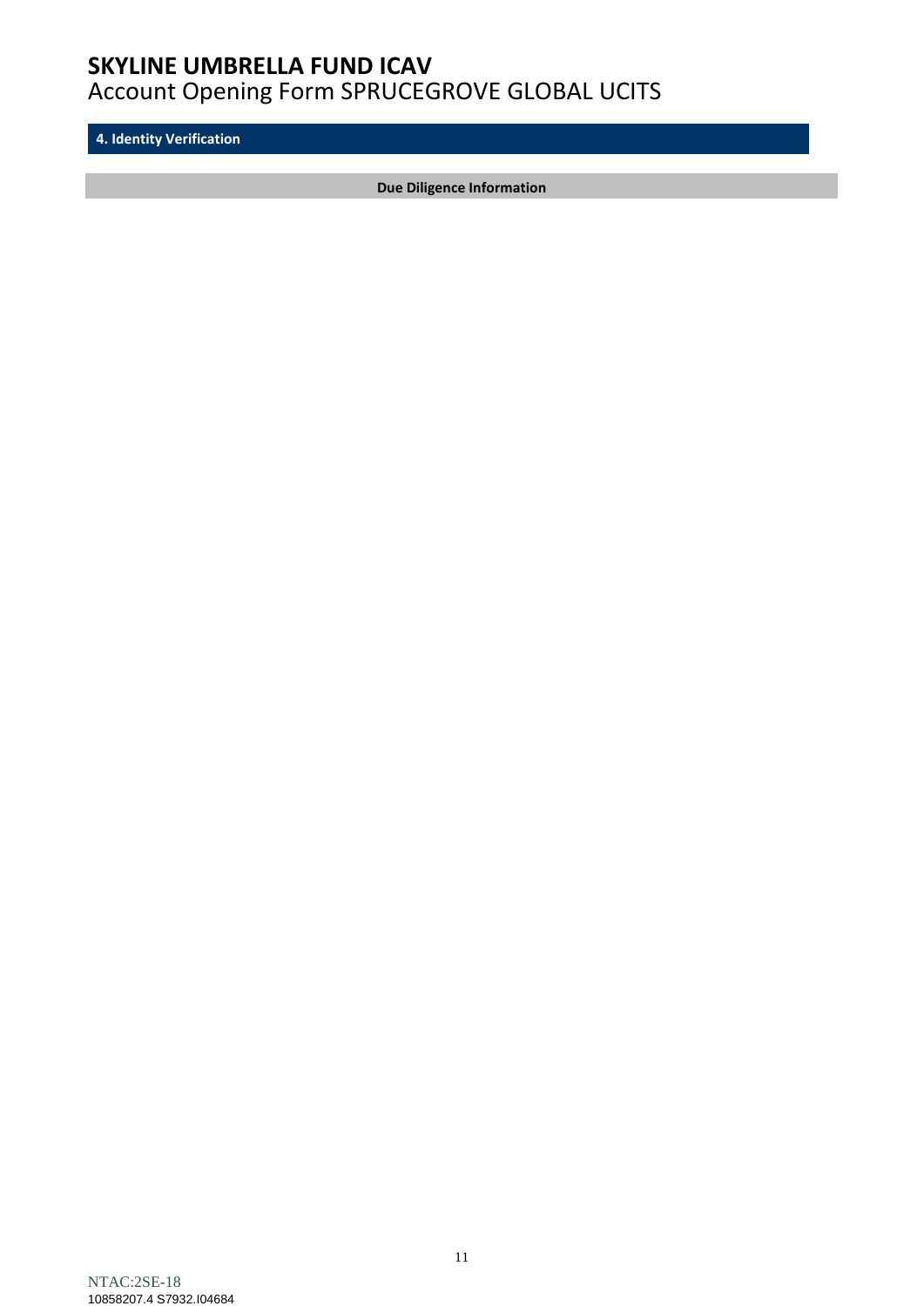**4. Identity Verification**

**Due Diligence Information**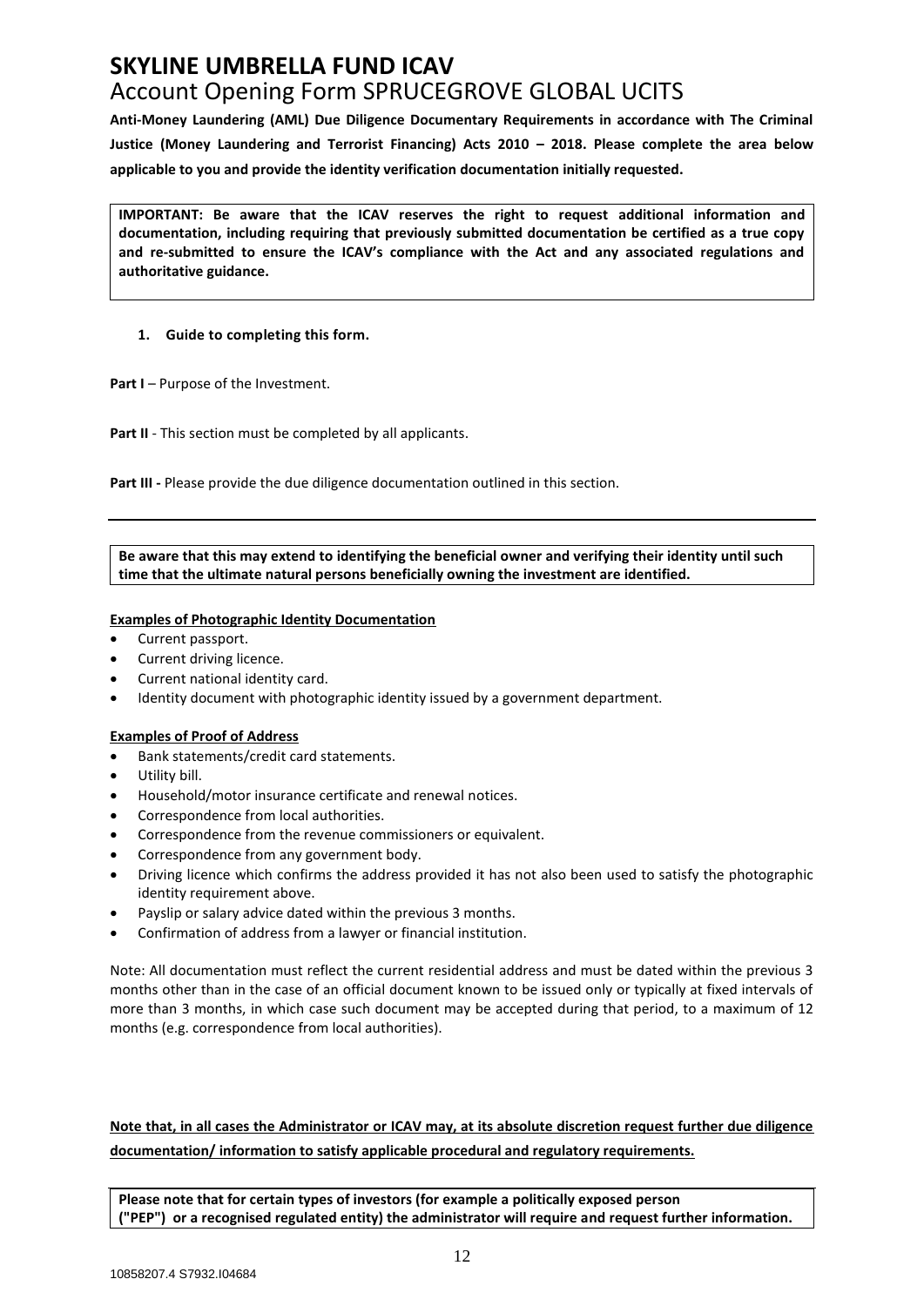**Anti-Money Laundering (AML) Due Diligence Documentary Requirements in accordance with The Criminal Justice (Money Laundering and Terrorist Financing) Acts 2010 – 2018. Please complete the area below applicable to you and provide the identity verification documentation initially requested.** 

**IMPORTANT: Be aware that the ICAV reserves the right to request additional information and documentation, including requiring that previously submitted documentation be certified as a true copy and re-submitted to ensure the ICAV's compliance with the Act and any associated regulations and authoritative guidance.**

### **1. Guide to completing this form.**

**Part I** – Purpose of the Investment.

Part II - This section must be completed by all applicants.

**Part III -** Please provide the due diligence documentation outlined in this section.

**Be aware that this may extend to identifying the beneficial owner and verifying their identity until such time that the ultimate natural persons beneficially owning the investment are identified.**

#### **Examples of Photographic Identity Documentation**

- Current passport.
- Current driving licence.
- Current national identity card.
- Identity document with photographic identity issued by a government department.

#### **Examples of Proof of Address**

- Bank statements/credit card statements.
- Utility bill.
- Household/motor insurance certificate and renewal notices.
- Correspondence from local authorities.
- Correspondence from the revenue commissioners or equivalent.
- Correspondence from any government body.
- Driving licence which confirms the address provided it has not also been used to satisfy the photographic identity requirement above.
- Payslip or salary advice dated within the previous 3 months.
- Confirmation of address from a lawyer or financial institution.

Note: All documentation must reflect the current residential address and must be dated within the previous 3 months other than in the case of an official document known to be issued only or typically at fixed intervals of more than 3 months, in which case such document may be accepted during that period, to a maximum of 12 months (e.g. correspondence from local authorities).

**Note that, in all cases the Administrator or ICAV may, at its absolute discretion request further due diligence documentation/ information to satisfy applicable procedural and regulatory requirements.** 

**Please note that for certain types of investors (for example a politically exposed person ("PEP") or a recognised regulated entity) the administrator will require and request further information.**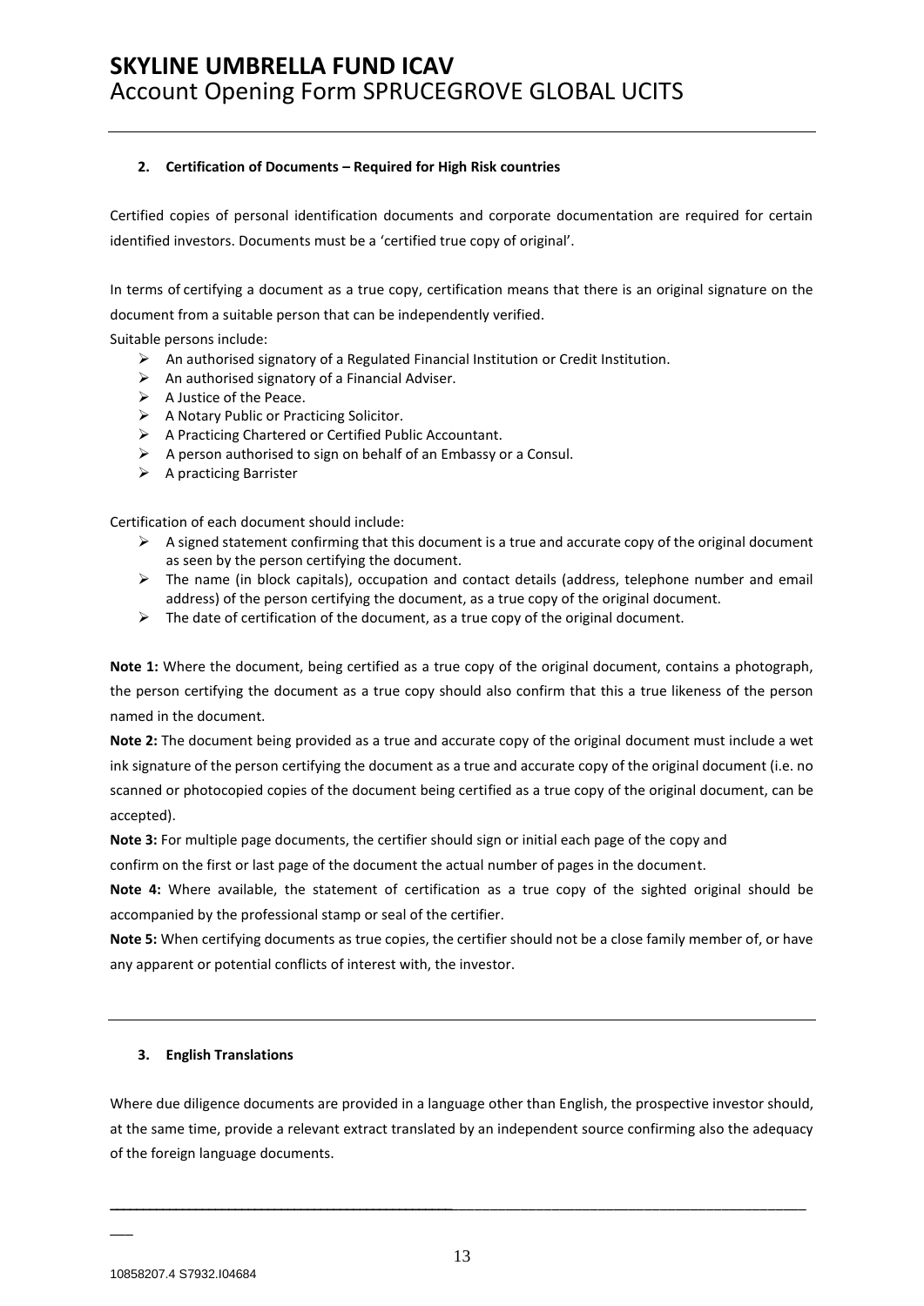#### **2. Certification of Documents – Required for High Risk countries**

Certified copies of personal identification documents and corporate documentation are required for certain identified investors. Documents must be a 'certified true copy of original'.

In terms of certifying a document as a true copy, certification means that there is an original signature on the document from a suitable person that can be independently verified.

Suitable persons include:

- $\triangleright$  An authorised signatory of a Regulated Financial Institution or Credit Institution.
- $\triangleright$  An authorised signatory of a Financial Adviser.
- ➢ A Justice of the Peace.
- ➢ A Notary Public or Practicing Solicitor.
- ➢ A Practicing Chartered or Certified Public Accountant.
- $\triangleright$  A person authorised to sign on behalf of an Embassy or a Consul.
- $\triangleright$  A practicing Barrister

Certification of each document should include:

- $\triangleright$  A signed statement confirming that this document is a true and accurate copy of the original document as seen by the person certifying the document.
- ➢ The name (in block capitals), occupation and contact details (address, telephone number and email address) of the person certifying the document, as a true copy of the original document.
- $\triangleright$  The date of certification of the document, as a true copy of the original document.

**Note 1:** Where the document, being certified as a true copy of the original document, contains a photograph, the person certifying the document as a true copy should also confirm that this a true likeness of the person named in the document.

**Note 2:** The document being provided as a true and accurate copy of the original document must include a wet ink signature of the person certifying the document as a true and accurate copy of the original document (i.e. no scanned or photocopied copies of the document being certified as a true copy of the original document, can be accepted).

**Note 3:** For multiple page documents, the certifier should sign or initial each page of the copy and

confirm on the first or last page of the document the actual number of pages in the document.

**Note 4:** Where available, the statement of certification as a true copy of the sighted original should be accompanied by the professional stamp or seal of the certifier.

**Note 5:** When certifying documents as true copies, the certifier should not be a close family member of, or have any apparent or potential conflicts of interest with, the investor.

### **3. English Translations**

Where due diligence documents are provided in a language other than English, the prospective investor should, at the same time, provide a relevant extract translated by an independent source confirming also the adequacy of the foreign language documents.

10858207.4 S7932.I04684

 $\overline{\phantom{a}}$ 

**\_\_\_\_\_\_\_\_\_\_\_\_\_\_\_\_\_\_\_\_\_\_\_\_\_\_\_\_\_\_\_\_\_\_\_\_\_\_\_\_\_\_\_\_\_\_\_\_\_\_\_\_**\_\_\_\_\_\_\_\_\_\_\_\_\_\_\_\_\_\_\_\_\_\_\_\_\_\_\_\_\_\_\_\_\_\_\_\_\_\_\_\_\_\_\_\_\_\_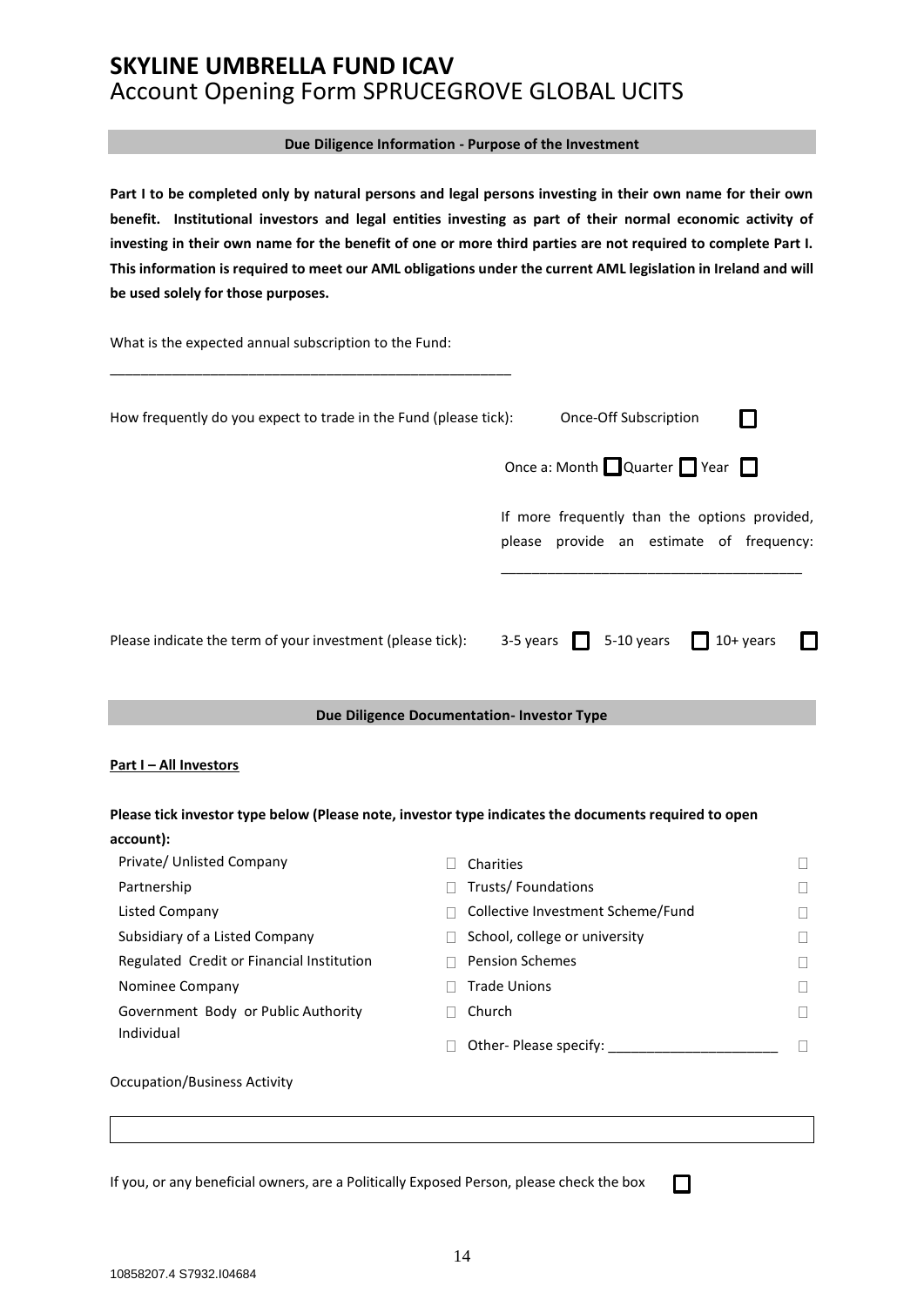#### **Due Diligence Information - Purpose of the Investment**

**Part I to be completed only by natural persons and legal persons investing in their own name for their own benefit. Institutional investors and legal entities investing as part of their normal economic activity of investing in their own name for the benefit of one or more third parties are not required to complete Part I. This information is required to meet our AML obligations under the current AML legislation in Ireland and will be used solely for those purposes.**

What is the expected annual subscription to the Fund:

\_\_\_\_\_\_\_\_\_\_\_\_\_\_\_\_\_\_\_\_\_\_\_\_\_\_\_\_\_\_\_\_\_\_\_\_\_\_\_\_\_\_\_\_\_\_\_\_\_\_\_\_

| How frequently do you expect to trade in the Fund (please tick): |                            | Once-Off Subscription                                                                     |  |  |
|------------------------------------------------------------------|----------------------------|-------------------------------------------------------------------------------------------|--|--|
|                                                                  |                            | Once a: Month $\Box$ Quarter $\Box$ Year $\Box$                                           |  |  |
|                                                                  |                            | If more frequently than the options provided,<br>please provide an estimate of frequency: |  |  |
| Please indicate the term of your investment (please tick):       | $3-5$ years $\blacksquare$ | $5-10$ years 10+ years                                                                    |  |  |

#### **Due Diligence Documentation- Investor Type**

#### **Part I – All Investors**

| Please tick investor type below (Please note, investor type indicates the documents required to open |                                   |   |
|------------------------------------------------------------------------------------------------------|-----------------------------------|---|
| account):                                                                                            |                                   |   |
| Private/ Unlisted Company                                                                            | Charities                         | П |
| Partnership                                                                                          | Trusts/Foundations                | П |
| Listed Company                                                                                       | Collective Investment Scheme/Fund | П |
| Subsidiary of a Listed Company                                                                       | School, college or university     | П |
| Regulated Credit or Financial Institution                                                            | <b>Pension Schemes</b>            | П |
| Nominee Company                                                                                      | <b>Trade Unions</b>               | П |
| Government Body or Public Authority                                                                  | Church                            | Н |
| Individual                                                                                           | Other- Please specify:            | ۰ |
| Occupation/Business Activity                                                                         |                                   |   |

If you, or any beneficial owners, are a Politically Exposed Person, please check the box

П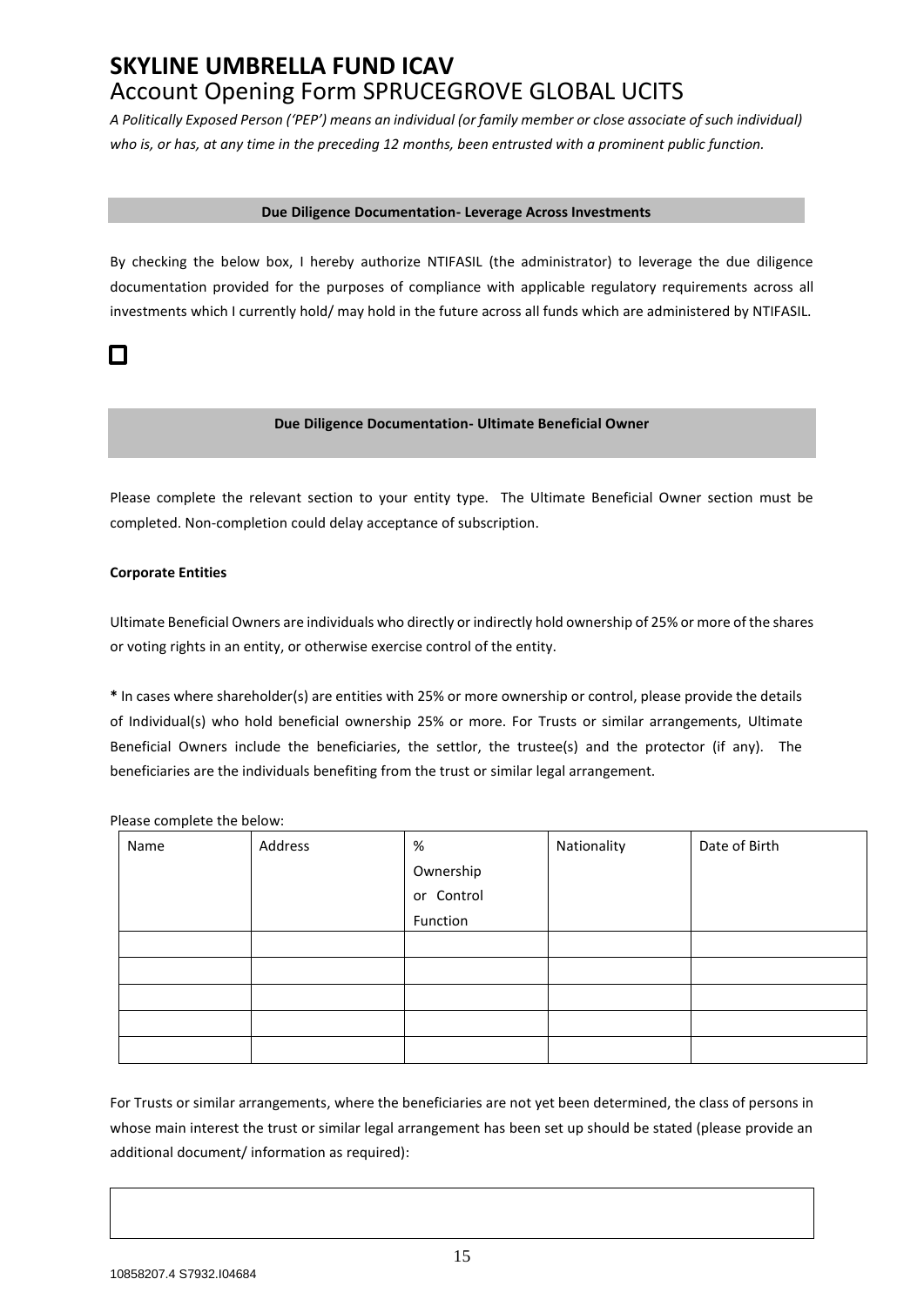*A Politically Exposed Person ('PEP') means an individual (or family member or close associate of such individual) who is, or has, at any time in the preceding 12 months, been entrusted with a prominent public function.*

#### **Due Diligence Documentation- Leverage Across Investments**

By checking the below box, I hereby authorize NTIFASIL (the administrator) to leverage the due diligence documentation provided for the purposes of compliance with applicable regulatory requirements across all investments which I currently hold/ may hold in the future across all funds which are administered by NTIFASIL.

## $\Box$

#### **Due Diligence Documentation- Ultimate Beneficial Owner**

Please complete the relevant section to your entity type. The Ultimate Beneficial Owner section must be completed. Non-completion could delay acceptance of subscription.

### **Corporate Entities**

Ultimate Beneficial Owners are individuals who directly or indirectly hold ownership of 25% or more of the shares or voting rights in an entity, or otherwise exercise control of the entity.

**\*** In cases where shareholder(s) are entities with 25% or more ownership or control, please provide the details of Individual(s) who hold beneficial ownership 25% or more. For Trusts or similar arrangements, Ultimate Beneficial Owners include the beneficiaries, the settlor, the trustee(s) and the protector (if any). The beneficiaries are the individuals benefiting from the trust or similar legal arrangement.

Please complete the below:

| Name | Address | %          | Nationality | Date of Birth |
|------|---------|------------|-------------|---------------|
|      |         | Ownership  |             |               |
|      |         | or Control |             |               |
|      |         | Function   |             |               |
|      |         |            |             |               |
|      |         |            |             |               |
|      |         |            |             |               |
|      |         |            |             |               |
|      |         |            |             |               |

For Trusts or similar arrangements, where the beneficiaries are not yet been determined, the class of persons in whose main interest the trust or similar legal arrangement has been set up should be stated (please provide an additional document/ information as required):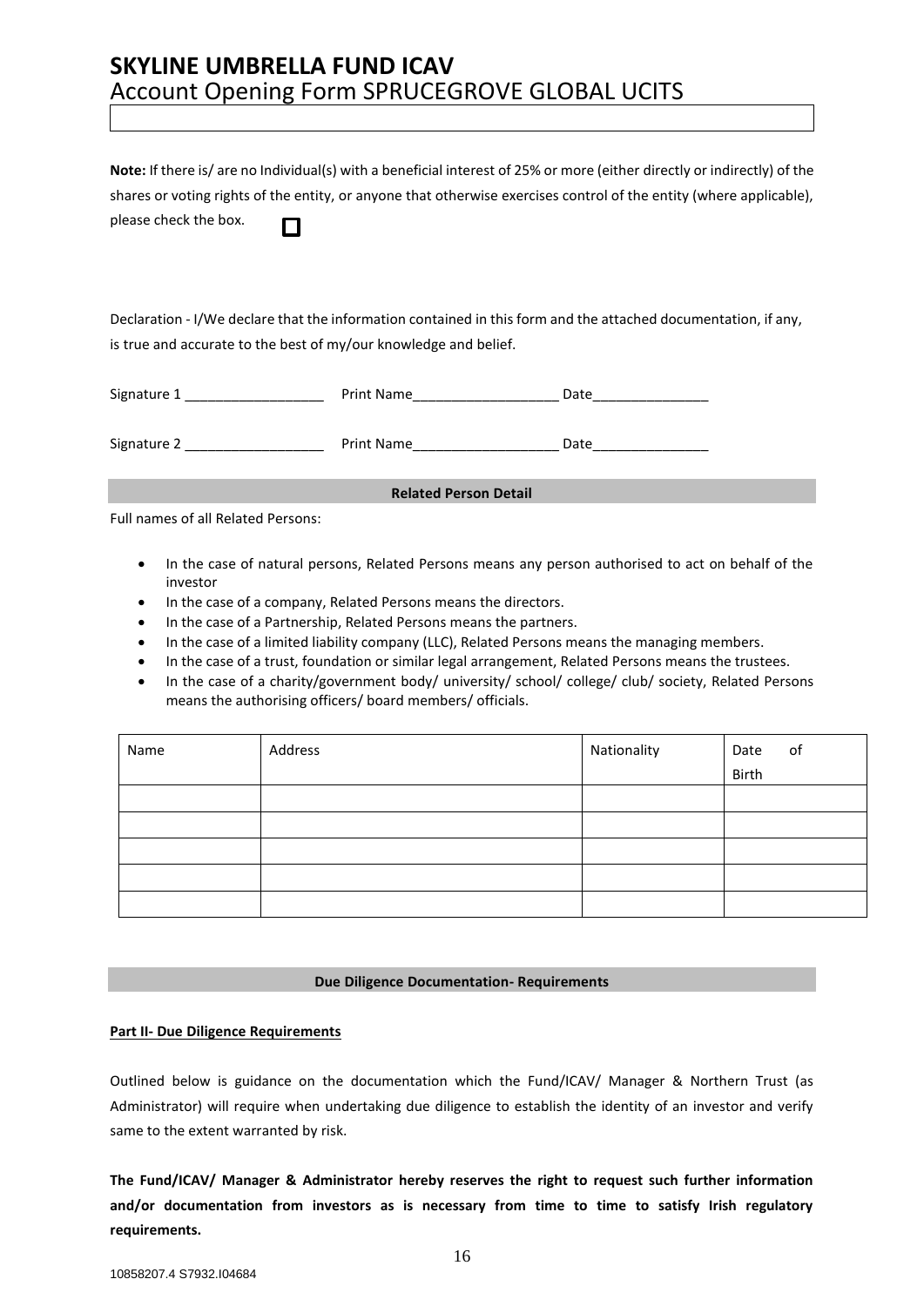**Note:** If there is/ are no Individual(s) with a beneficial interest of 25% or more (either directly or indirectly) of the shares or voting rights of the entity, or anyone that otherwise exercises control of the entity (where applicable), please check the box. П

Declaration - I/We declare that the information contained in this form and the attached documentation, if any, is true and accurate to the best of my/our knowledge and belief.

| Signature 1                  | Print Name | Date |  |
|------------------------------|------------|------|--|
| Signature 2                  | Print Name | Date |  |
| <b>Related Person Detail</b> |            |      |  |

Full names of all Related Persons:

- In the case of natural persons, Related Persons means any person authorised to act on behalf of the investor
- In the case of a company, Related Persons means the directors.
- In the case of a Partnership, Related Persons means the partners.
- In the case of a limited liability company (LLC), Related Persons means the managing members.
- In the case of a trust, foundation or similar legal arrangement, Related Persons means the trustees.
- In the case of a charity/government body/ university/ school/ college/ club/ society, Related Persons means the authorising officers/ board members/ officials.

| Name | Address | Nationality | of<br>Date |
|------|---------|-------------|------------|
|      |         |             | Birth      |
|      |         |             |            |
|      |         |             |            |
|      |         |             |            |
|      |         |             |            |
|      |         |             |            |

#### **Due Diligence Documentation- Requirements**

#### **Part II- Due Diligence Requirements**

Outlined below is guidance on the documentation which the Fund/ICAV/ Manager & Northern Trust (as Administrator) will require when undertaking due diligence to establish the identity of an investor and verify same to the extent warranted by risk.

**The Fund/ICAV/ Manager & Administrator hereby reserves the right to request such further information and/or documentation from investors as is necessary from time to time to satisfy Irish regulatory requirements.**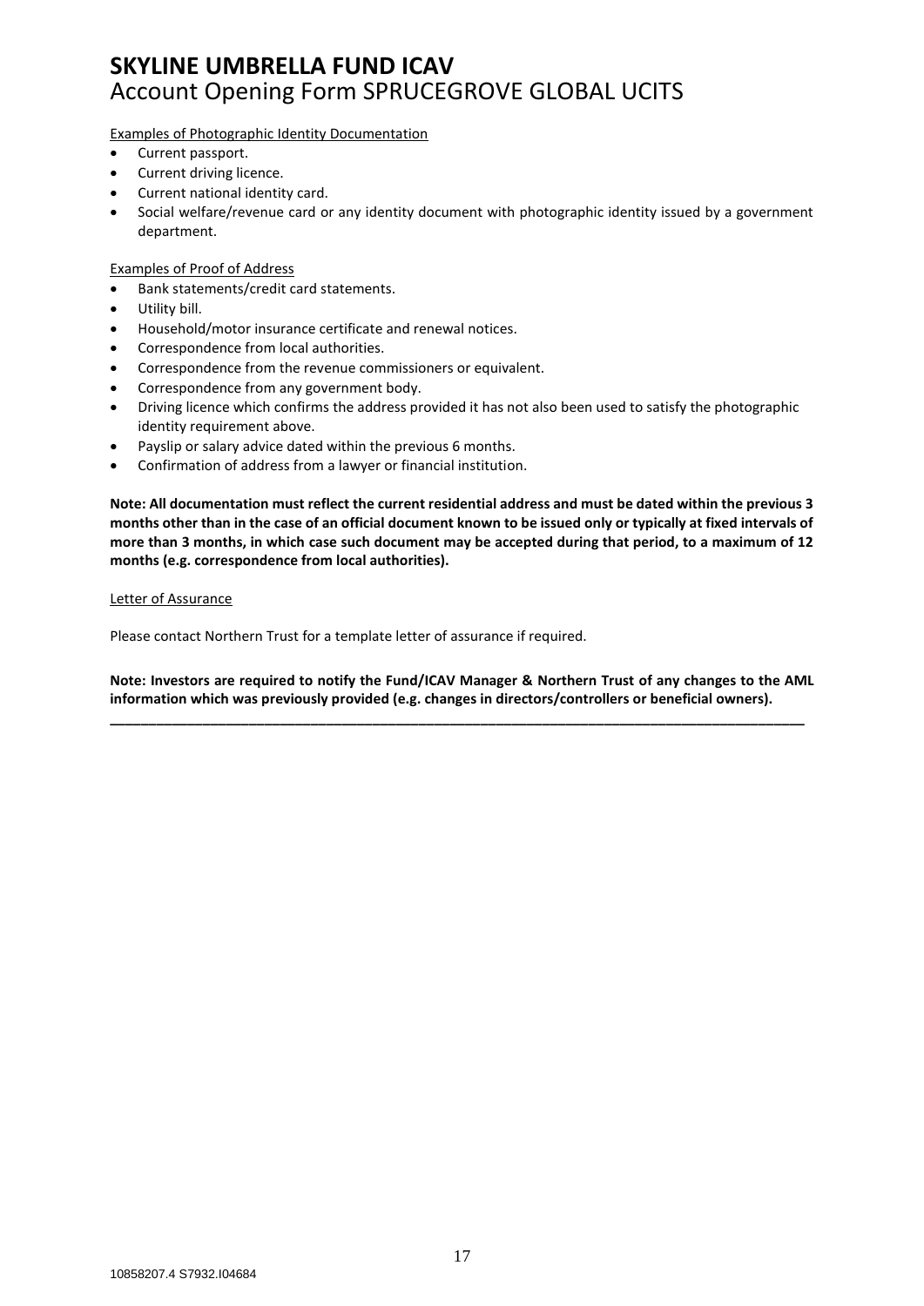Examples of Photographic Identity Documentation

- Current passport.
- Current driving licence.
- Current national identity card.
- Social welfare/revenue card or any identity document with photographic identity issued by a government department.

#### Examples of Proof of Address

- Bank statements/credit card statements.
- Utility bill.
- Household/motor insurance certificate and renewal notices.
- Correspondence from local authorities.
- Correspondence from the revenue commissioners or equivalent.
- Correspondence from any government body.
- Driving licence which confirms the address provided it has not also been used to satisfy the photographic identity requirement above.
- Payslip or salary advice dated within the previous 6 months.
- Confirmation of address from a lawyer or financial institution.

**Note: All documentation must reflect the current residential address and must be dated within the previous 3 months other than in the case of an official document known to be issued only or typically at fixed intervals of more than 3 months, in which case such document may be accepted during that period, to a maximum of 12 months (e.g. correspondence from local authorities).** 

#### Letter of Assurance

Please contact Northern Trust for a template letter of assurance if required.

**Note: Investors are required to notify the Fund/ICAV Manager & Northern Trust of any changes to the AML information which was previously provided (e.g. changes in directors/controllers or beneficial owners).**

**\_\_\_\_\_\_\_\_\_\_\_\_\_\_\_\_\_\_\_\_\_\_\_\_\_\_\_\_\_\_\_\_\_\_\_\_\_\_\_\_\_\_\_\_\_\_\_\_\_\_\_\_\_\_\_\_\_\_\_\_\_\_\_\_\_\_\_\_\_\_\_\_\_\_\_\_\_\_\_\_\_\_\_\_\_\_\_\_\_\_**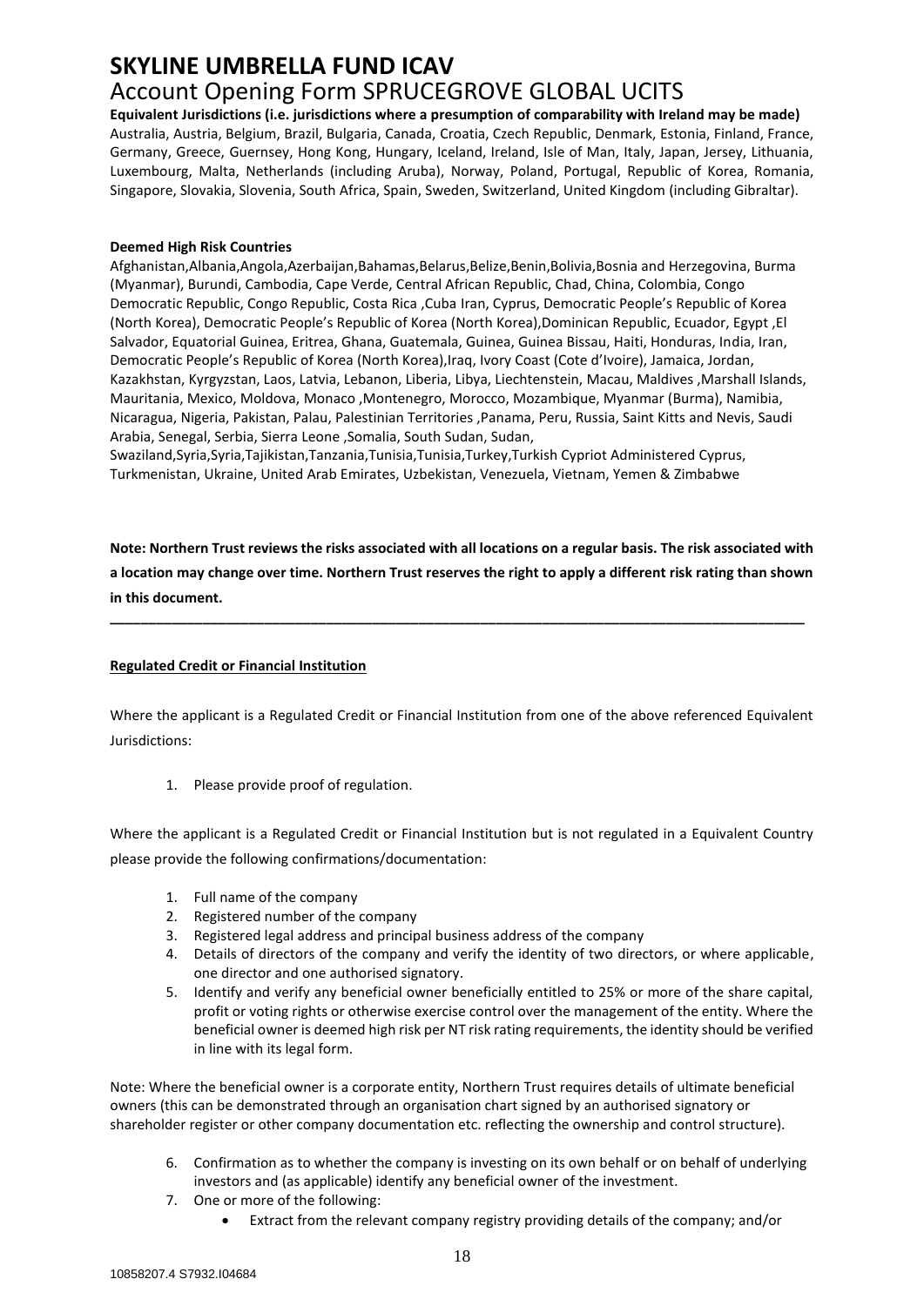# **SKYLINE UMBRELLA FUND ICAV**

## Account Opening Form SPRUCEGROVE GLOBAL UCITS

**Equivalent Jurisdictions (i.e. jurisdictions where a presumption of comparability with Ireland may be made)**  Australia, Austria, Belgium, Brazil, Bulgaria, Canada, Croatia, Czech Republic, Denmark, Estonia, Finland, France, Germany, Greece, Guernsey, Hong Kong, Hungary, Iceland, Ireland, Isle of Man, Italy, Japan, Jersey, Lithuania, Luxembourg, Malta, Netherlands (including Aruba), Norway, Poland, Portugal, Republic of Korea, Romania, Singapore, Slovakia, Slovenia, South Africa, Spain, Sweden, Switzerland, United Kingdom (including Gibraltar).

### **Deemed High Risk Countries**

Afghanistan,Albania,Angola,Azerbaijan,Bahamas,Belarus,Belize,Benin,Bolivia,Bosnia and Herzegovina, Burma (Myanmar), Burundi, Cambodia, Cape Verde, Central African Republic, Chad, China, Colombia, Congo Democratic Republic, Congo Republic, Costa Rica ,Cuba Iran, Cyprus, Democratic People's Republic of Korea (North Korea), Democratic People's Republic of Korea (North Korea),Dominican Republic, Ecuador, Egypt ,El Salvador, Equatorial Guinea, Eritrea, Ghana, Guatemala, Guinea, Guinea Bissau, Haiti, Honduras, India, Iran, Democratic People's Republic of Korea (North Korea),Iraq, Ivory Coast (Cote d'Ivoire), Jamaica, Jordan, Kazakhstan, Kyrgyzstan, Laos, Latvia, Lebanon, Liberia, Libya, Liechtenstein, Macau, Maldives ,Marshall Islands, Mauritania, Mexico, Moldova, Monaco ,Montenegro, Morocco, Mozambique, Myanmar (Burma), Namibia, Nicaragua, Nigeria, Pakistan, Palau, Palestinian Territories ,Panama, Peru, Russia, Saint Kitts and Nevis, Saudi Arabia, Senegal, Serbia, Sierra Leone ,Somalia, South Sudan, Sudan,

Swaziland,Syria,Syria,Tajikistan,Tanzania,Tunisia,Tunisia,Turkey,Turkish Cypriot Administered Cyprus, Turkmenistan, Ukraine, United Arab Emirates, Uzbekistan, Venezuela, Vietnam, Yemen & Zimbabwe

**Note: Northern Trust reviews the risks associated with all locations on a regular basis. The risk associated with a location may change over time. Northern Trust reserves the right to apply a different risk rating than shown in this document.** 

**\_\_\_\_\_\_\_\_\_\_\_\_\_\_\_\_\_\_\_\_\_\_\_\_\_\_\_\_\_\_\_\_\_\_\_\_\_\_\_\_\_\_\_\_\_\_\_\_\_\_\_\_\_\_\_\_\_\_\_\_\_\_\_\_\_\_\_\_\_\_\_\_\_\_\_\_\_\_\_\_\_\_\_\_\_\_\_\_\_\_**

### **Regulated Credit or Financial Institution**

Where the applicant is a Regulated Credit or Financial Institution from one of the above referenced Equivalent Jurisdictions:

1. Please provide proof of regulation.

Where the applicant is a Regulated Credit or Financial Institution but is not regulated in a Equivalent Country please provide the following confirmations/documentation:

- 1. Full name of the company
- 2. Registered number of the company
- 3. Registered legal address and principal business address of the company
- 4. Details of directors of the company and verify the identity of two directors, or where applicable, one director and one authorised signatory.
- 5. Identify and verify any beneficial owner beneficially entitled to 25% or more of the share capital, profit or voting rights or otherwise exercise control over the management of the entity. Where the beneficial owner is deemed high risk per NT risk rating requirements, the identity should be verified in line with its legal form.

Note: Where the beneficial owner is a corporate entity, Northern Trust requires details of ultimate beneficial owners (this can be demonstrated through an organisation chart signed by an authorised signatory or shareholder register or other company documentation etc. reflecting the ownership and control structure).

- 6. Confirmation as to whether the company is investing on its own behalf or on behalf of underlying investors and (as applicable) identify any beneficial owner of the investment.
- 7. One or more of the following:
	- Extract from the relevant company registry providing details of the company; and/or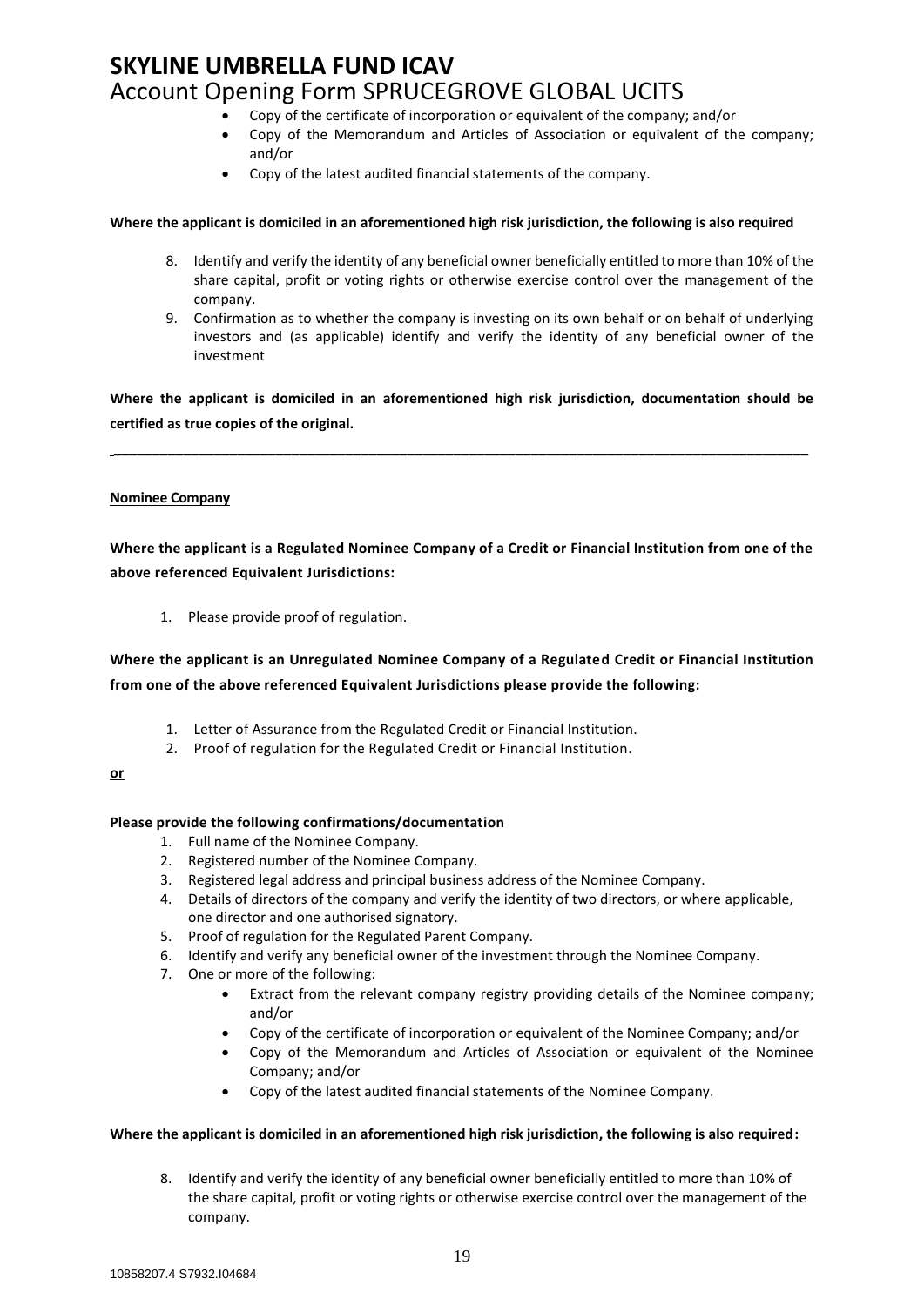- Copy of the certificate of incorporation or equivalent of the company; and/or
- Copy of the Memorandum and Articles of Association or equivalent of the company; and/or
- Copy of the latest audited financial statements of the company.

#### **Where the applicant is domiciled in an aforementioned high risk jurisdiction, the following is also required**

- 8. Identify and verify the identity of any beneficial owner beneficially entitled to more than 10% of the share capital, profit or voting rights or otherwise exercise control over the management of the company.
- 9. Confirmation as to whether the company is investing on its own behalf or on behalf of underlying investors and (as applicable) identify and verify the identity of any beneficial owner of the investment

**Where the applicant is domiciled in an aforementioned high risk jurisdiction, documentation should be certified as true copies of the original.**

\_\_\_\_\_\_\_\_\_\_\_\_\_\_\_\_\_\_\_\_\_\_\_\_\_\_\_\_\_\_\_\_\_\_\_\_\_\_\_\_\_\_\_\_\_\_\_\_\_\_\_\_\_\_\_\_\_\_\_\_\_\_\_\_\_\_\_\_\_\_\_\_\_\_\_\_\_\_\_\_\_\_\_\_\_\_\_\_\_\_

#### **Nominee Company**

**Where the applicant is a Regulated Nominee Company of a Credit or Financial Institution from one of the above referenced Equivalent Jurisdictions:**

1. Please provide proof of regulation.

### **Where the applicant is an Unregulated Nominee Company of a Regulated Credit or Financial Institution from one of the above referenced Equivalent Jurisdictions please provide the following:**

- 1. Letter of Assurance from the Regulated Credit or Financial Institution.
- 2. Proof of regulation for the Regulated Credit or Financial Institution.

#### **or**

#### **Please provide the following confirmations/documentation**

- 1. Full name of the Nominee Company.
- 2. Registered number of the Nominee Company.
- 3. Registered legal address and principal business address of the Nominee Company.
- 4. Details of directors of the company and verify the identity of two directors, or where applicable, one director and one authorised signatory.
- 5. Proof of regulation for the Regulated Parent Company.
- 6. Identify and verify any beneficial owner of the investment through the Nominee Company.
- 7. One or more of the following:
	- Extract from the relevant company registry providing details of the Nominee company; and/or
	- Copy of the certificate of incorporation or equivalent of the Nominee Company; and/or
	- Copy of the Memorandum and Articles of Association or equivalent of the Nominee Company; and/or
	- Copy of the latest audited financial statements of the Nominee Company.

#### **Where the applicant is domiciled in an aforementioned high risk jurisdiction, the following is also required:**

8. Identify and verify the identity of any beneficial owner beneficially entitled to more than 10% of the share capital, profit or voting rights or otherwise exercise control over the management of the company.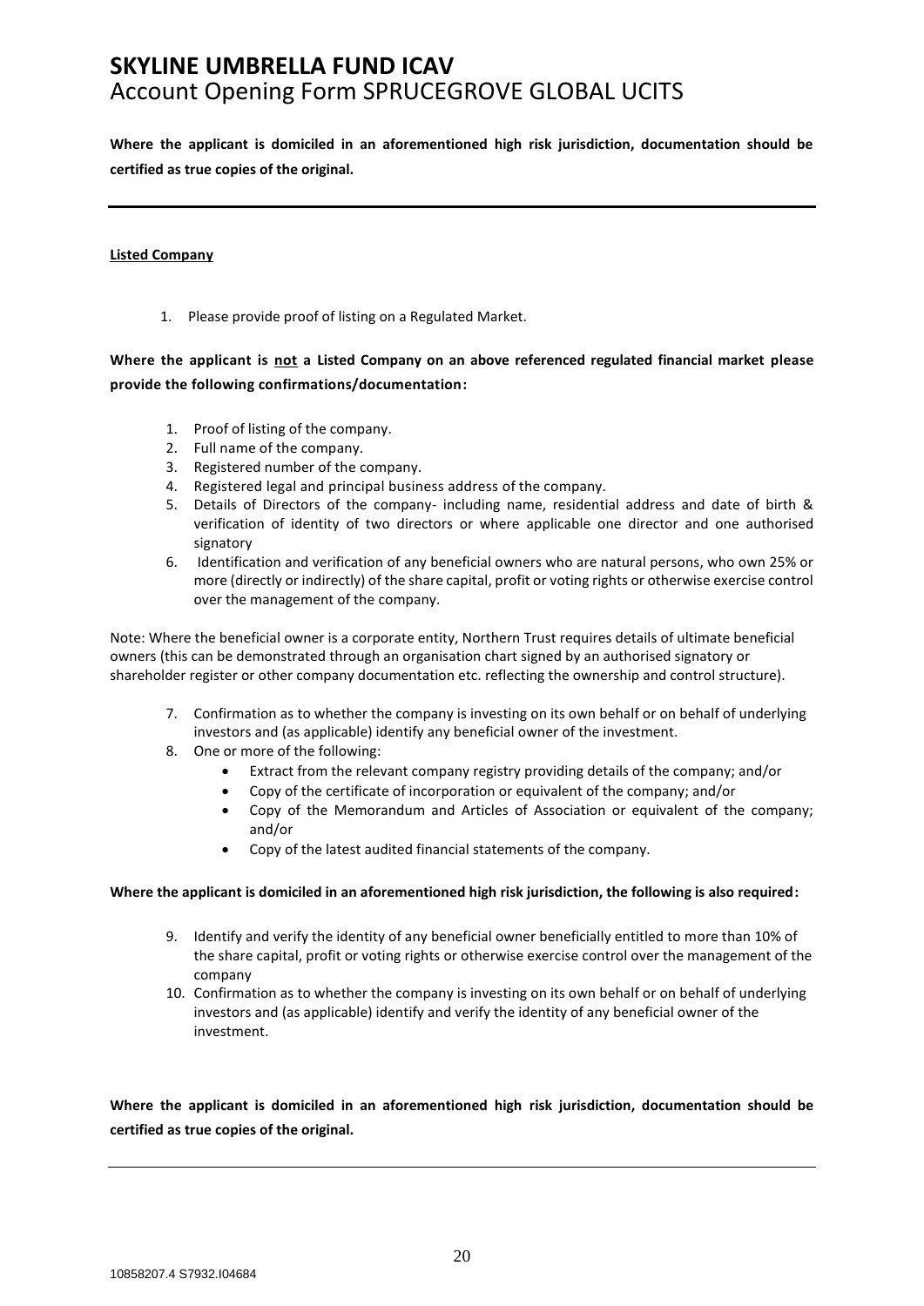**Where the applicant is domiciled in an aforementioned high risk jurisdiction, documentation should be certified as true copies of the original.**

#### **Listed Company**

1. Please provide proof of listing on a Regulated Market.

**Where the applicant is not a Listed Company on an above referenced regulated financial market please provide the following confirmations/documentation:**

- 1. Proof of listing of the company.
- 2. Full name of the company.
- 3. Registered number of the company.
- 4. Registered legal and principal business address of the company.
- 5. Details of Directors of the company- including name, residential address and date of birth & verification of identity of two directors or where applicable one director and one authorised signatory
- 6. Identification and verification of any beneficial owners who are natural persons, who own 25% or more (directly or indirectly) of the share capital, profit or voting rights or otherwise exercise control over the management of the company.

Note: Where the beneficial owner is a corporate entity, Northern Trust requires details of ultimate beneficial owners (this can be demonstrated through an organisation chart signed by an authorised signatory or shareholder register or other company documentation etc. reflecting the ownership and control structure).

- 7. Confirmation as to whether the company is investing on its own behalf or on behalf of underlying investors and (as applicable) identify any beneficial owner of the investment.
- 8. One or more of the following:
	- Extract from the relevant company registry providing details of the company; and/or
	- Copy of the certificate of incorporation or equivalent of the company; and/or
	- Copy of the Memorandum and Articles of Association or equivalent of the company; and/or
	- Copy of the latest audited financial statements of the company.

#### **Where the applicant is domiciled in an aforementioned high risk jurisdiction, the following is also required:**

- 9. Identify and verify the identity of any beneficial owner beneficially entitled to more than 10% of the share capital, profit or voting rights or otherwise exercise control over the management of the company
- 10. Confirmation as to whether the company is investing on its own behalf or on behalf of underlying investors and (as applicable) identify and verify the identity of any beneficial owner of the investment.

**Where the applicant is domiciled in an aforementioned high risk jurisdiction, documentation should be certified as true copies of the original.**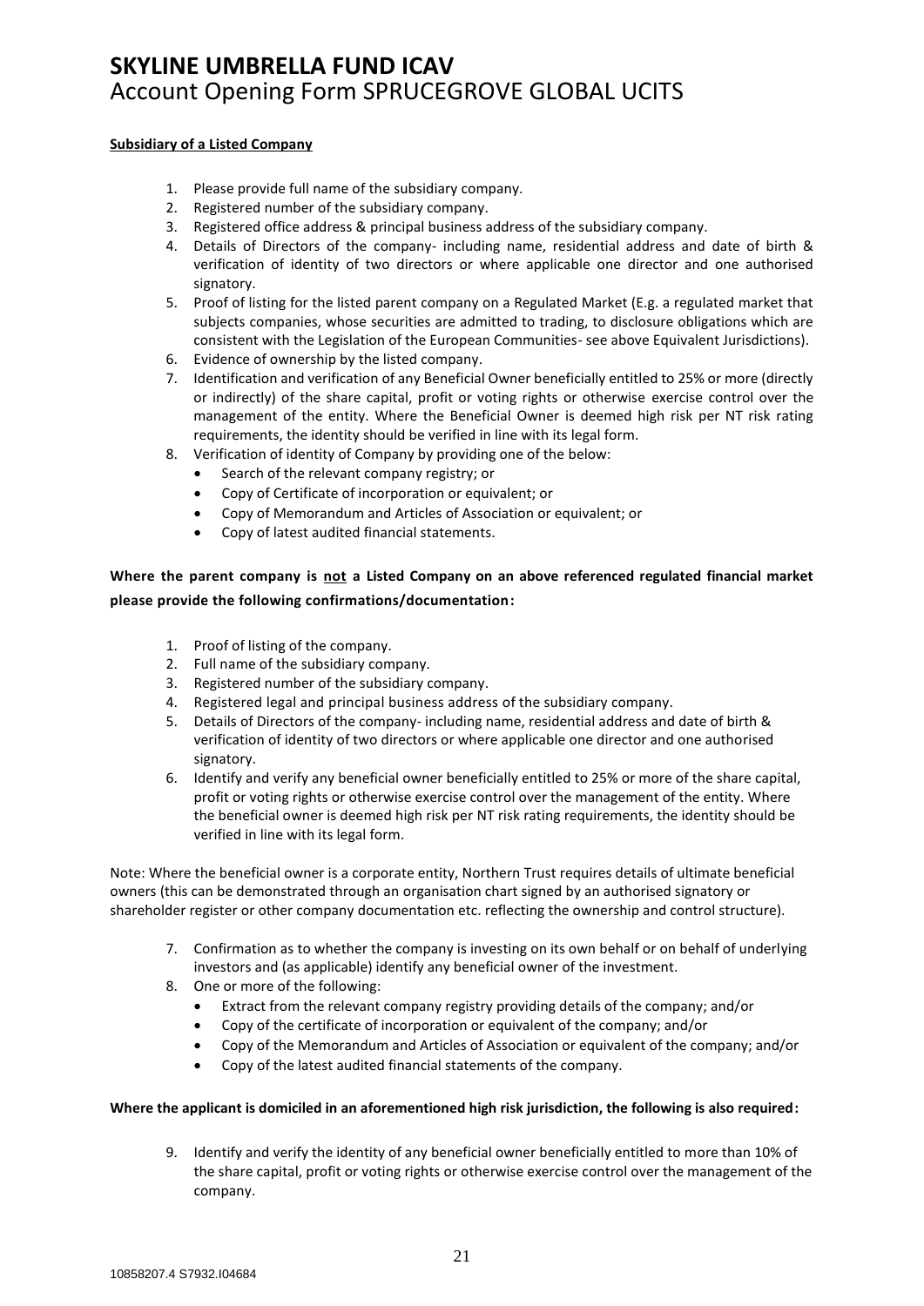#### **Subsidiary of a Listed Company**

- 1. Please provide full name of the subsidiary company.
- 2. Registered number of the subsidiary company.
- 3. Registered office address & principal business address of the subsidiary company.
- 4. Details of Directors of the company- including name, residential address and date of birth & verification of identity of two directors or where applicable one director and one authorised signatory.
- 5. Proof of listing for the listed parent company on a Regulated Market (E.g. a regulated market that subjects companies, whose securities are admitted to trading, to disclosure obligations which are consistent with the Legislation of the European Communities- see above Equivalent Jurisdictions).
- 6. Evidence of ownership by the listed company.
- 7. Identification and verification of any Beneficial Owner beneficially entitled to 25% or more (directly or indirectly) of the share capital, profit or voting rights or otherwise exercise control over the management of the entity. Where the Beneficial Owner is deemed high risk per NT risk rating requirements, the identity should be verified in line with its legal form.
- 8. Verification of identity of Company by providing one of the below:
	- Search of the relevant company registry; or
	- Copy of Certificate of incorporation or equivalent; or
	- Copy of Memorandum and Articles of Association or equivalent; or
	- Copy of latest audited financial statements.

### **Where the parent company is not a Listed Company on an above referenced regulated financial market please provide the following confirmations/documentation:**

- 1. Proof of listing of the company.
- 2. Full name of the subsidiary company.
- 3. Registered number of the subsidiary company.
- 4. Registered legal and principal business address of the subsidiary company.
- 5. Details of Directors of the company- including name, residential address and date of birth & verification of identity of two directors or where applicable one director and one authorised signatory.
- 6. Identify and verify any beneficial owner beneficially entitled to 25% or more of the share capital, profit or voting rights or otherwise exercise control over the management of the entity. Where the beneficial owner is deemed high risk per NT risk rating requirements, the identity should be verified in line with its legal form.

Note: Where the beneficial owner is a corporate entity, Northern Trust requires details of ultimate beneficial owners (this can be demonstrated through an organisation chart signed by an authorised signatory or shareholder register or other company documentation etc. reflecting the ownership and control structure).

- 7. Confirmation as to whether the company is investing on its own behalf or on behalf of underlying investors and (as applicable) identify any beneficial owner of the investment.
- 8. One or more of the following:
	- Extract from the relevant company registry providing details of the company; and/or
	- Copy of the certificate of incorporation or equivalent of the company; and/or
	- Copy of the Memorandum and Articles of Association or equivalent of the company; and/or
	- Copy of the latest audited financial statements of the company.

#### **Where the applicant is domiciled in an aforementioned high risk jurisdiction, the following is also required:**

9. Identify and verify the identity of any beneficial owner beneficially entitled to more than 10% of the share capital, profit or voting rights or otherwise exercise control over the management of the company.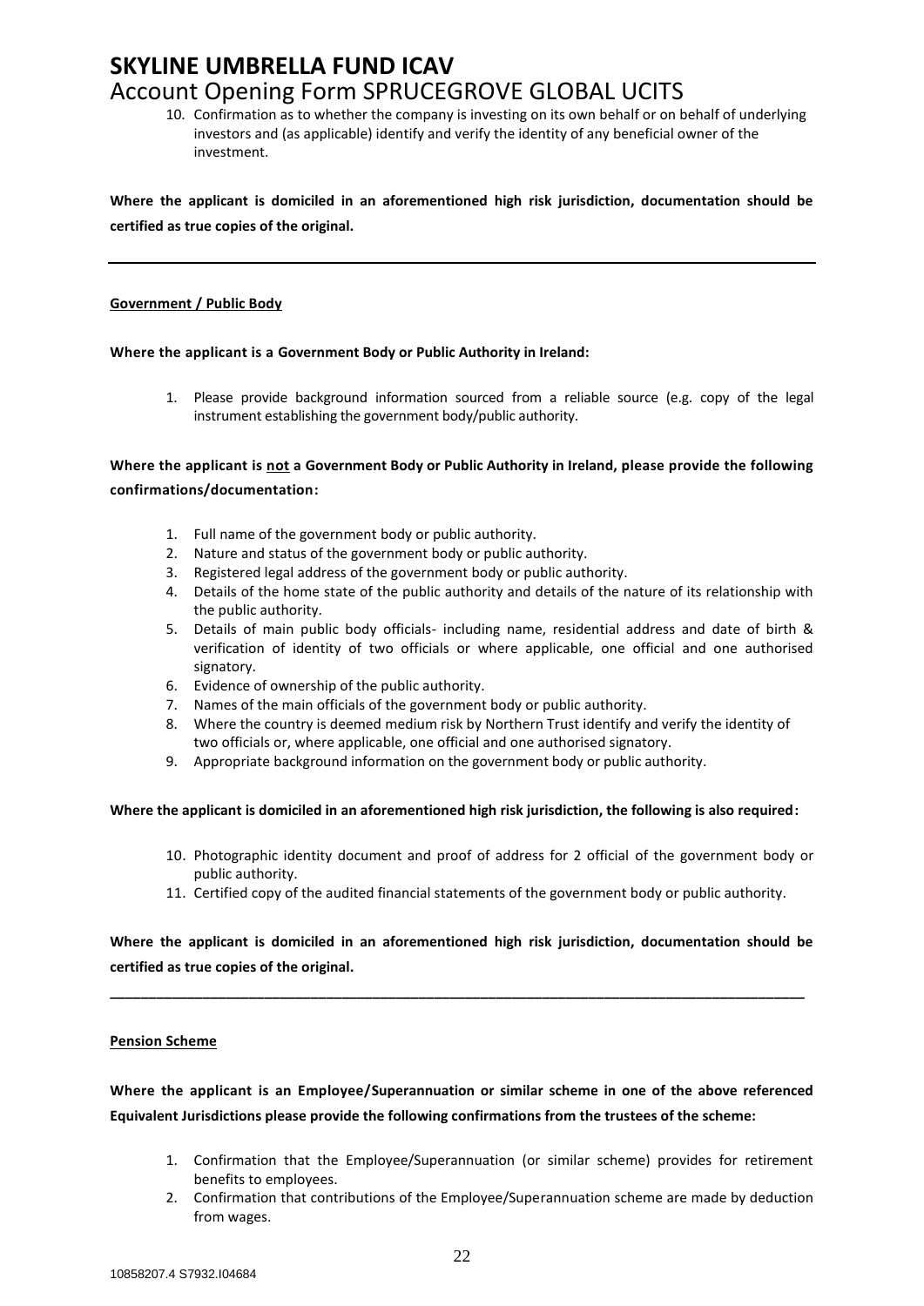10. Confirmation as to whether the company is investing on its own behalf or on behalf of underlying investors and (as applicable) identify and verify the identity of any beneficial owner of the investment.

**Where the applicant is domiciled in an aforementioned high risk jurisdiction, documentation should be certified as true copies of the original.**

#### **Government / Public Body**

#### **Where the applicant is a Government Body or Public Authority in Ireland:**

1. Please provide background information sourced from a reliable source (e.g. copy of the legal instrument establishing the government body/public authority.

**Where the applicant is not a Government Body or Public Authority in Ireland, please provide the following confirmations/documentation:**

- 1. Full name of the government body or public authority.
- 2. Nature and status of the government body or public authority.
- 3. Registered legal address of the government body or public authority.
- 4. Details of the home state of the public authority and details of the nature of its relationship with the public authority.
- 5. Details of main public body officials- including name, residential address and date of birth & verification of identity of two officials or where applicable, one official and one authorised signatory.
- 6. Evidence of ownership of the public authority.
- 7. Names of the main officials of the government body or public authority.
- 8. Where the country is deemed medium risk by Northern Trust identify and verify the identity of two officials or, where applicable, one official and one authorised signatory.
- 9. Appropriate background information on the government body or public authority.

#### **Where the applicant is domiciled in an aforementioned high risk jurisdiction, the following is also required:**

- 10. Photographic identity document and proof of address for 2 official of the government body or public authority.
- 11. Certified copy of the audited financial statements of the government body or public authority.

**Where the applicant is domiciled in an aforementioned high risk jurisdiction, documentation should be certified as true copies of the original.**

**\_\_\_\_\_\_\_\_\_\_\_\_\_\_\_\_\_\_\_\_\_\_\_\_\_\_\_\_\_\_\_\_\_\_\_\_\_\_\_\_\_\_\_\_\_\_\_\_\_\_\_\_\_\_\_\_\_\_\_\_\_\_\_\_\_\_\_\_\_\_\_\_\_\_\_\_\_\_\_\_\_\_\_\_\_\_\_\_\_\_**

#### **Pension Scheme**

**Where the applicant is an Employee/Superannuation or similar scheme in one of the above referenced Equivalent Jurisdictions please provide the following confirmations from the trustees of the scheme:**

- 1. Confirmation that the Employee/Superannuation (or similar scheme) provides for retirement benefits to employees.
- 2. Confirmation that contributions of the Employee/Superannuation scheme are made by deduction from wages.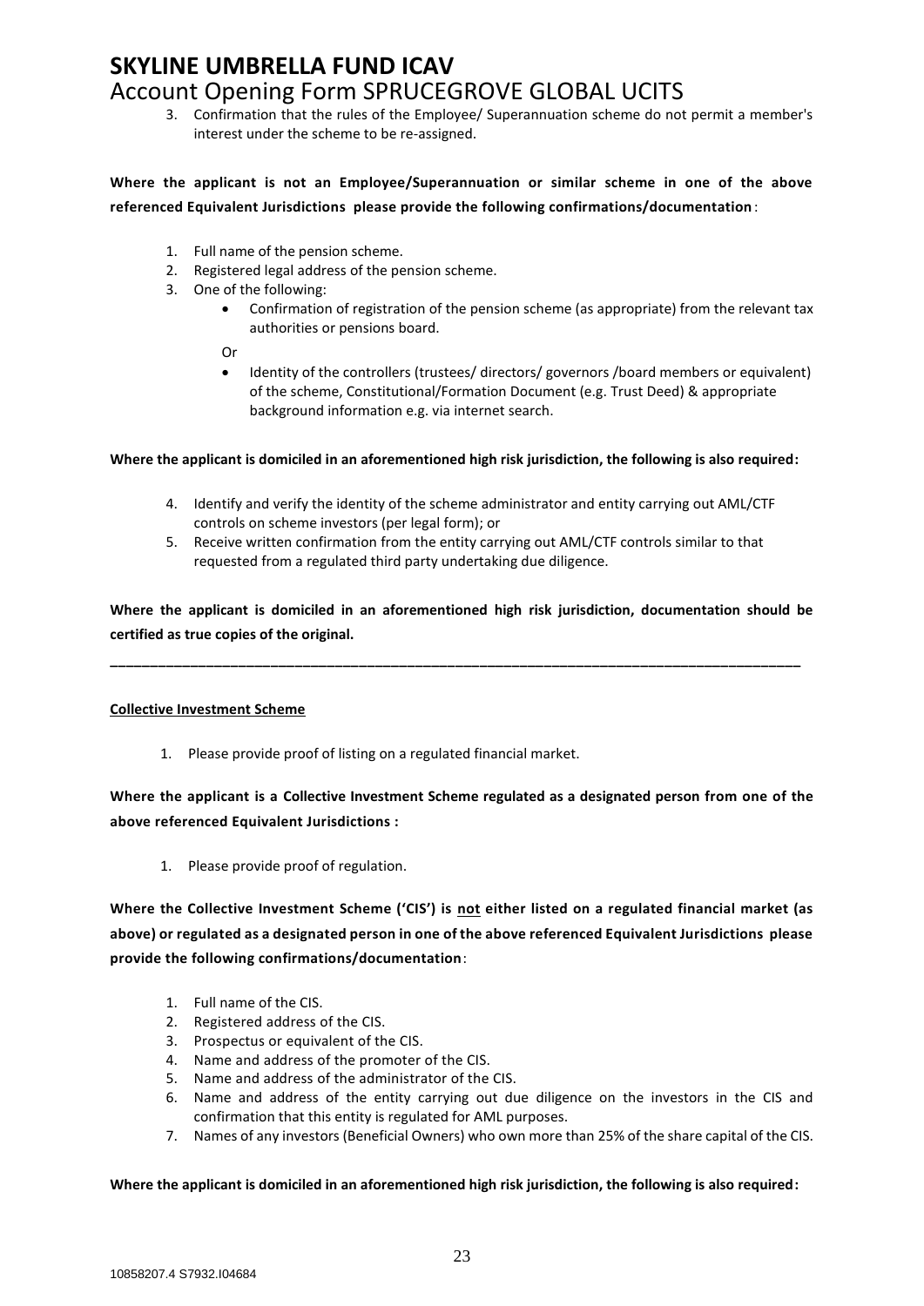3. Confirmation that the rules of the Employee/ Superannuation scheme do not permit a member's interest under the scheme to be re-assigned.

### **Where the applicant is not an Employee/Superannuation or similar scheme in one of the above referenced Equivalent Jurisdictions please provide the following confirmations/documentation** :

- 1. Full name of the pension scheme.
- 2. Registered legal address of the pension scheme.
- 3. One of the following:
	- Confirmation of registration of the pension scheme (as appropriate) from the relevant tax authorities or pensions board.
	- Or
	- Identity of the controllers (trustees/ directors/ governors /board members or equivalent) of the scheme, Constitutional/Formation Document (e.g. Trust Deed) & appropriate background information e.g. via internet search.

**Where the applicant is domiciled in an aforementioned high risk jurisdiction, the following is also required:**

- 4. Identify and verify the identity of the scheme administrator and entity carrying out AML/CTF controls on scheme investors (per legal form); or
- 5. Receive written confirmation from the entity carrying out AML/CTF controls similar to that requested from a regulated third party undertaking due diligence.

**Where the applicant is domiciled in an aforementioned high risk jurisdiction, documentation should be certified as true copies of the original.**

**\_\_\_\_\_\_\_\_\_\_\_\_\_\_\_\_\_\_\_\_\_\_\_\_\_\_\_\_\_\_\_\_\_\_\_\_\_\_\_\_\_\_\_\_\_\_\_\_\_\_\_\_\_\_\_\_\_\_\_\_\_\_\_\_\_\_\_\_\_\_\_\_\_\_\_\_\_\_\_\_\_\_\_\_\_\_**

#### **Collective Investment Scheme**

1. Please provide proof of listing on a regulated financial market.

**Where the applicant is a Collective Investment Scheme regulated as a designated person from one of the above referenced Equivalent Jurisdictions :**

1. Please provide proof of regulation.

**Where the Collective Investment Scheme ('CIS') is not either listed on a regulated financial market (as above) or regulated as a designated person in one of the above referenced Equivalent Jurisdictions please provide the following confirmations/documentation**:

- 1. Full name of the CIS.
- 2. Registered address of the CIS.
- 3. Prospectus or equivalent of the CIS.
- 4. Name and address of the promoter of the CIS.
- 5. Name and address of the administrator of the CIS.
- 6. Name and address of the entity carrying out due diligence on the investors in the CIS and confirmation that this entity is regulated for AML purposes.
- 7. Names of any investors (Beneficial Owners) who own more than 25% of the share capital of the CIS.

#### **Where the applicant is domiciled in an aforementioned high risk jurisdiction, the following is also required:**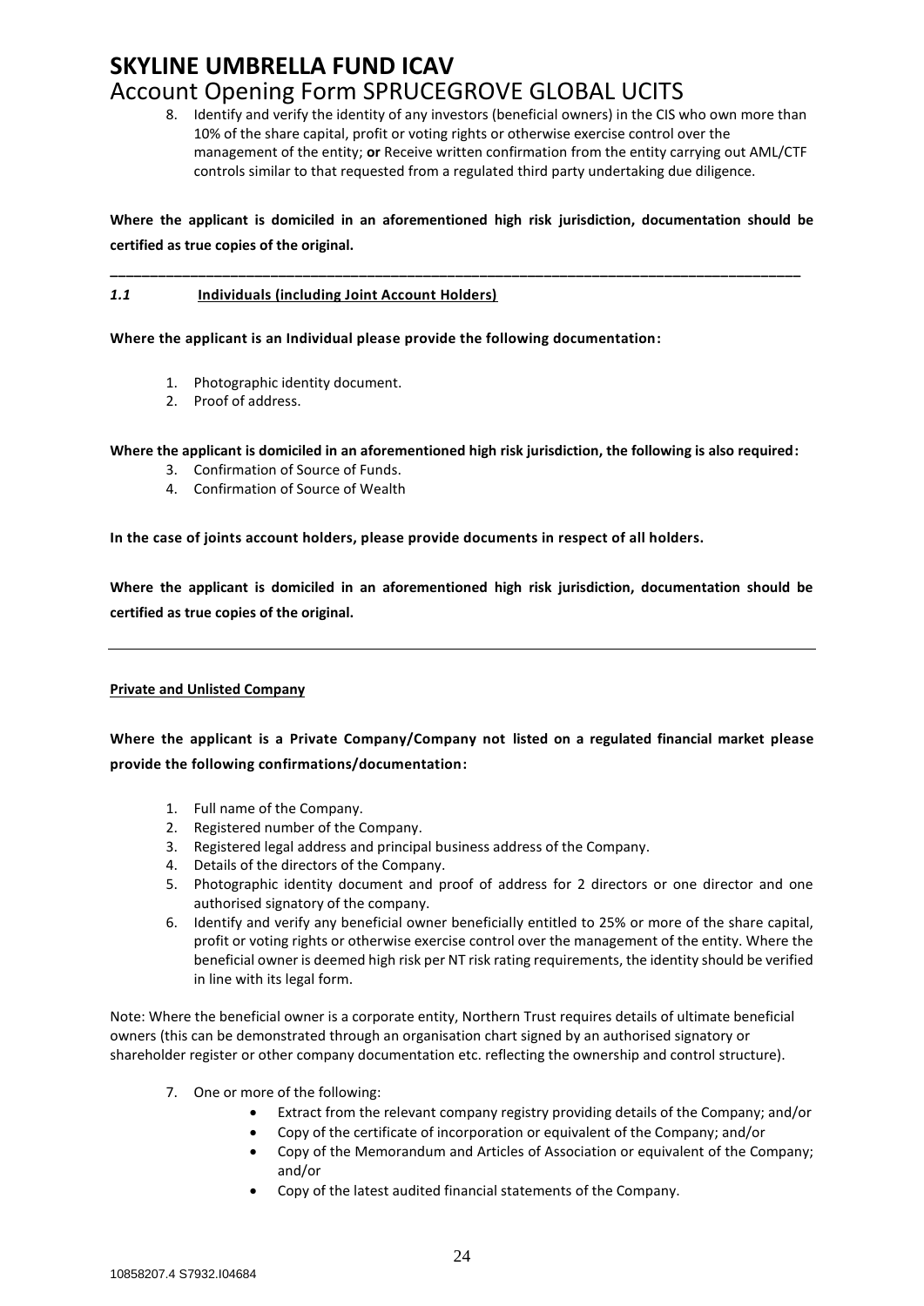8. Identify and verify the identity of any investors (beneficial owners) in the CIS who own more than 10% of the share capital, profit or voting rights or otherwise exercise control over the management of the entity; **or** Receive written confirmation from the entity carrying out AML/CTF controls similar to that requested from a regulated third party undertaking due diligence.

**Where the applicant is domiciled in an aforementioned high risk jurisdiction, documentation should be certified as true copies of the original.**

**\_\_\_\_\_\_\_\_\_\_\_\_\_\_\_\_\_\_\_\_\_\_\_\_\_\_\_\_\_\_\_\_\_\_\_\_\_\_\_\_\_\_\_\_\_\_\_\_\_\_\_\_\_\_\_\_\_\_\_\_\_\_\_\_\_\_\_\_\_\_\_\_\_\_\_\_\_\_\_\_\_\_\_\_\_\_**

#### *1.1* **Individuals (including Joint Account Holders)**

**Where the applicant is an Individual please provide the following documentation:**

- 1. Photographic identity document.
- 2. Proof of address.

**Where the applicant is domiciled in an aforementioned high risk jurisdiction, the following is also required:**

- 3. Confirmation of Source of Funds.
- 4. Confirmation of Source of Wealth

**In the case of joints account holders, please provide documents in respect of all holders.**

**Where the applicant is domiciled in an aforementioned high risk jurisdiction, documentation should be certified as true copies of the original.**

### **Private and Unlisted Company**

**Where the applicant is a Private Company/Company not listed on a regulated financial market please provide the following confirmations/documentation:**

- 1. Full name of the Company.
- 2. Registered number of the Company.
- 3. Registered legal address and principal business address of the Company.
- 4. Details of the directors of the Company.
- 5. Photographic identity document and proof of address for 2 directors or one director and one authorised signatory of the company.
- 6. Identify and verify any beneficial owner beneficially entitled to 25% or more of the share capital, profit or voting rights or otherwise exercise control over the management of the entity. Where the beneficial owner is deemed high risk per NT risk rating requirements, the identity should be verified in line with its legal form.

Note: Where the beneficial owner is a corporate entity, Northern Trust requires details of ultimate beneficial owners (this can be demonstrated through an organisation chart signed by an authorised signatory or shareholder register or other company documentation etc. reflecting the ownership and control structure).

- 7. One or more of the following:
	- Extract from the relevant company registry providing details of the Company; and/or
	- Copy of the certificate of incorporation or equivalent of the Company; and/or
	- Copy of the Memorandum and Articles of Association or equivalent of the Company; and/or
	- Copy of the latest audited financial statements of the Company.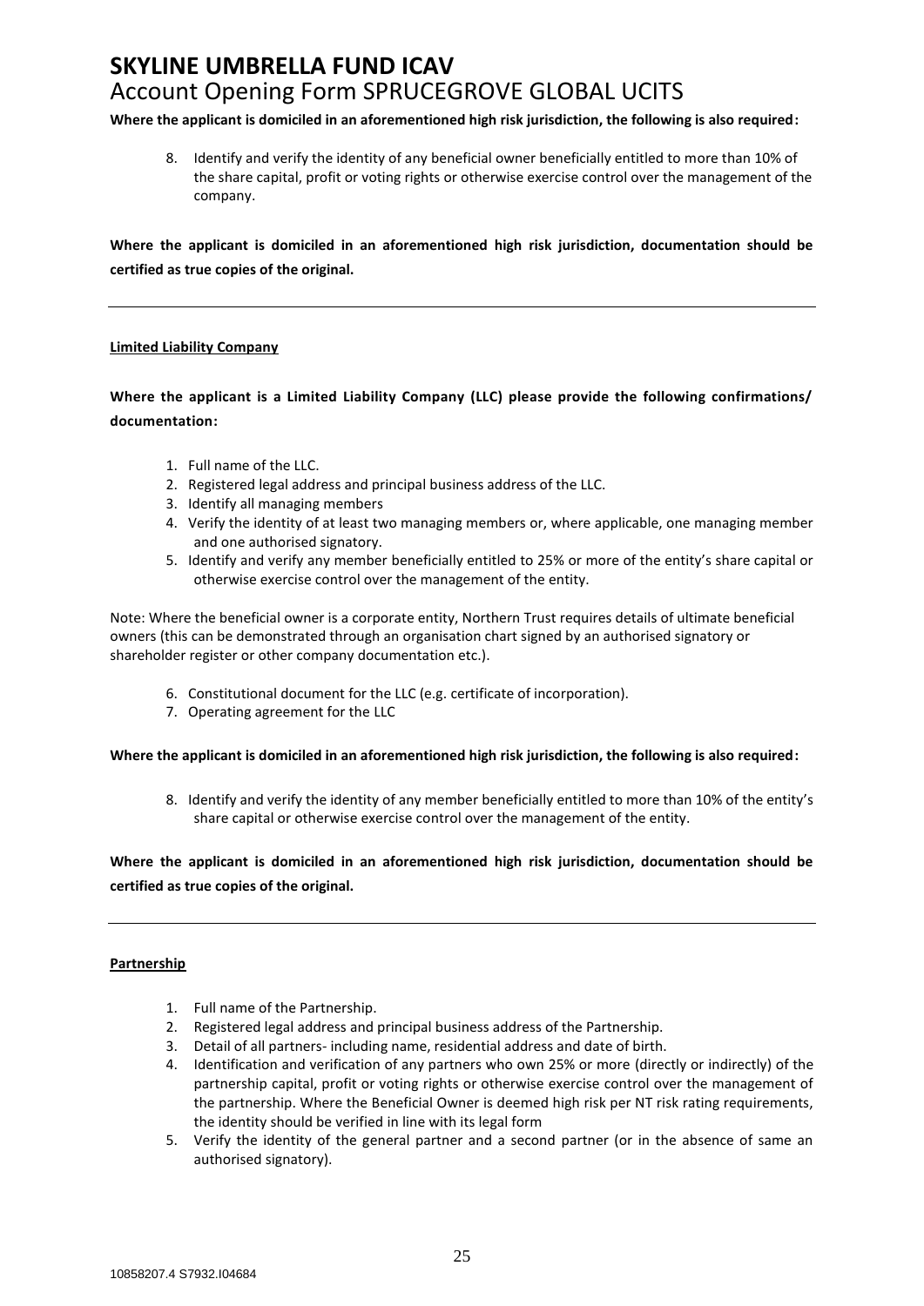**Where the applicant is domiciled in an aforementioned high risk jurisdiction, the following is also required:**

8. Identify and verify the identity of any beneficial owner beneficially entitled to more than 10% of the share capital, profit or voting rights or otherwise exercise control over the management of the company.

**Where the applicant is domiciled in an aforementioned high risk jurisdiction, documentation should be certified as true copies of the original.**

#### **Limited Liability Company**

**Where the applicant is a Limited Liability Company (LLC) please provide the following confirmations/ documentation:**

- 1. Full name of the LLC.
- 2. Registered legal address and principal business address of the LLC.
- 3. Identify all managing members
- 4. Verify the identity of at least two managing members or, where applicable, one managing member and one authorised signatory.
- 5. Identify and verify any member beneficially entitled to 25% or more of the entity's share capital or otherwise exercise control over the management of the entity.

Note: Where the beneficial owner is a corporate entity, Northern Trust requires details of ultimate beneficial owners (this can be demonstrated through an organisation chart signed by an authorised signatory or shareholder register or other company documentation etc.).

- 6. Constitutional document for the LLC (e.g. certificate of incorporation).
- 7. Operating agreement for the LLC

**Where the applicant is domiciled in an aforementioned high risk jurisdiction, the following is also required:**

8. Identify and verify the identity of any member beneficially entitled to more than 10% of the entity's share capital or otherwise exercise control over the management of the entity.

**Where the applicant is domiciled in an aforementioned high risk jurisdiction, documentation should be certified as true copies of the original.**

#### **Partnership**

- 1. Full name of the Partnership.
- 2. Registered legal address and principal business address of the Partnership.
- 3. Detail of all partners- including name, residential address and date of birth.
- 4. Identification and verification of any partners who own 25% or more (directly or indirectly) of the partnership capital, profit or voting rights or otherwise exercise control over the management of the partnership. Where the Beneficial Owner is deemed high risk per NT risk rating requirements, the identity should be verified in line with its legal form
- 5. Verify the identity of the general partner and a second partner (or in the absence of same an authorised signatory).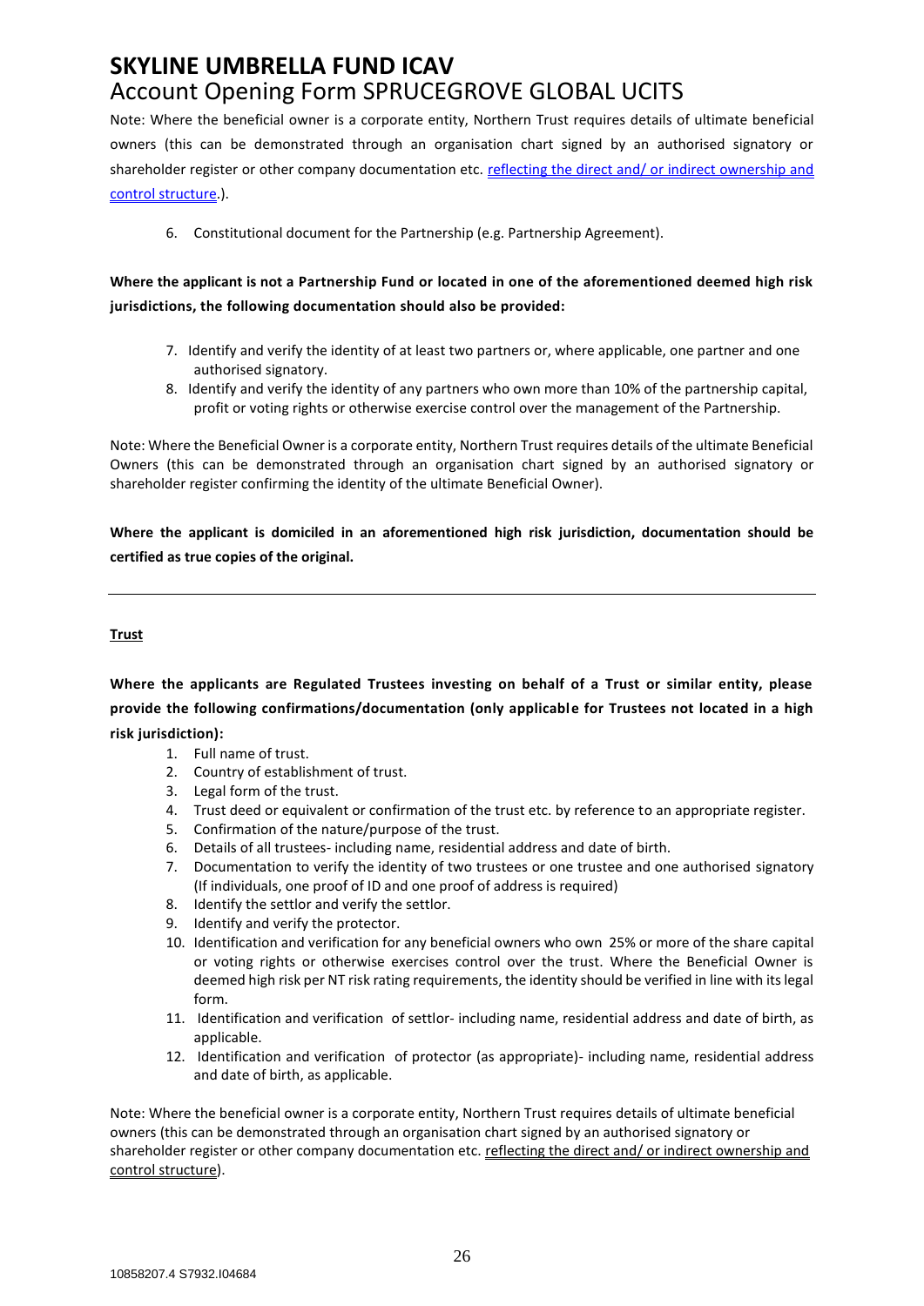Note: Where the beneficial owner is a corporate entity, Northern Trust requires details of ultimate beneficial owners (this can be demonstrated through an organisation chart signed by an authorised signatory or shareholder register or other company documentation etc. reflecting the direct and/ or indirect ownership and control structure.).

6. Constitutional document for the Partnership (e.g. Partnership Agreement).

## **Where the applicant is not a Partnership Fund or located in one of the aforementioned deemed high risk jurisdictions, the following documentation should also be provided:**

- 7. Identify and verify the identity of at least two partners or, where applicable, one partner and one authorised signatory.
- 8. Identify and verify the identity of any partners who own more than 10% of the partnership capital, profit or voting rights or otherwise exercise control over the management of the Partnership.

Note: Where the Beneficial Owner is a corporate entity, Northern Trust requires details of the ultimate Beneficial Owners (this can be demonstrated through an organisation chart signed by an authorised signatory or shareholder register confirming the identity of the ultimate Beneficial Owner).

**Where the applicant is domiciled in an aforementioned high risk jurisdiction, documentation should be certified as true copies of the original.**

### **Trust**

**Where the applicants are Regulated Trustees investing on behalf of a Trust or similar entity, please provide the following confirmations/documentation (only applicable for Trustees not located in a high risk jurisdiction):**

- 1. Full name of trust.
- 2. Country of establishment of trust.
- 3. Legal form of the trust.
- 4. Trust deed or equivalent or confirmation of the trust etc. by reference to an appropriate register.
- 5. Confirmation of the nature/purpose of the trust.
- 6. Details of all trustees- including name, residential address and date of birth.
- 7. Documentation to verify the identity of two trustees or one trustee and one authorised signatory (If individuals, one proof of ID and one proof of address is required)
- 8. Identify the settlor and verify the settlor.
- 9. Identify and verify the protector.
- 10. Identification and verification for any beneficial owners who own 25% or more of the share capital or voting rights or otherwise exercises control over the trust. Where the Beneficial Owner is deemed high risk per NT risk rating requirements, the identity should be verified in line with its legal form.
- 11. Identification and verification of settlor- including name, residential address and date of birth, as applicable.
- 12. Identification and verification of protector (as appropriate)- including name, residential address and date of birth, as applicable.

Note: Where the beneficial owner is a corporate entity, Northern Trust requires details of ultimate beneficial owners (this can be demonstrated through an organisation chart signed by an authorised signatory or shareholder register or other company documentation etc. reflecting the direct and/ or indirect ownership and control structure).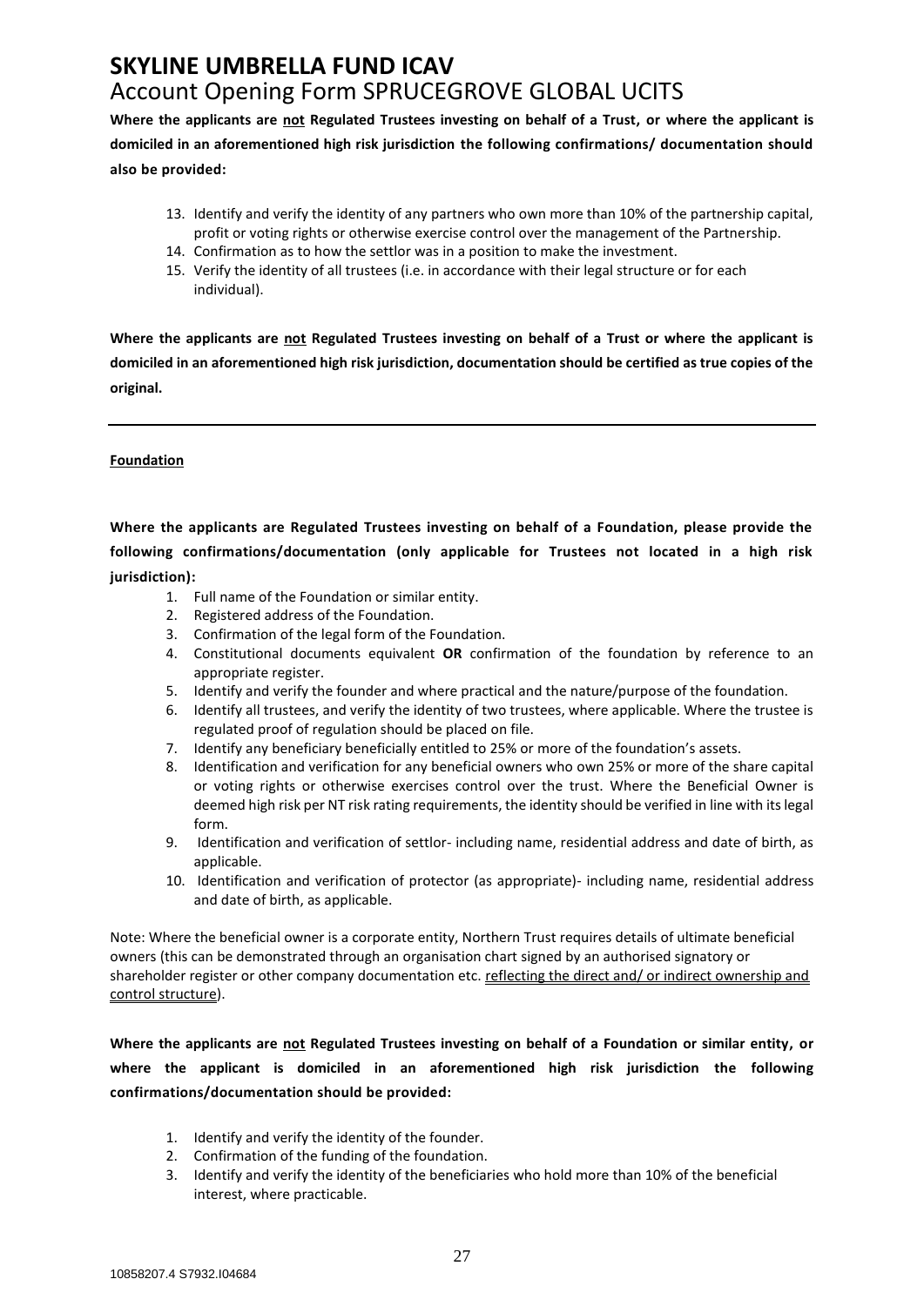**Where the applicants are not Regulated Trustees investing on behalf of a Trust, or where the applicant is domiciled in an aforementioned high risk jurisdiction the following confirmations/ documentation should also be provided:**

- 13. Identify and verify the identity of any partners who own more than 10% of the partnership capital, profit or voting rights or otherwise exercise control over the management of the Partnership.
- 14. Confirmation as to how the settlor was in a position to make the investment.
- 15. Verify the identity of all trustees (i.e. in accordance with their legal structure or for each individual).

**Where the applicants are not Regulated Trustees investing on behalf of a Trust or where the applicant is domiciled in an aforementioned high risk jurisdiction, documentation should be certified as true copies of the original.**

### **Foundation**

**Where the applicants are Regulated Trustees investing on behalf of a Foundation, please provide the following confirmations/documentation (only applicable for Trustees not located in a high risk jurisdiction):**

- 1. Full name of the Foundation or similar entity.
- 2. Registered address of the Foundation.
- 3. Confirmation of the legal form of the Foundation.
- 4. Constitutional documents equivalent **OR** confirmation of the foundation by reference to an appropriate register.
- 5. Identify and verify the founder and where practical and the nature/purpose of the foundation.
- 6. Identify all trustees, and verify the identity of two trustees, where applicable. Where the trustee is regulated proof of regulation should be placed on file.
- 7. Identify any beneficiary beneficially entitled to 25% or more of the foundation's assets.
- 8. Identification and verification for any beneficial owners who own 25% or more of the share capital or voting rights or otherwise exercises control over the trust. Where the Beneficial Owner is deemed high risk per NT risk rating requirements, the identity should be verified in line with its legal form.
- 9. Identification and verification of settlor- including name, residential address and date of birth, as applicable.
- 10. Identification and verification of protector (as appropriate)- including name, residential address and date of birth, as applicable.

Note: Where the beneficial owner is a corporate entity, Northern Trust requires details of ultimate beneficial owners (this can be demonstrated through an organisation chart signed by an authorised signatory or shareholder register or other company documentation etc. reflecting the direct and/ or indirect ownership and control structure).

**Where the applicants are not Regulated Trustees investing on behalf of a Foundation or similar entity, or where the applicant is domiciled in an aforementioned high risk jurisdiction the following confirmations/documentation should be provided:**

- 1. Identify and verify the identity of the founder.
- 2. Confirmation of the funding of the foundation.
- 3. Identify and verify the identity of the beneficiaries who hold more than 10% of the beneficial interest, where practicable.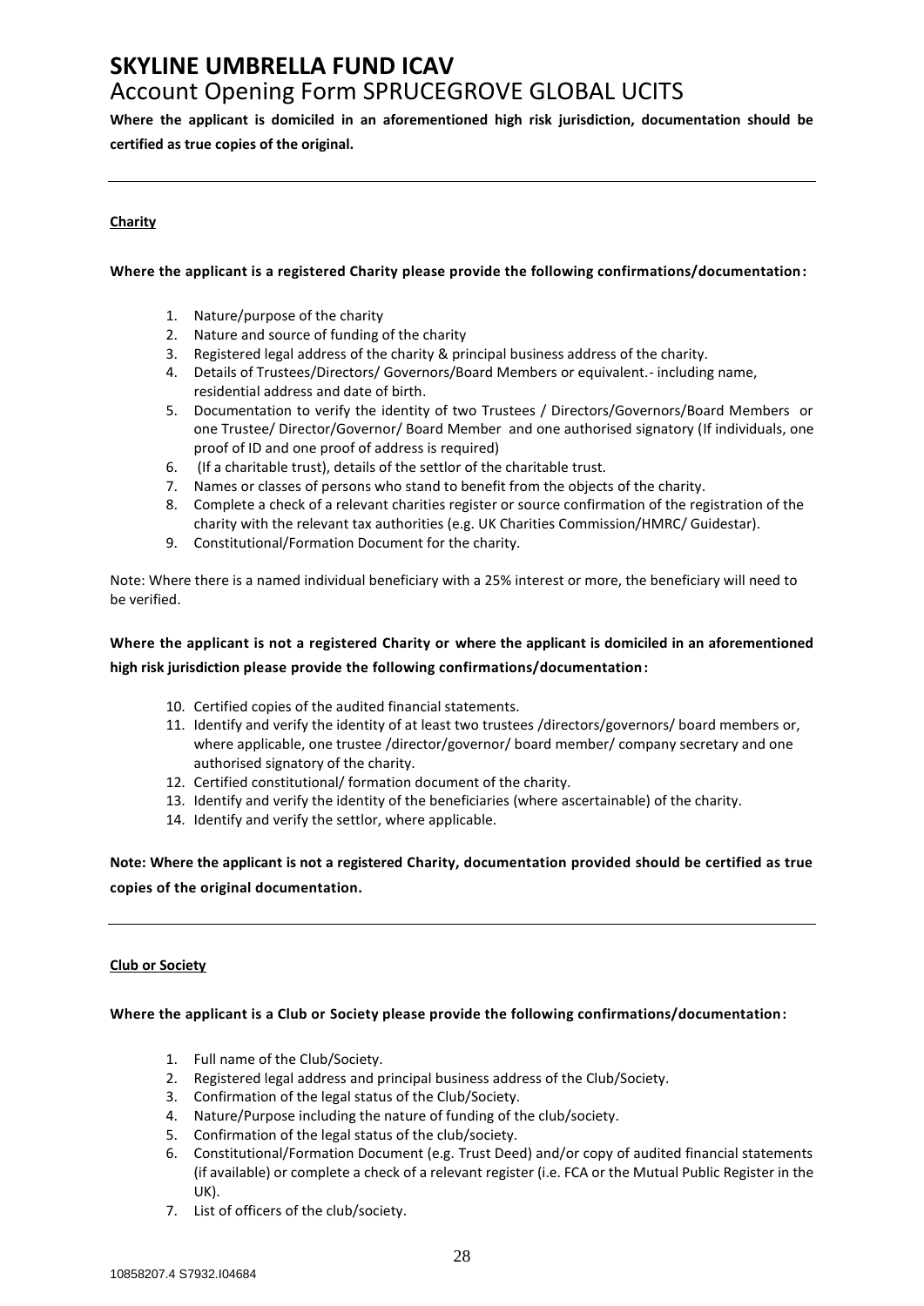# **SKYLINE UMBRELLA FUND ICAV**

# Account Opening Form SPRUCEGROVE GLOBAL UCITS

**Where the applicant is domiciled in an aforementioned high risk jurisdiction, documentation should be certified as true copies of the original.**

### **Charity**

### **Where the applicant is a registered Charity please provide the following confirmations/documentation:**

- 1. Nature/purpose of the charity
- 2. Nature and source of funding of the charity
- 3. Registered legal address of the charity & principal business address of the charity.
- 4. Details of Trustees/Directors/ Governors/Board Members or equivalent.- including name, residential address and date of birth.
- 5. Documentation to verify the identity of two Trustees / Directors/Governors/Board Members or one Trustee/ Director/Governor/ Board Member and one authorised signatory (If individuals, one proof of ID and one proof of address is required)
- 6. (If a charitable trust), details of the settlor of the charitable trust.
- 7. Names or classes of persons who stand to benefit from the objects of the charity.
- 8. Complete a check of a relevant charities register or source confirmation of the registration of the charity with the relevant tax authorities (e.g. UK Charities Commission/HMRC/ Guidestar).
- 9. Constitutional/Formation Document for the charity.

Note: Where there is a named individual beneficiary with a 25% interest or more, the beneficiary will need to be verified.

### **Where the applicant is not a registered Charity or where the applicant is domiciled in an aforementioned high risk jurisdiction please provide the following confirmations/documentation:**

- 10. Certified copies of the audited financial statements.
- 11. Identify and verify the identity of at least two trustees /directors/governors/ board members or, where applicable, one trustee /director/governor/ board member/ company secretary and one authorised signatory of the charity.
- 12. Certified constitutional/ formation document of the charity.
- 13. Identify and verify the identity of the beneficiaries (where ascertainable) of the charity.
- 14. Identify and verify the settlor, where applicable.

### **Note: Where the applicant is not a registered Charity, documentation provided should be certified as true copies of the original documentation.**

### **Club or Society**

#### **Where the applicant is a Club or Society please provide the following confirmations/documentation:**

- 1. Full name of the Club/Society.
- 2. Registered legal address and principal business address of the Club/Society.
- 3. Confirmation of the legal status of the Club/Society.
- 4. Nature/Purpose including the nature of funding of the club/society.
- 5. Confirmation of the legal status of the club/society.
- 6. Constitutional/Formation Document (e.g. Trust Deed) and/or copy of audited financial statements (if available) or complete a check of a relevant register (i.e. FCA or the Mutual Public Register in the UK).
- 7. List of officers of the club/society.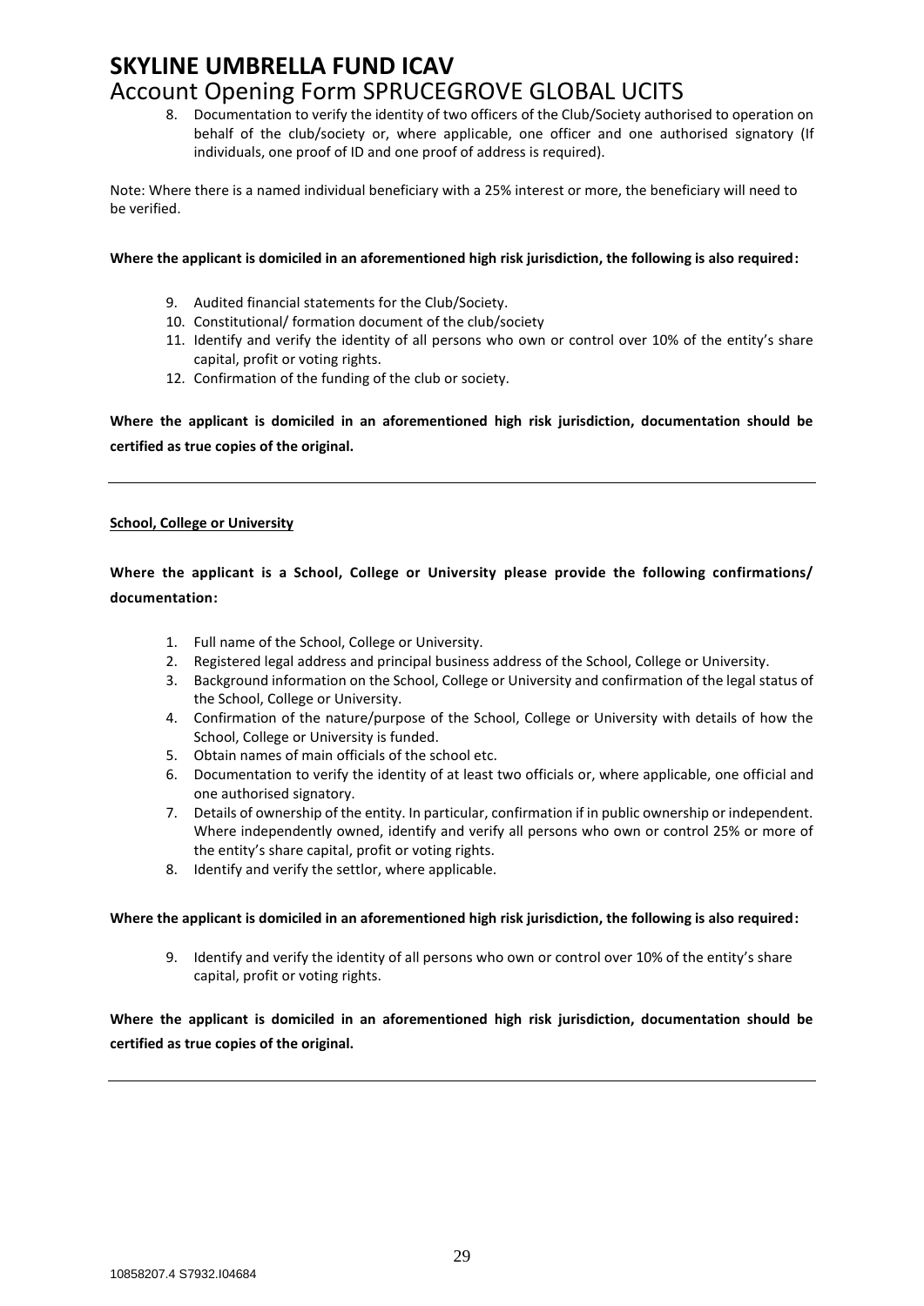8. Documentation to verify the identity of two officers of the Club/Society authorised to operation on behalf of the club/society or, where applicable, one officer and one authorised signatory (If individuals, one proof of ID and one proof of address is required).

Note: Where there is a named individual beneficiary with a 25% interest or more, the beneficiary will need to be verified.

#### **Where the applicant is domiciled in an aforementioned high risk jurisdiction, the following is also required:**

- 9. Audited financial statements for the Club/Society.
- 10. Constitutional/ formation document of the club/society
- 11. Identify and verify the identity of all persons who own or control over 10% of the entity's share capital, profit or voting rights.
- 12. Confirmation of the funding of the club or society.

**Where the applicant is domiciled in an aforementioned high risk jurisdiction, documentation should be certified as true copies of the original.**

#### **School, College or University**

### **Where the applicant is a School, College or University please provide the following confirmations/ documentation:**

- 1. Full name of the School, College or University.
- 2. Registered legal address and principal business address of the School, College or University.
- 3. Background information on the School, College or University and confirmation of the legal status of the School, College or University.
- 4. Confirmation of the nature/purpose of the School, College or University with details of how the School, College or University is funded.
- 5. Obtain names of main officials of the school etc.
- 6. Documentation to verify the identity of at least two officials or, where applicable, one official and one authorised signatory.
- 7. Details of ownership of the entity. In particular, confirmation if in public ownership or independent. Where independently owned, identify and verify all persons who own or control 25% or more of the entity's share capital, profit or voting rights.
- 8. Identify and verify the settlor, where applicable.

#### **Where the applicant is domiciled in an aforementioned high risk jurisdiction, the following is also required:**

9. Identify and verify the identity of all persons who own or control over 10% of the entity's share capital, profit or voting rights.

**Where the applicant is domiciled in an aforementioned high risk jurisdiction, documentation should be certified as true copies of the original.**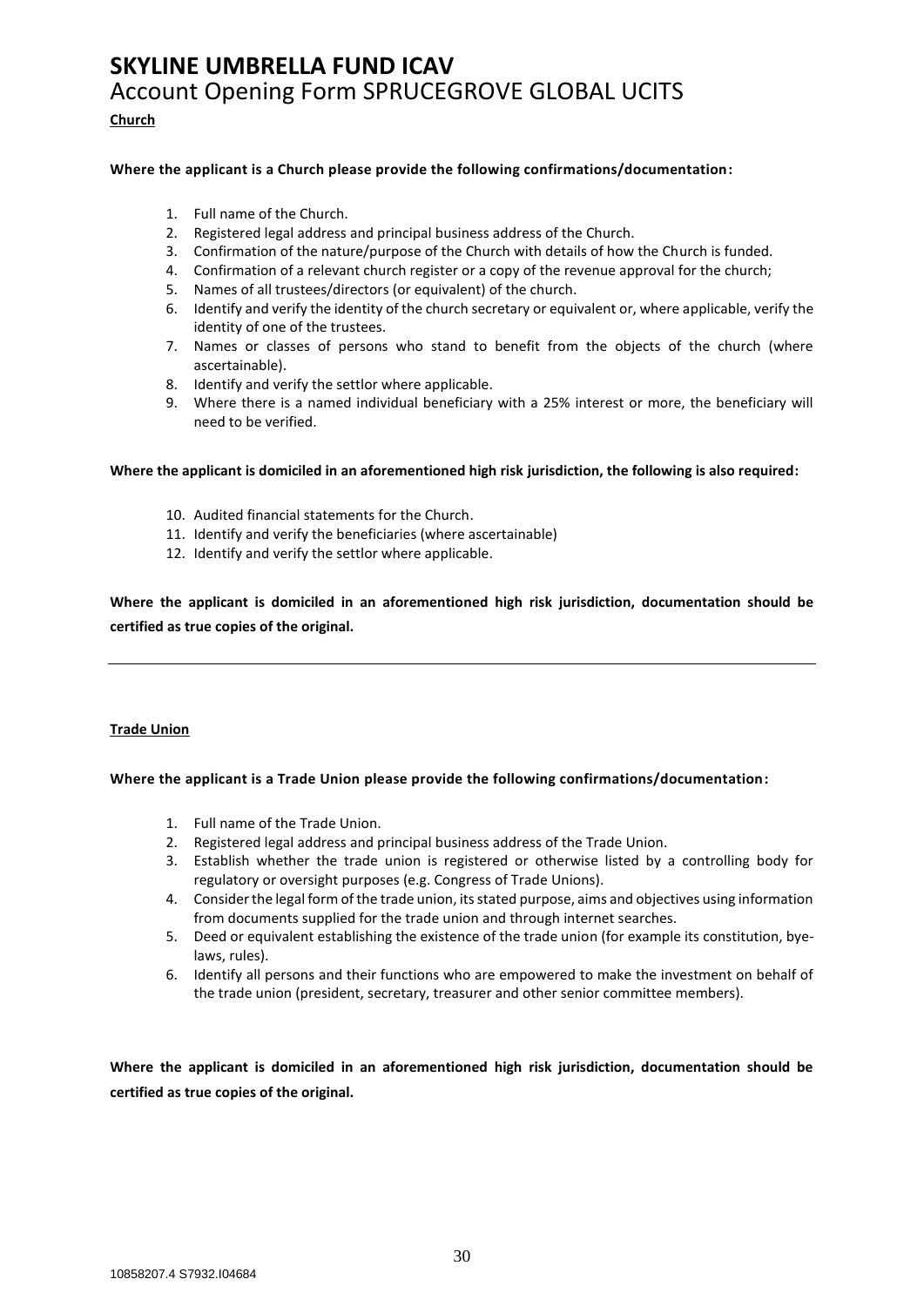### **Church**

#### **Where the applicant is a Church please provide the following confirmations/documentation:**

- 1. Full name of the Church.
- 2. Registered legal address and principal business address of the Church.
- 3. Confirmation of the nature/purpose of the Church with details of how the Church is funded.
- 4. Confirmation of a relevant church register or a copy of the revenue approval for the church;
- 5. Names of all trustees/directors (or equivalent) of the church.
- 6. Identify and verify the identity of the church secretary or equivalent or, where applicable, verify the identity of one of the trustees.
- 7. Names or classes of persons who stand to benefit from the objects of the church (where ascertainable).
- 8. Identify and verify the settlor where applicable.
- 9. Where there is a named individual beneficiary with a 25% interest or more, the beneficiary will need to be verified.

#### **Where the applicant is domiciled in an aforementioned high risk jurisdiction, the following is also required:**

- 10. Audited financial statements for the Church.
- 11. Identify and verify the beneficiaries (where ascertainable)
- 12. Identify and verify the settlor where applicable.

**Where the applicant is domiciled in an aforementioned high risk jurisdiction, documentation should be certified as true copies of the original.**

#### **Trade Union**

#### **Where the applicant is a Trade Union please provide the following confirmations/documentation:**

- 1. Full name of the Trade Union.
- 2. Registered legal address and principal business address of the Trade Union.
- 3. Establish whether the trade union is registered or otherwise listed by a controlling body for regulatory or oversight purposes (e.g. Congress of Trade Unions).
- 4. Consider the legal form of the trade union, its stated purpose, aims and objectives using information from documents supplied for the trade union and through internet searches.
- 5. Deed or equivalent establishing the existence of the trade union (for example its constitution, byelaws, rules).
- 6. Identify all persons and their functions who are empowered to make the investment on behalf of the trade union (president, secretary, treasurer and other senior committee members).

**Where the applicant is domiciled in an aforementioned high risk jurisdiction, documentation should be certified as true copies of the original.**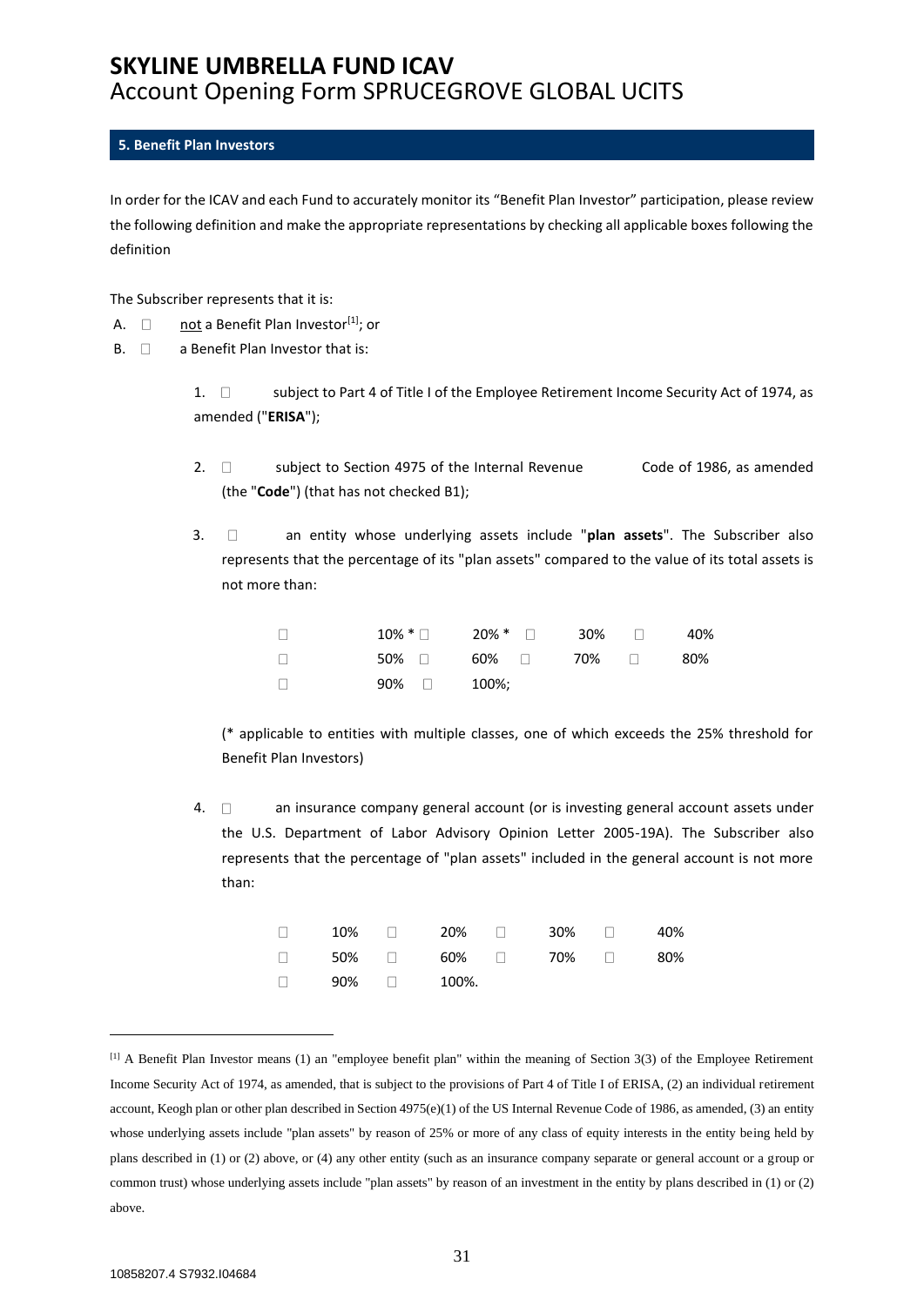### <span id="page-30-0"></span>**5. Benefit Plan Investors**

In order for the ICAV and each Fund to accurately monitor its "Benefit Plan Investor" participation, please review the following definition and make the appropriate representations by checking all applicable boxes following the definition

The Subscriber represents that it is:

- A.  $\Box$  not a Benefit Plan Investor<sup>[1]</sup>; or
- $B. \Box$  a Benefit Plan Investor that is:

1.  $\Box$  subject to Part 4 of Title I of the Employee Retirement Income Security Act of 1974, as amended ("**ERISA**");

- 2.  $\Box$  subject to Section 4975 of the Internal Revenue Code of 1986, as amended (the "**Code**") (that has not checked B1);
- 3. an entity whose underlying assets include "**plan assets**". The Subscriber also represents that the percentage of its "plan assets" compared to the value of its total assets is not more than:

| $\Box$ |              | $10\%$ * $\Box$ $20\%$ * $\Box$ $30\%$ $\Box$ |  | 40% |
|--------|--------------|-----------------------------------------------|--|-----|
| $\Box$ |              | $50\%$ $\Box$ 60% $\Box$ 70% $\Box$           |  | 80% |
| $\Box$ | $90\%$ 200%; |                                               |  |     |

(\* applicable to entities with multiple classes, one of which exceeds the 25% threshold for Benefit Plan Investors)

4.  $\Box$  an insurance company general account (or is investing general account assets under the U.S. Department of Labor Advisory Opinion Letter 2005-19A). The Subscriber also represents that the percentage of "plan assets" included in the general account is not more than:

|                         |  |  | $\Box$ 10% $\Box$ 20% $\Box$ 30% $\Box$ 40% |  |
|-------------------------|--|--|---------------------------------------------|--|
|                         |  |  | $\Box$ 50% $\Box$ 60% $\Box$ 70% $\Box$ 80% |  |
| $\Box$ 90% $\Box$ 100%. |  |  |                                             |  |

<sup>[1]</sup> A Benefit Plan Investor means (1) an "employee benefit plan" within the meaning of Section 3(3) of the Employee Retirement Income Security Act of 1974, as amended, that is subject to the provisions of Part 4 of Title I of ERISA, (2) an individual retirement account, Keogh plan or other plan described in Section 4975(e)(1) of the US Internal Revenue Code of 1986, as amended, (3) an entity whose underlying assets include "plan assets" by reason of 25% or more of any class of equity interests in the entity being held by plans described in (1) or (2) above, or (4) any other entity (such as an insurance company separate or general account or a group or common trust) whose underlying assets include "plan assets" by reason of an investment in the entity by plans described in (1) or (2) above.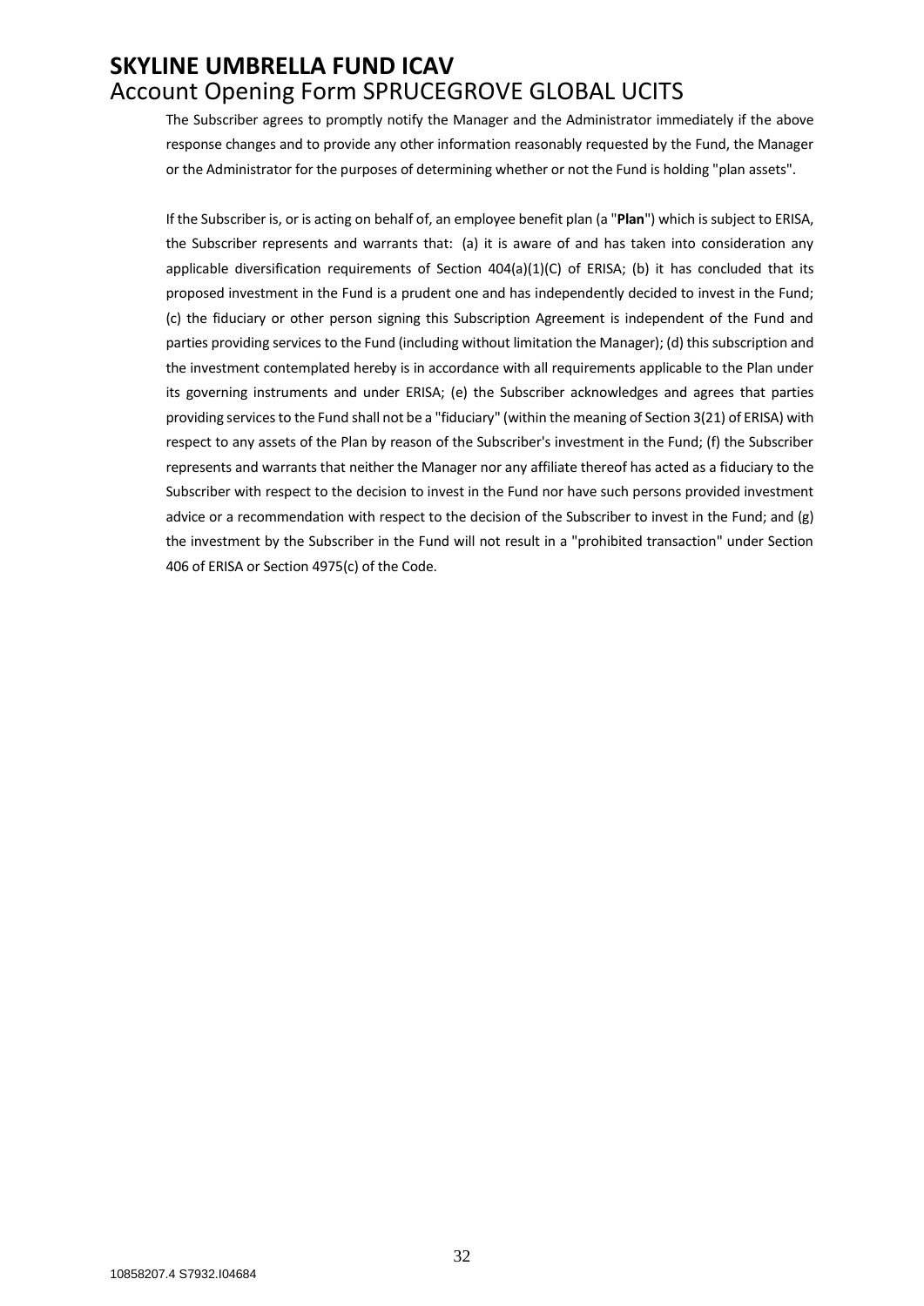The Subscriber agrees to promptly notify the Manager and the Administrator immediately if the above response changes and to provide any other information reasonably requested by the Fund, the Manager or the Administrator for the purposes of determining whether or not the Fund is holding "plan assets".

If the Subscriber is, or is acting on behalf of, an employee benefit plan (a "**Plan**") which is subject to ERISA, the Subscriber represents and warrants that: (a) it is aware of and has taken into consideration any applicable diversification requirements of Section  $404(a)(1)(C)$  of ERISA; (b) it has concluded that its proposed investment in the Fund is a prudent one and has independently decided to invest in the Fund; (c) the fiduciary or other person signing this Subscription Agreement is independent of the Fund and parties providing services to the Fund (including without limitation the Manager); (d) this subscription and the investment contemplated hereby is in accordance with all requirements applicable to the Plan under its governing instruments and under ERISA; (e) the Subscriber acknowledges and agrees that parties providing services to the Fund shall not be a "fiduciary" (within the meaning of Section 3(21) of ERISA) with respect to any assets of the Plan by reason of the Subscriber's investment in the Fund; (f) the Subscriber represents and warrants that neither the Manager nor any affiliate thereof has acted as a fiduciary to the Subscriber with respect to the decision to invest in the Fund nor have such persons provided investment advice or a recommendation with respect to the decision of the Subscriber to invest in the Fund; and (g) the investment by the Subscriber in the Fund will not result in a "prohibited transaction" under Section 406 of ERISA or Section 4975(c) of the Code.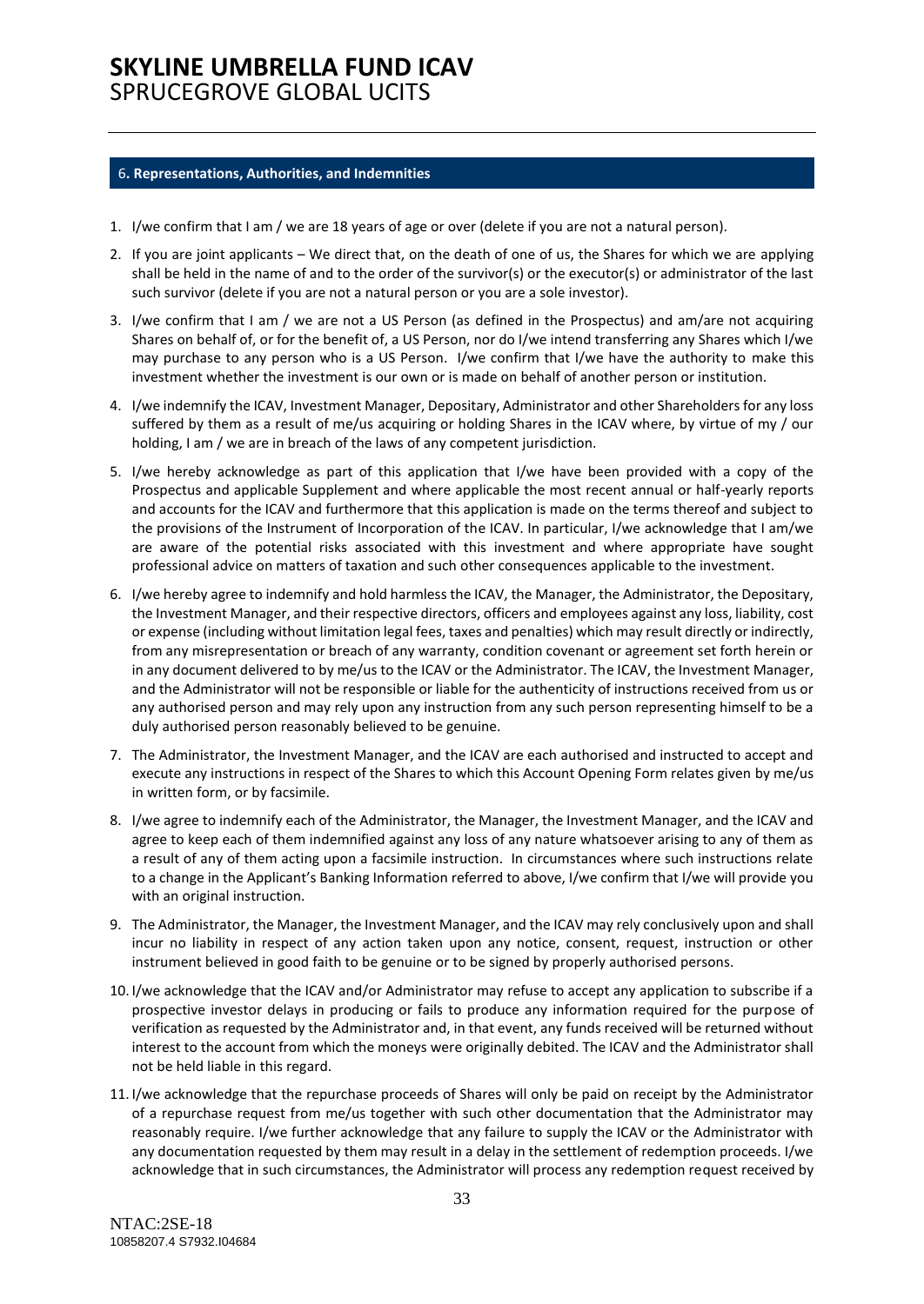#### <span id="page-32-0"></span>6**. Representations, Authorities, and Indemnities**

- 1. I/we confirm that I am / we are 18 years of age or over (delete if you are not a natural person).
- 2. If you are joint applicants We direct that, on the death of one of us, the Shares for which we are applying shall be held in the name of and to the order of the survivor(s) or the executor(s) or administrator of the last such survivor (delete if you are not a natural person or you are a sole investor).
- 3. I/we confirm that I am / we are not a US Person (as defined in the Prospectus) and am/are not acquiring Shares on behalf of, or for the benefit of, a US Person, nor do I/we intend transferring any Shares which I/we may purchase to any person who is a US Person. I/we confirm that I/we have the authority to make this investment whether the investment is our own or is made on behalf of another person or institution.
- 4. I/we indemnify the ICAV, Investment Manager, Depositary, Administrator and other Shareholders for any loss suffered by them as a result of me/us acquiring or holding Shares in the ICAV where, by virtue of my / our holding, I am / we are in breach of the laws of any competent jurisdiction.
- 5. I/we hereby acknowledge as part of this application that I/we have been provided with a copy of the Prospectus and applicable Supplement and where applicable the most recent annual or half-yearly reports and accounts for the ICAV and furthermore that this application is made on the terms thereof and subject to the provisions of the Instrument of Incorporation of the ICAV. In particular, I/we acknowledge that I am/we are aware of the potential risks associated with this investment and where appropriate have sought professional advice on matters of taxation and such other consequences applicable to the investment.
- 6. I/we hereby agree to indemnify and hold harmless the ICAV, the Manager, the Administrator, the Depositary, the Investment Manager, and their respective directors, officers and employees against any loss, liability, cost or expense (including without limitation legal fees, taxes and penalties) which may result directly or indirectly, from any misrepresentation or breach of any warranty, condition covenant or agreement set forth herein or in any document delivered to by me/us to the ICAV or the Administrator. The ICAV, the Investment Manager, and the Administrator will not be responsible or liable for the authenticity of instructions received from us or any authorised person and may rely upon any instruction from any such person representing himself to be a duly authorised person reasonably believed to be genuine.
- 7. The Administrator, the Investment Manager, and the ICAV are each authorised and instructed to accept and execute any instructions in respect of the Shares to which this Account Opening Form relates given by me/us in written form, or by facsimile.
- 8. I/we agree to indemnify each of the Administrator, the Manager, the Investment Manager, and the ICAV and agree to keep each of them indemnified against any loss of any nature whatsoever arising to any of them as a result of any of them acting upon a facsimile instruction. In circumstances where such instructions relate to a change in the Applicant's Banking Information referred to above, I/we confirm that I/we will provide you with an original instruction.
- 9. The Administrator, the Manager, the Investment Manager, and the ICAV may rely conclusively upon and shall incur no liability in respect of any action taken upon any notice, consent, request, instruction or other instrument believed in good faith to be genuine or to be signed by properly authorised persons.
- 10. I/we acknowledge that the ICAV and/or Administrator may refuse to accept any application to subscribe if a prospective investor delays in producing or fails to produce any information required for the purpose of verification as requested by the Administrator and, in that event, any funds received will be returned without interest to the account from which the moneys were originally debited. The ICAV and the Administrator shall not be held liable in this regard.
- 11. I/we acknowledge that the repurchase proceeds of Shares will only be paid on receipt by the Administrator of a repurchase request from me/us together with such other documentation that the Administrator may reasonably require. I/we further acknowledge that any failure to supply the ICAV or the Administrator with any documentation requested by them may result in a delay in the settlement of redemption proceeds. I/we acknowledge that in such circumstances, the Administrator will process any redemption request received by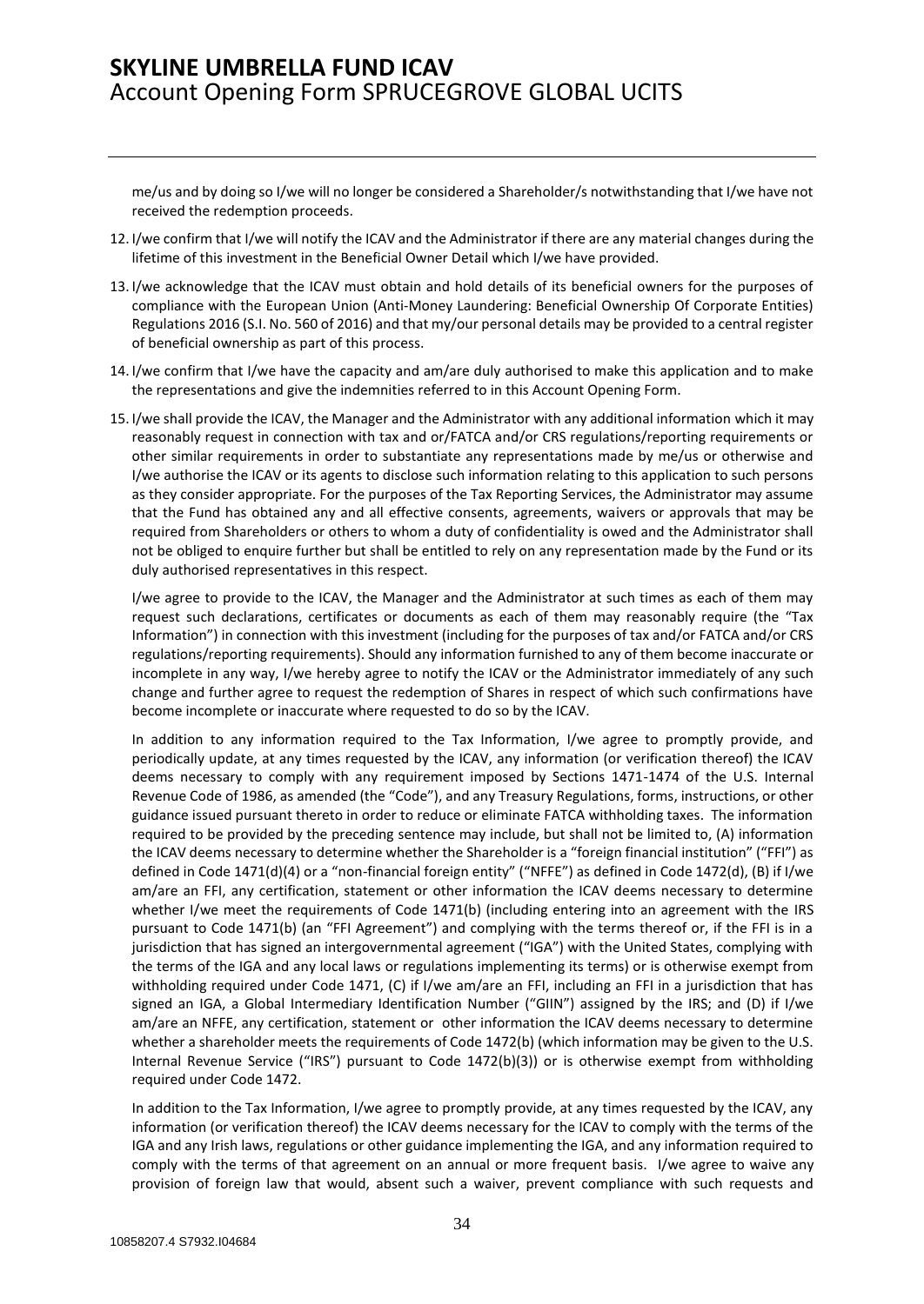me/us and by doing so I/we will no longer be considered a Shareholder/s notwithstanding that I/we have not received the redemption proceeds.

- 12. I/we confirm that I/we will notify the ICAV and the Administrator if there are any material changes during the lifetime of this investment in the Beneficial Owner Detail which I/we have provided.
- 13. I/we acknowledge that the ICAV must obtain and hold details of its beneficial owners for the purposes of compliance with the European Union (Anti-Money Laundering: Beneficial Ownership Of Corporate Entities) Regulations 2016 (S.I. No. 560 of 2016) and that my/our personal details may be provided to a central register of beneficial ownership as part of this process.
- 14. I/we confirm that I/we have the capacity and am/are duly authorised to make this application and to make the representations and give the indemnities referred to in this Account Opening Form.
- 15. I/we shall provide the ICAV, the Manager and the Administrator with any additional information which it may reasonably request in connection with tax and or/FATCA and/or CRS regulations/reporting requirements or other similar requirements in order to substantiate any representations made by me/us or otherwise and I/we authorise the ICAV or its agents to disclose such information relating to this application to such persons as they consider appropriate. For the purposes of the Tax Reporting Services, the Administrator may assume that the Fund has obtained any and all effective consents, agreements, waivers or approvals that may be required from Shareholders or others to whom a duty of confidentiality is owed and the Administrator shall not be obliged to enquire further but shall be entitled to rely on any representation made by the Fund or its duly authorised representatives in this respect.

I/we agree to provide to the ICAV, the Manager and the Administrator at such times as each of them may request such declarations, certificates or documents as each of them may reasonably require (the "Tax Information") in connection with this investment (including for the purposes of tax and/or FATCA and/or CRS regulations/reporting requirements). Should any information furnished to any of them become inaccurate or incomplete in any way, I/we hereby agree to notify the ICAV or the Administrator immediately of any such change and further agree to request the redemption of Shares in respect of which such confirmations have become incomplete or inaccurate where requested to do so by the ICAV.

In addition to any information required to the Tax Information, I/we agree to promptly provide, and periodically update, at any times requested by the ICAV, any information (or verification thereof) the ICAV deems necessary to comply with any requirement imposed by Sections 1471-1474 of the U.S. Internal Revenue Code of 1986, as amended (the "Code"), and any Treasury Regulations, forms, instructions, or other guidance issued pursuant thereto in order to reduce or eliminate FATCA withholding taxes. The information required to be provided by the preceding sentence may include, but shall not be limited to, (A) information the ICAV deems necessary to determine whether the Shareholder is a "foreign financial institution" ("FFI") as defined in Code 1471(d)(4) or a "non-financial foreign entity" ("NFFE") as defined in Code 1472(d), (B) if I/we am/are an FFI, any certification, statement or other information the ICAV deems necessary to determine whether I/we meet the requirements of Code 1471(b) (including entering into an agreement with the IRS pursuant to Code 1471(b) (an "FFI Agreement") and complying with the terms thereof or, if the FFI is in a jurisdiction that has signed an intergovernmental agreement ("IGA") with the United States, complying with the terms of the IGA and any local laws or regulations implementing its terms) or is otherwise exempt from withholding required under Code 1471, (C) if I/we am/are an FFI, including an FFI in a jurisdiction that has signed an IGA, a Global Intermediary Identification Number ("GIIN") assigned by the IRS; and (D) if I/we am/are an NFFE, any certification, statement or other information the ICAV deems necessary to determine whether a shareholder meets the requirements of Code 1472(b) (which information may be given to the U.S. Internal Revenue Service ("IRS") pursuant to Code 1472(b)(3)) or is otherwise exempt from withholding required under Code 1472.

In addition to the Tax Information, I/we agree to promptly provide, at any times requested by the ICAV, any information (or verification thereof) the ICAV deems necessary for the ICAV to comply with the terms of the IGA and any Irish laws, regulations or other guidance implementing the IGA, and any information required to comply with the terms of that agreement on an annual or more frequent basis. I/we agree to waive any provision of foreign law that would, absent such a waiver, prevent compliance with such requests and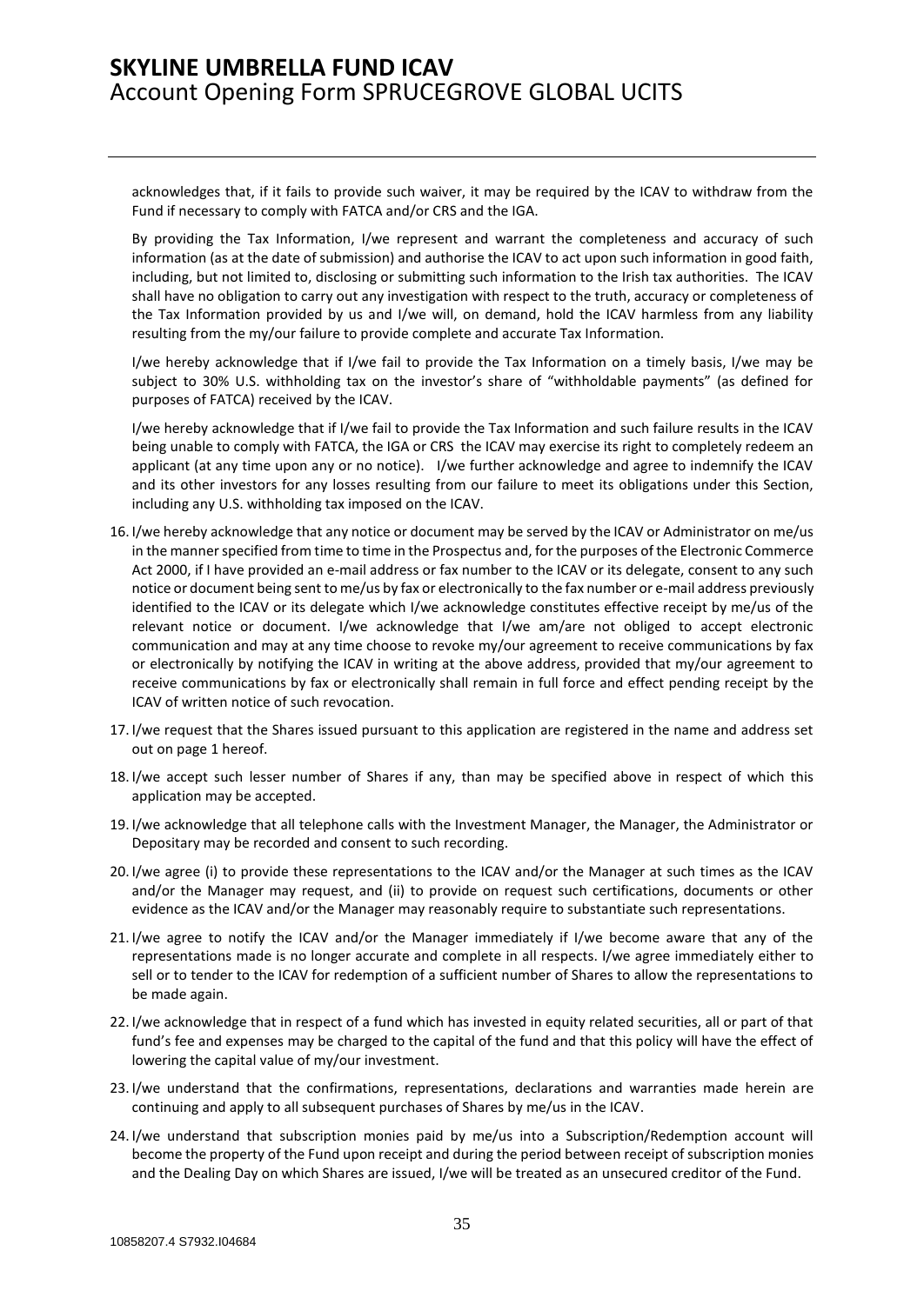acknowledges that, if it fails to provide such waiver, it may be required by the ICAV to withdraw from the Fund if necessary to comply with FATCA and/or CRS and the IGA.

By providing the Tax Information, I/we represent and warrant the completeness and accuracy of such information (as at the date of submission) and authorise the ICAV to act upon such information in good faith, including, but not limited to, disclosing or submitting such information to the Irish tax authorities. The ICAV shall have no obligation to carry out any investigation with respect to the truth, accuracy or completeness of the Tax Information provided by us and I/we will, on demand, hold the ICAV harmless from any liability resulting from the my/our failure to provide complete and accurate Tax Information.

I/we hereby acknowledge that if I/we fail to provide the Tax Information on a timely basis, I/we may be subject to 30% U.S. withholding tax on the investor's share of "withholdable payments" (as defined for purposes of FATCA) received by the ICAV.

I/we hereby acknowledge that if I/we fail to provide the Tax Information and such failure results in the ICAV being unable to comply with FATCA, the IGA or CRS the ICAV may exercise its right to completely redeem an applicant (at any time upon any or no notice). I/we further acknowledge and agree to indemnify the ICAV and its other investors for any losses resulting from our failure to meet its obligations under this Section, including any U.S. withholding tax imposed on the ICAV.

- 16. I/we hereby acknowledge that any notice or document may be served by the ICAV or Administrator on me/us in the manner specified from time to time in the Prospectus and, for the purposes of the Electronic Commerce Act 2000, if I have provided an e-mail address or fax number to the ICAV or its delegate, consent to any such notice or document being sent to me/us by fax or electronically to the fax number or e-mail address previously identified to the ICAV or its delegate which I/we acknowledge constitutes effective receipt by me/us of the relevant notice or document. I/we acknowledge that I/we am/are not obliged to accept electronic communication and may at any time choose to revoke my/our agreement to receive communications by fax or electronically by notifying the ICAV in writing at the above address, provided that my/our agreement to receive communications by fax or electronically shall remain in full force and effect pending receipt by the ICAV of written notice of such revocation.
- 17. I/we request that the Shares issued pursuant to this application are registered in the name and address set out on page 1 hereof.
- 18. I/we accept such lesser number of Shares if any, than may be specified above in respect of which this application may be accepted.
- 19. I/we acknowledge that all telephone calls with the Investment Manager, the Manager, the Administrator or Depositary may be recorded and consent to such recording.
- 20. I/we agree (i) to provide these representations to the ICAV and/or the Manager at such times as the ICAV and/or the Manager may request, and (ii) to provide on request such certifications, documents or other evidence as the ICAV and/or the Manager may reasonably require to substantiate such representations.
- 21. I/we agree to notify the ICAV and/or the Manager immediately if I/we become aware that any of the representations made is no longer accurate and complete in all respects. I/we agree immediately either to sell or to tender to the ICAV for redemption of a sufficient number of Shares to allow the representations to be made again.
- 22. I/we acknowledge that in respect of a fund which has invested in equity related securities, all or part of that fund's fee and expenses may be charged to the capital of the fund and that this policy will have the effect of lowering the capital value of my/our investment.
- 23. I/we understand that the confirmations, representations, declarations and warranties made herein are continuing and apply to all subsequent purchases of Shares by me/us in the ICAV.
- 24. I/we understand that subscription monies paid by me/us into a Subscription/Redemption account will become the property of the Fund upon receipt and during the period between receipt of subscription monies and the Dealing Day on which Shares are issued, I/we will be treated as an unsecured creditor of the Fund.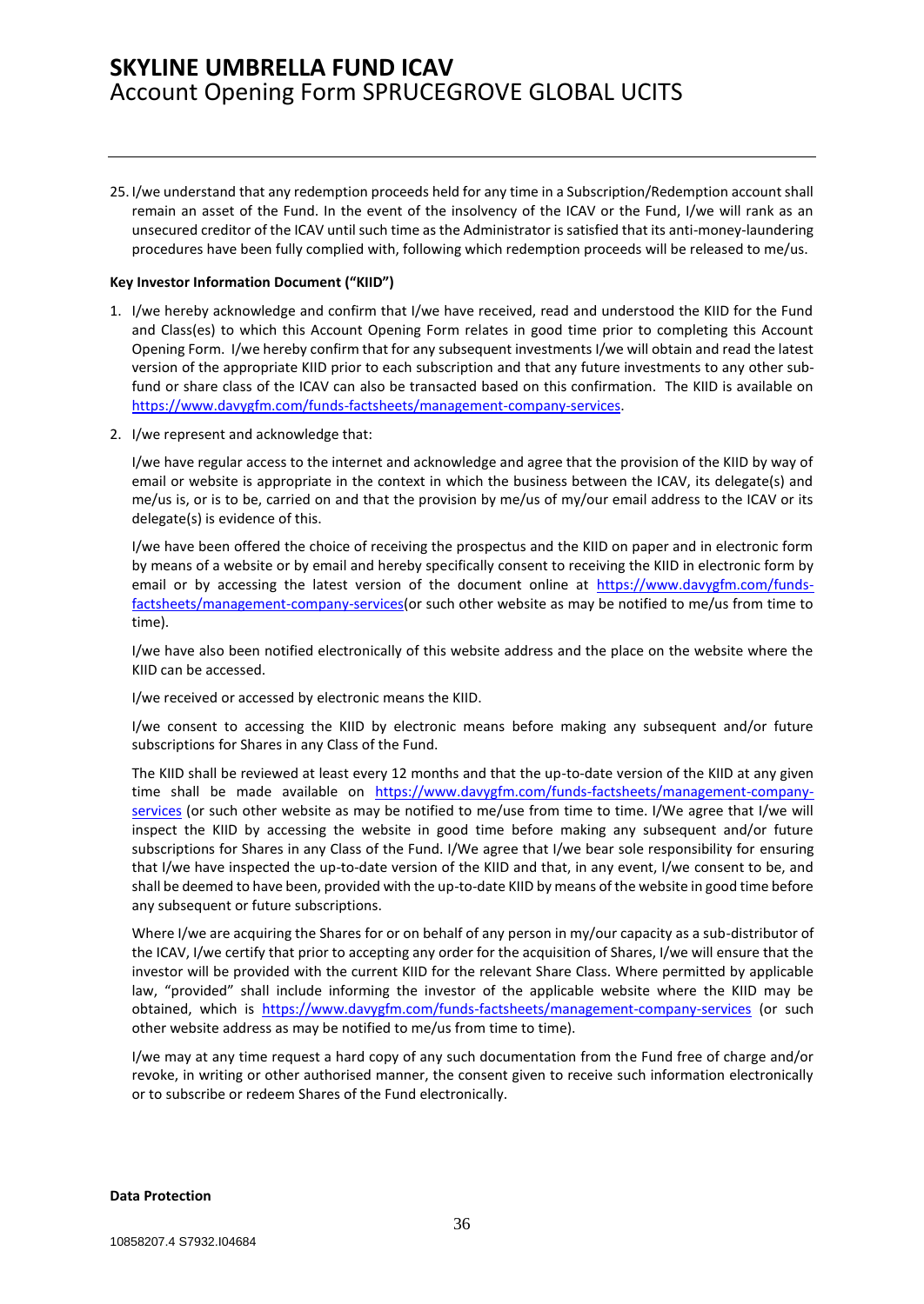25. I/we understand that any redemption proceeds held for any time in a Subscription/Redemption account shall remain an asset of the Fund. In the event of the insolvency of the ICAV or the Fund, I/we will rank as an unsecured creditor of the ICAV until such time as the Administrator is satisfied that its anti-money-laundering procedures have been fully complied with, following which redemption proceeds will be released to me/us.

#### **Key Investor Information Document ("KIID")**

- 1. I/we hereby acknowledge and confirm that I/we have received, read and understood the KIID for the Fund and Class(es) to which this Account Opening Form relates in good time prior to completing this Account Opening Form. I/we hereby confirm that for any subsequent investments I/we will obtain and read the latest version of the appropriate KIID prior to each subscription and that any future investments to any other subfund or share class of the ICAV can also be transacted based on this confirmation. The KIID is available on [https://www.davygfm.com/funds-factsheets/management-company-services.](https://www.davygfm.com/funds-factsheets/management-company-services)
- 2. I/we represent and acknowledge that:

I/we have regular access to the internet and acknowledge and agree that the provision of the KIID by way of email or website is appropriate in the context in which the business between the ICAV, its delegate(s) and me/us is, or is to be, carried on and that the provision by me/us of my/our email address to the ICAV or its delegate(s) is evidence of this.

I/we have been offered the choice of receiving the prospectus and the KIID on paper and in electronic form by means of a website or by email and hereby specifically consent to receiving the KIID in electronic form by email or by accessing the latest version of the document online at [https://www.davygfm.com/funds](https://www.davygfm.com/funds-factsheets/management-company-services)[factsheets/management-company-services\(](https://www.davygfm.com/funds-factsheets/management-company-services)or such other website as may be notified to me/us from time to time).

I/we have also been notified electronically of this website address and the place on the website where the KIID can be accessed.

I/we received or accessed by electronic means the KIID.

I/we consent to accessing the KIID by electronic means before making any subsequent and/or future subscriptions for Shares in any Class of the Fund.

The KIID shall be reviewed at least every 12 months and that the up-to-date version of the KIID at any given time shall be made available on [https://www.davygfm.com/funds-factsheets/management-company](https://www.davygfm.com/funds-factsheets/management-company-services)[services](https://www.davygfm.com/funds-factsheets/management-company-services) (or such other website as may be notified to me/use from time to time. I/We agree that I/we will inspect the KIID by accessing the website in good time before making any subsequent and/or future subscriptions for Shares in any Class of the Fund. I/We agree that I/we bear sole responsibility for ensuring that I/we have inspected the up-to-date version of the KIID and that, in any event, I/we consent to be, and shall be deemed to have been, provided with the up-to-date KIID by means of the website in good time before any subsequent or future subscriptions.

Where I/we are acquiring the Shares for or on behalf of any person in my/our capacity as a sub-distributor of the ICAV, I/we certify that prior to accepting any order for the acquisition of Shares, I/we will ensure that the investor will be provided with the current KIID for the relevant Share Class. Where permitted by applicable law, "provided" shall include informing the investor of the applicable website where the KIID may be obtained, which is <https://www.davygfm.com/funds-factsheets/management-company-services> (or such other website address as may be notified to me/us from time to time).

I/we may at any time request a hard copy of any such documentation from the Fund free of charge and/or revoke, in writing or other authorised manner, the consent given to receive such information electronically or to subscribe or redeem Shares of the Fund electronically.

#### **Data Protection**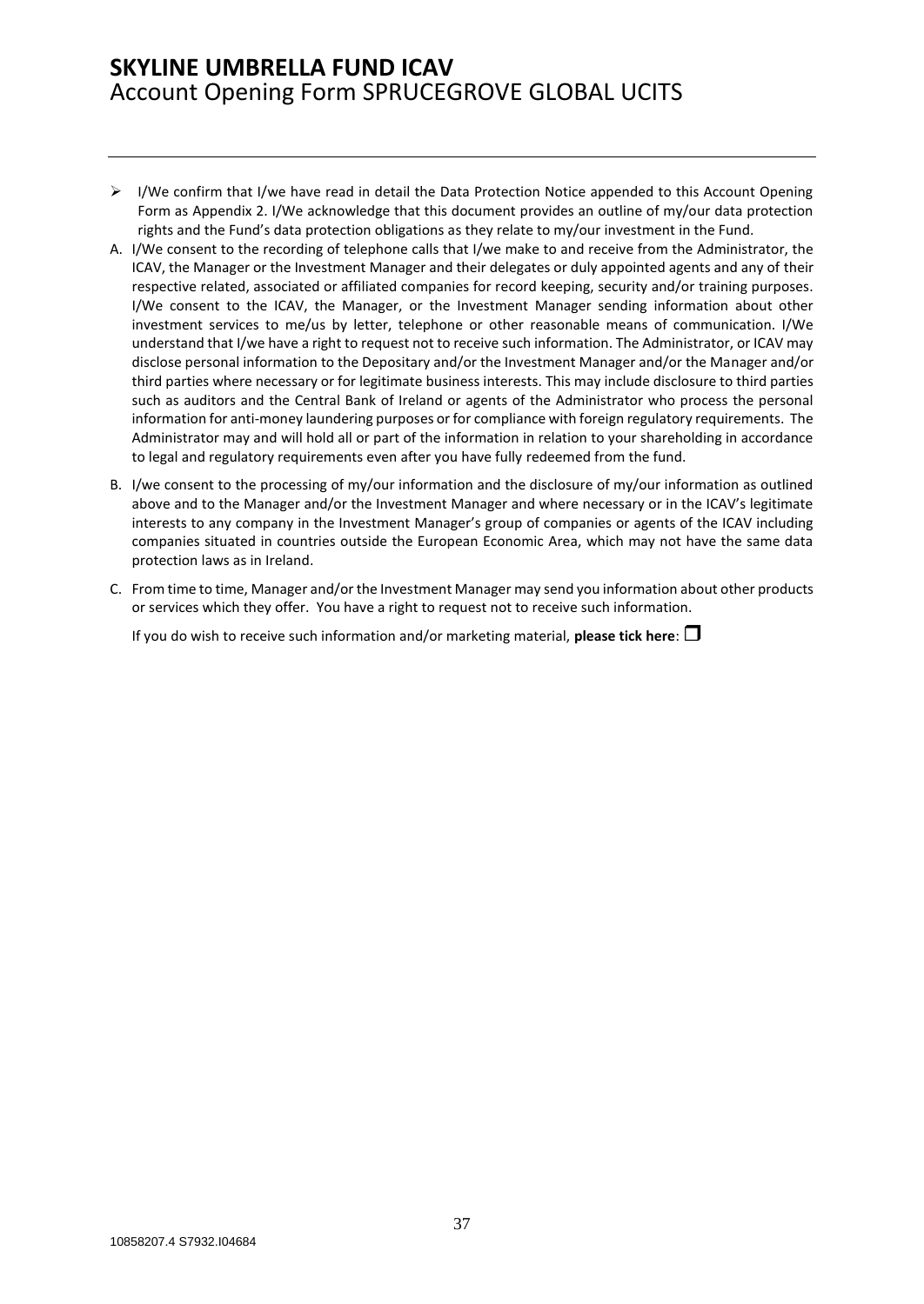- $\triangleright$  I/We confirm that I/we have read in detail the Data Protection Notice appended to this Account Opening Form as Appendix 2. I/We acknowledge that this document provides an outline of my/our data protection rights and the Fund's data protection obligations as they relate to my/our investment in the Fund.
- A. I/We consent to the recording of telephone calls that I/we make to and receive from the Administrator, the ICAV, the Manager or the Investment Manager and their delegates or duly appointed agents and any of their respective related, associated or affiliated companies for record keeping, security and/or training purposes. I/We consent to the ICAV, the Manager, or the Investment Manager sending information about other investment services to me/us by letter, telephone or other reasonable means of communication. I/We understand that I/we have a right to request not to receive such information. The Administrator, or ICAV may disclose personal information to the Depositary and/or the Investment Manager and/or the Manager and/or third parties where necessary or for legitimate business interests. This may include disclosure to third parties such as auditors and the Central Bank of Ireland or agents of the Administrator who process the personal information for anti-money laundering purposes or for compliance with foreign regulatory requirements. The Administrator may and will hold all or part of the information in relation to your shareholding in accordance to legal and regulatory requirements even after you have fully redeemed from the fund.
- B. I/we consent to the processing of my/our information and the disclosure of my/our information as outlined above and to the Manager and/or the Investment Manager and where necessary or in the ICAV's legitimate interests to any company in the Investment Manager's group of companies or agents of the ICAV including companies situated in countries outside the European Economic Area, which may not have the same data protection laws as in Ireland.
- C. From time to time, Manager and/or the Investment Manager may send you information about other products or services which they offer. You have a right to request not to receive such information.

If you do wish to receive such information and/or marketing material, **please tick here**: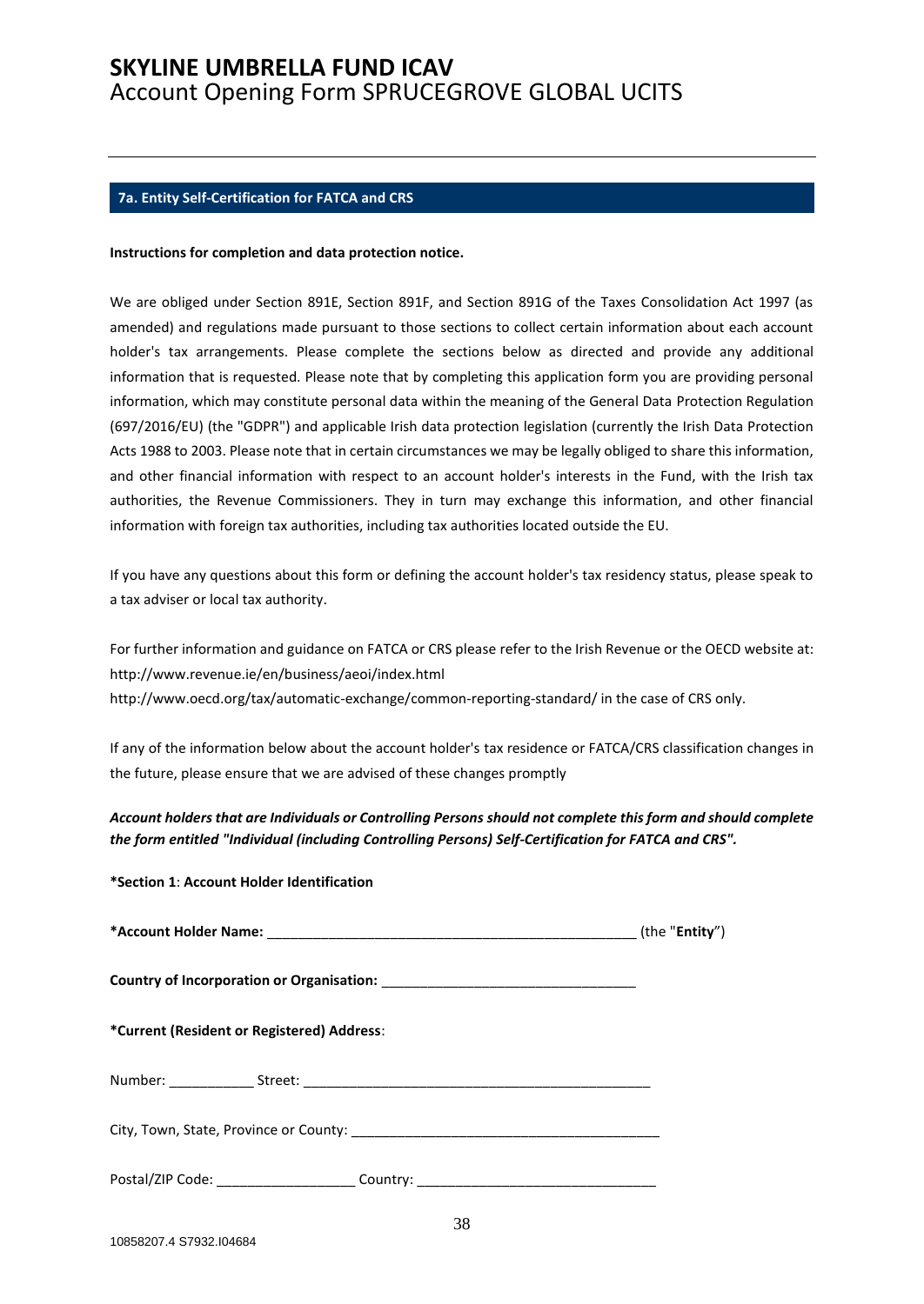### <span id="page-37-0"></span>**7a. Entity Self-Certification for FATCA and CRS**

#### **Instructions for completion and data protection notice.**

We are obliged under Section 891E, Section 891F, and Section 891G of the Taxes Consolidation Act 1997 (as amended) and regulations made pursuant to those sections to collect certain information about each account holder's tax arrangements. Please complete the sections below as directed and provide any additional information that is requested. Please note that by completing this application form you are providing personal information, which may constitute personal data within the meaning of the General Data Protection Regulation (697/2016/EU) (the "GDPR") and applicable Irish data protection legislation (currently the Irish Data Protection Acts 1988 to 2003. Please note that in certain circumstances we may be legally obliged to share this information, and other financial information with respect to an account holder's interests in the Fund, with the Irish tax authorities, the Revenue Commissioners. They in turn may exchange this information, and other financial information with foreign tax authorities, including tax authorities located outside the EU.

If you have any questions about this form or defining the account holder's tax residency status, please speak to a tax adviser or local tax authority.

For further information and guidance on FATCA or CRS please refer to the Irish Revenue or the OECD website at: http://www.revenue.ie/en/business/aeoi/index.html http://www.oecd.org/tax/automatic-exchange/common-reporting-standard/ in the case of CRS only.

If any of the information below about the account holder's tax residence or FATCA/CRS classification changes in the future, please ensure that we are advised of these changes promptly

*Account holders that are Individuals or Controlling Persons should not complete this form and should complete the form entitled "Individual (including Controlling Persons) Self-Certification for FATCA and CRS".*

**\*Section 1**: **Account Holder Identification** 

| *Current (Resident or Registered) Address:                                       |  |
|----------------------------------------------------------------------------------|--|
|                                                                                  |  |
|                                                                                  |  |
| Postal/ZIP Code: ______________________Country: ________________________________ |  |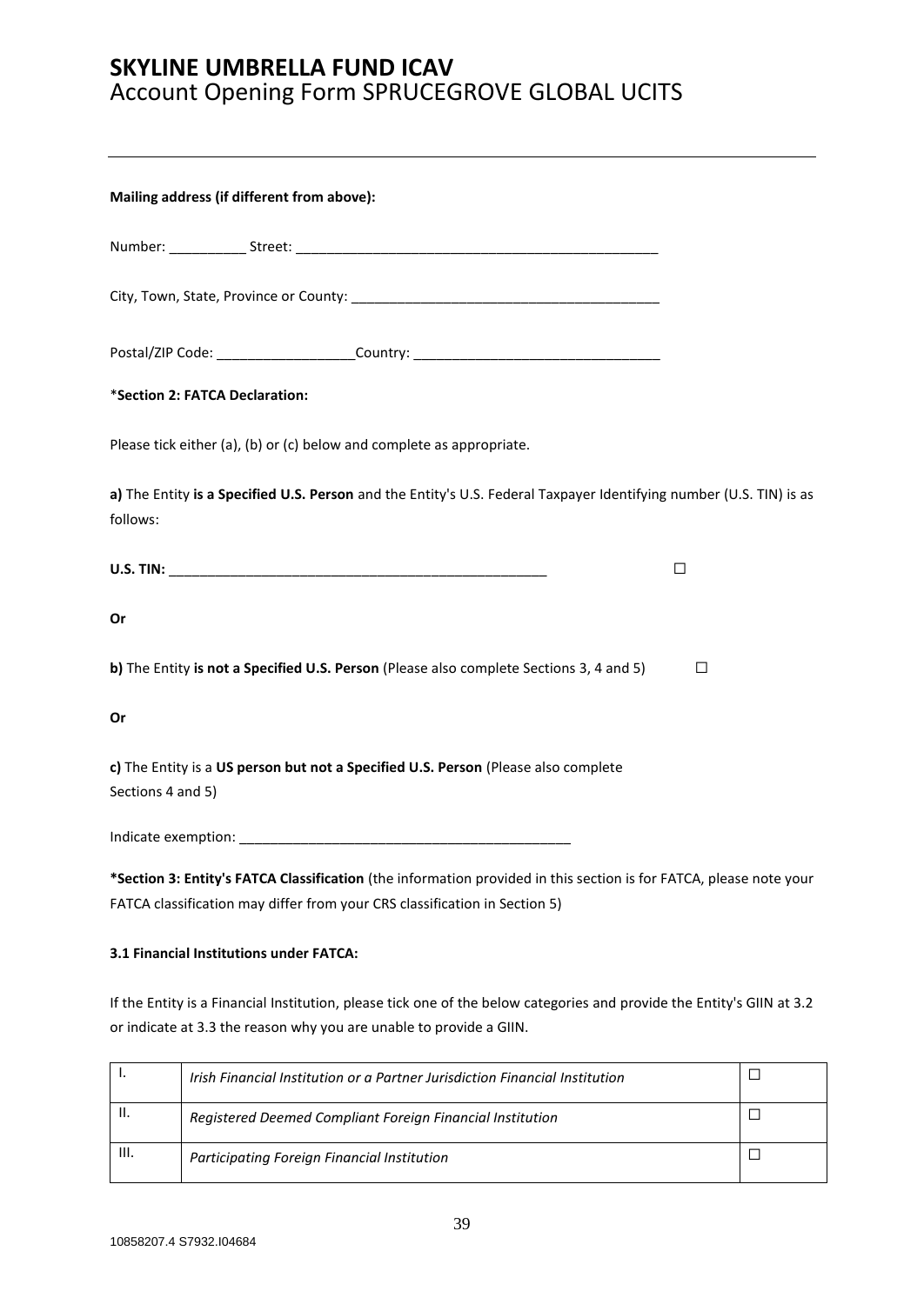|                                         | Mailing address (if different from above):                                                                                                                                                       |   |  |
|-----------------------------------------|--------------------------------------------------------------------------------------------------------------------------------------------------------------------------------------------------|---|--|
|                                         |                                                                                                                                                                                                  |   |  |
|                                         |                                                                                                                                                                                                  |   |  |
|                                         | Postal/ZIP Code: _______________________Country: _______________________________                                                                                                                 |   |  |
| *Section 2: FATCA Declaration:          |                                                                                                                                                                                                  |   |  |
|                                         | Please tick either (a), (b) or (c) below and complete as appropriate.                                                                                                                            |   |  |
| follows:                                | a) The Entity is a Specified U.S. Person and the Entity's U.S. Federal Taxpayer Identifying number (U.S. TIN) is as                                                                              |   |  |
|                                         |                                                                                                                                                                                                  | □ |  |
| Or                                      |                                                                                                                                                                                                  |   |  |
|                                         | b) The Entity is not a Specified U.S. Person (Please also complete Sections 3, 4 and 5)                                                                                                          | □ |  |
| Or                                      |                                                                                                                                                                                                  |   |  |
| Sections 4 and 5)                       | c) The Entity is a US person but not a Specified U.S. Person (Please also complete                                                                                                               |   |  |
| Indicate exemption:                     |                                                                                                                                                                                                  |   |  |
|                                         | *Section 3: Entity's FATCA Classification (the information provided in this section is for FATCA, please note your<br>FATCA classification may differ from your CRS classification in Section 5) |   |  |
| 3.1 Financial Institutions under FATCA: |                                                                                                                                                                                                  |   |  |

If the Entity is a Financial Institution, please tick one of the below categories and provide the Entity's GIIN at 3.2 or indicate at 3.3 the reason why you are unable to provide a GIIN.

|      | Irish Financial Institution or a Partner Jurisdiction Financial Institution |  |
|------|-----------------------------------------------------------------------------|--|
| н.   | Registered Deemed Compliant Foreign Financial Institution                   |  |
| III. | Participating Foreign Financial Institution                                 |  |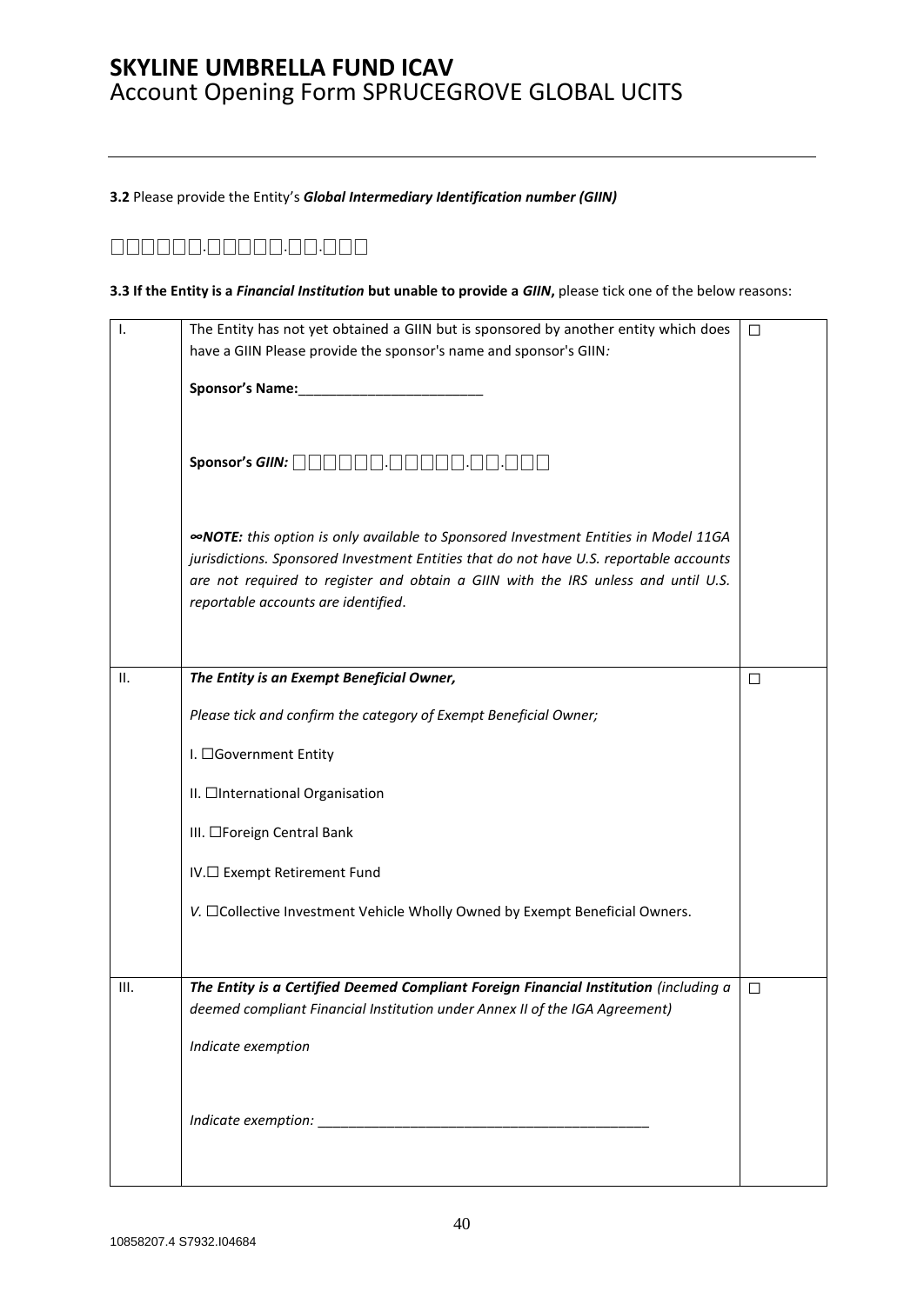**3.2** Please provide the Entity's *Global Intermediary Identification number (GIIN)* 

## ⎕⎕⎕⎕⎕⎕.⎕⎕⎕⎕⎕.⎕⎕.⎕⎕⎕

#### **3.3 If the Entity is a** *Financial Institution* **but unable to provide a** *GIIN***,** please tick one of the below reasons:

| Ι.   | The Entity has not yet obtained a GIIN but is sponsored by another entity which does<br>have a GIIN Please provide the sponsor's name and sponsor's GIIN:                                                                                                                                                        | □      |
|------|------------------------------------------------------------------------------------------------------------------------------------------------------------------------------------------------------------------------------------------------------------------------------------------------------------------|--------|
|      |                                                                                                                                                                                                                                                                                                                  |        |
|      | Sponsor's GIIN: <b>QQQQQQQ</b><br>$\overline{\phantom{a}}$                                                                                                                                                                                                                                                       |        |
|      | <b>«NOTE:</b> this option is only available to Sponsored Investment Entities in Model 11GA<br>jurisdictions. Sponsored Investment Entities that do not have U.S. reportable accounts<br>are not required to register and obtain a GIIN with the IRS unless and until U.S.<br>reportable accounts are identified. |        |
| ΙΙ.  | The Entity is an Exempt Beneficial Owner,                                                                                                                                                                                                                                                                        | □      |
|      | Please tick and confirm the category of Exempt Beneficial Owner;                                                                                                                                                                                                                                                 |        |
|      | I. □Government Entity                                                                                                                                                                                                                                                                                            |        |
|      | II. □International Organisation                                                                                                                                                                                                                                                                                  |        |
|      | III. □Foreign Central Bank                                                                                                                                                                                                                                                                                       |        |
|      | IV.□ Exempt Retirement Fund                                                                                                                                                                                                                                                                                      |        |
|      | V. □Collective Investment Vehicle Wholly Owned by Exempt Beneficial Owners.                                                                                                                                                                                                                                      |        |
|      |                                                                                                                                                                                                                                                                                                                  |        |
| III. | The Entity is a Certified Deemed Compliant Foreign Financial Institution (including a<br>deemed compliant Financial Institution under Annex II of the IGA Agreement)                                                                                                                                             | $\Box$ |
|      | Indicate exemption                                                                                                                                                                                                                                                                                               |        |
|      |                                                                                                                                                                                                                                                                                                                  |        |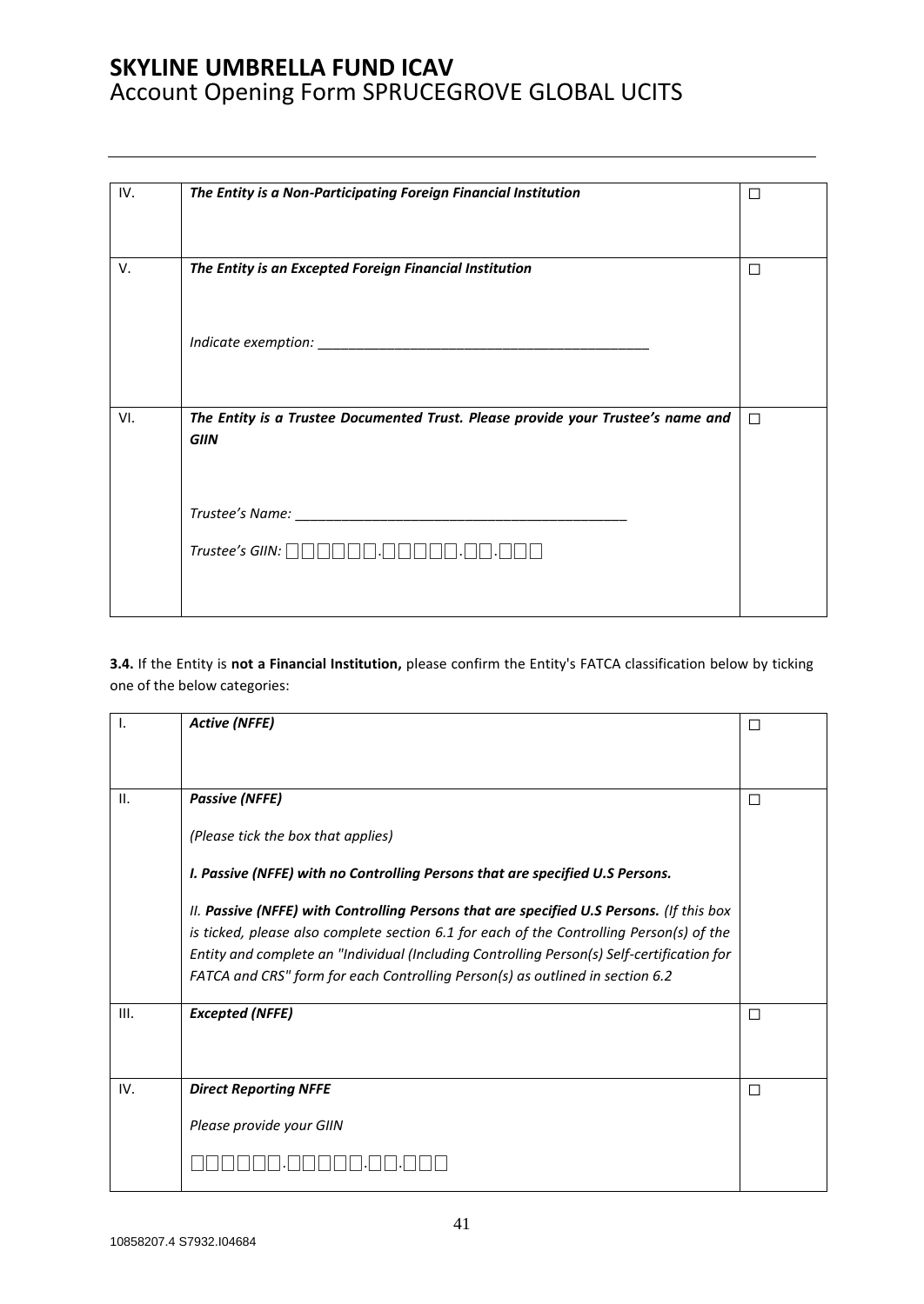| IV. | The Entity is a Non-Participating Foreign Financial Institution                                 | $\Box$ |
|-----|-------------------------------------------------------------------------------------------------|--------|
| V.  | The Entity is an Excepted Foreign Financial Institution                                         | □      |
|     |                                                                                                 |        |
|     |                                                                                                 |        |
| VI. | The Entity is a Trustee Documented Trust. Please provide your Trustee's name and<br><b>GIIN</b> | $\Box$ |
|     |                                                                                                 |        |
|     |                                                                                                 |        |
|     |                                                                                                 |        |

**3.4.** If the Entity is **not a Financial Institution,** please confirm the Entity's FATCA classification below by ticking one of the below categories:

| Ι.   | <b>Active (NFFE)</b>                                                                                                                                                        | П |
|------|-----------------------------------------------------------------------------------------------------------------------------------------------------------------------------|---|
|      |                                                                                                                                                                             |   |
| II.  | <b>Passive (NFFE)</b>                                                                                                                                                       | П |
|      | (Please tick the box that applies)                                                                                                                                          |   |
|      | I. Passive (NFFE) with no Controlling Persons that are specified U.S Persons.                                                                                               |   |
|      | II. Passive (NFFE) with Controlling Persons that are specified U.S Persons. (If this box                                                                                    |   |
|      | is ticked, please also complete section 6.1 for each of the Controlling Person(s) of the                                                                                    |   |
|      | Entity and complete an "Individual (Including Controlling Person(s) Self-certification for<br>FATCA and CRS" form for each Controlling Person(s) as outlined in section 6.2 |   |
|      |                                                                                                                                                                             |   |
| III. | <b>Excepted (NFFE)</b>                                                                                                                                                      | П |
|      |                                                                                                                                                                             |   |
| IV.  | <b>Direct Reporting NFFE</b>                                                                                                                                                | □ |
|      | Please provide your GIIN                                                                                                                                                    |   |
|      |                                                                                                                                                                             |   |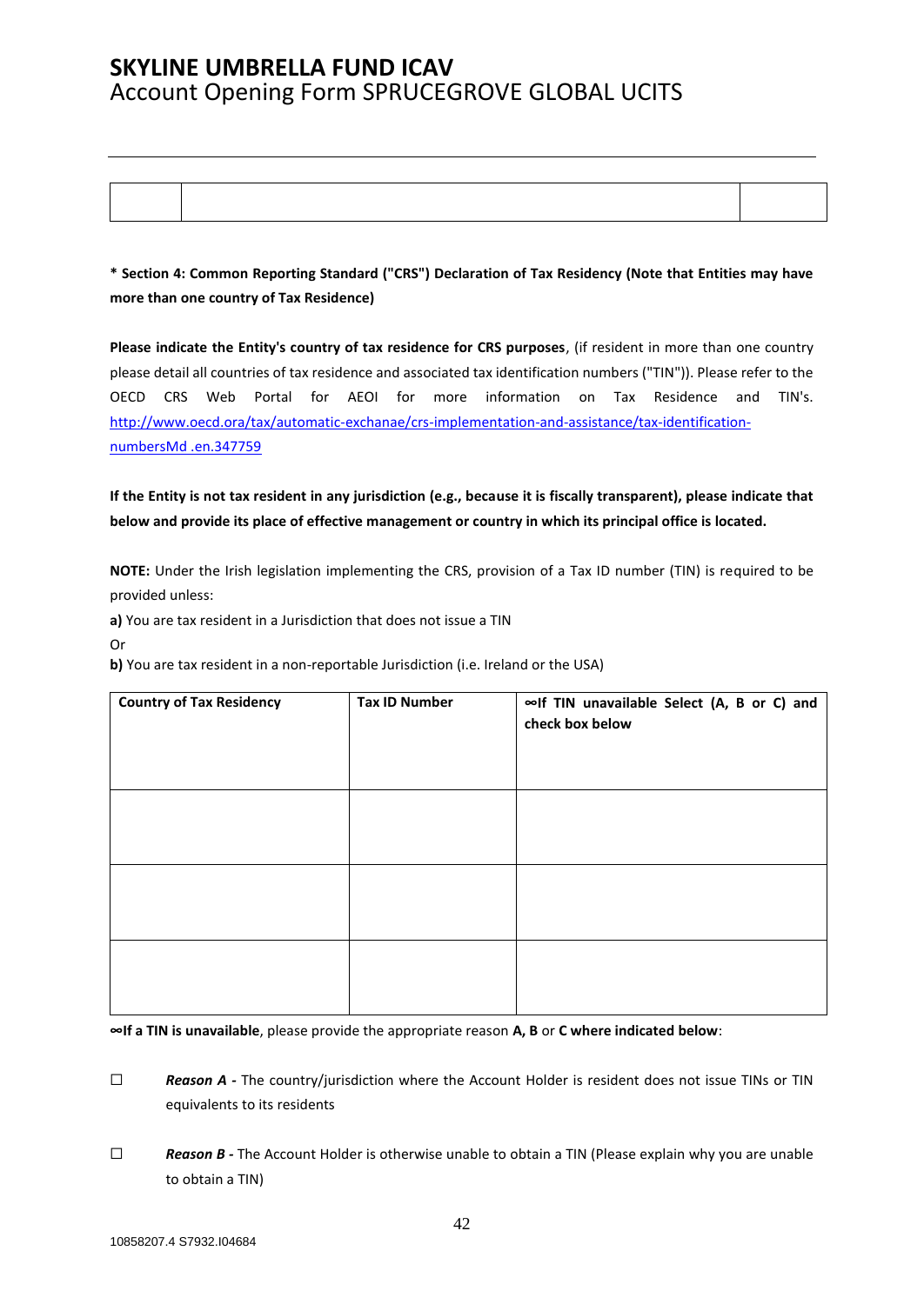**\* Section 4: Common Reporting Standard ("CRS") Declaration of Tax Residency (Note that Entities may have more than one country of Tax Residence)** 

**Please indicate the Entity's country of tax residence for CRS purposes**, (if resident in more than one country please detail all countries of tax residence and associated tax identification numbers ("TIN")). Please refer to the OECD CRS Web Portal for AEOI for more information on Tax Residence and TIN's. [http://www.oecd.ora/tax/automatic-exchanae/crs-implementation-and-assistance/tax-identification](http://www.oecd.ora/tax/automatic-exchanae/crs-implementation-and-assistance/tax-identification-numbersMd%20.en.347759)[numbersMd .en.347759](http://www.oecd.ora/tax/automatic-exchanae/crs-implementation-and-assistance/tax-identification-numbersMd%20.en.347759)

**If the Entity is not tax resident in any jurisdiction (e.g., because it is fiscally transparent), please indicate that below and provide its place of effective management or country in which its principal office is located.**

**NOTE:** Under the Irish legislation implementing the CRS, provision of a Tax ID number (TIN) is required to be provided unless:

**a)** You are tax resident in a Jurisdiction that does not issue a TIN

Or

**b)** You are tax resident in a non-reportable Jurisdiction (i.e. Ireland or the USA)

| <b>Country of Tax Residency</b> | <b>Tax ID Number</b> | ∞If TIN unavailable Select (A, B or C) and<br>check box below |
|---------------------------------|----------------------|---------------------------------------------------------------|
|                                 |                      |                                                               |
|                                 |                      |                                                               |
|                                 |                      |                                                               |

**∞If a TIN is unavailable**, please provide the appropriate reason **A, B** or **C where indicated below**:

□ **Reason A** - The country/jurisdiction where the Account Holder is resident does not issue TINs or TIN equivalents to its residents

☐ *Reason B -* The Account Holder is otherwise unable to obtain a TIN (Please explain why you are unable to obtain a TIN)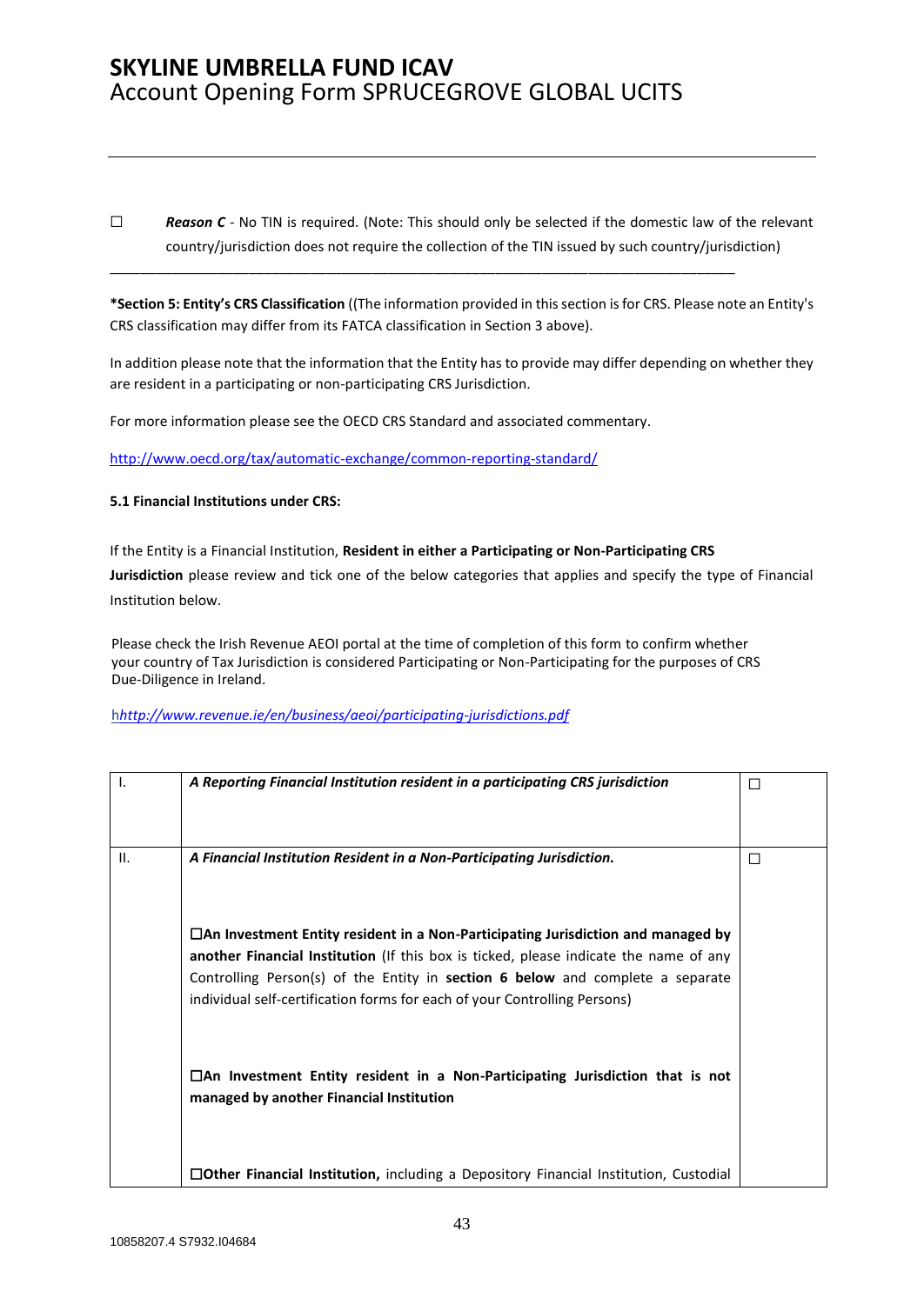□ **Reason C** - No TIN is required. (Note: This should only be selected if the domestic law of the relevant country/jurisdiction does not require the collection of the TIN issued by such country/jurisdiction)

\_\_\_\_\_\_\_\_\_\_\_\_\_\_\_\_\_\_\_\_\_\_\_\_\_\_\_\_\_\_\_\_\_\_\_\_\_\_\_\_\_\_\_\_\_\_\_\_\_\_\_\_\_\_\_\_\_\_\_\_\_\_\_\_\_\_\_\_\_\_\_\_\_\_\_\_\_\_\_\_\_

**\*Section 5: Entity's CRS Classification** ((The information provided in this section is for CRS. Please note an Entity's CRS classification may differ from its FATCA classification in Section 3 above).

In addition please note that the information that the Entity has to provide may differ depending on whether they are resident in a participating or non-participating CRS Jurisdiction.

For more information please see the OECD CRS Standard and associated commentary.

<http://www.oecd.org/tax/automatic-exchange/common-reporting-standard/>

#### **5.1 Financial Institutions under CRS:**

If the Entity is a Financial Institution, **Resident in either a Participating or Non-Participating CRS Jurisdiction** please review and tick one of the below categories that applies and specify the type of Financial Institution below.

Please check the Irish Revenue AEOI portal at the time of completion of this form to confirm whether your country of Tax Jurisdiction is considered Participating or Non-Participating for the purposes of CRS Due-Diligence in Ireland.

h*<http://www.revenue.ie/en/business/aeoi/participating-jurisdictions.pdf>*

| $\mathbf{I}$ . | A Reporting Financial Institution resident in a participating CRS jurisdiction                                                                                                                                                                                                                                                                         | П |
|----------------|--------------------------------------------------------------------------------------------------------------------------------------------------------------------------------------------------------------------------------------------------------------------------------------------------------------------------------------------------------|---|
| II.            | A Financial Institution Resident in a Non-Participating Jurisdiction.                                                                                                                                                                                                                                                                                  | H |
|                | $\Box$ An Investment Entity resident in a Non-Participating Jurisdiction and managed by<br>another Financial Institution (If this box is ticked, please indicate the name of any<br>Controlling Person(s) of the Entity in <b>section 6 below</b> and complete a separate<br>individual self-certification forms for each of your Controlling Persons) |   |
|                | $\Box$ An Investment Entity resident in a Non-Participating Jurisdiction that is not<br>managed by another Financial Institution                                                                                                                                                                                                                       |   |
|                | □Other Financial Institution, including a Depository Financial Institution, Custodial                                                                                                                                                                                                                                                                  |   |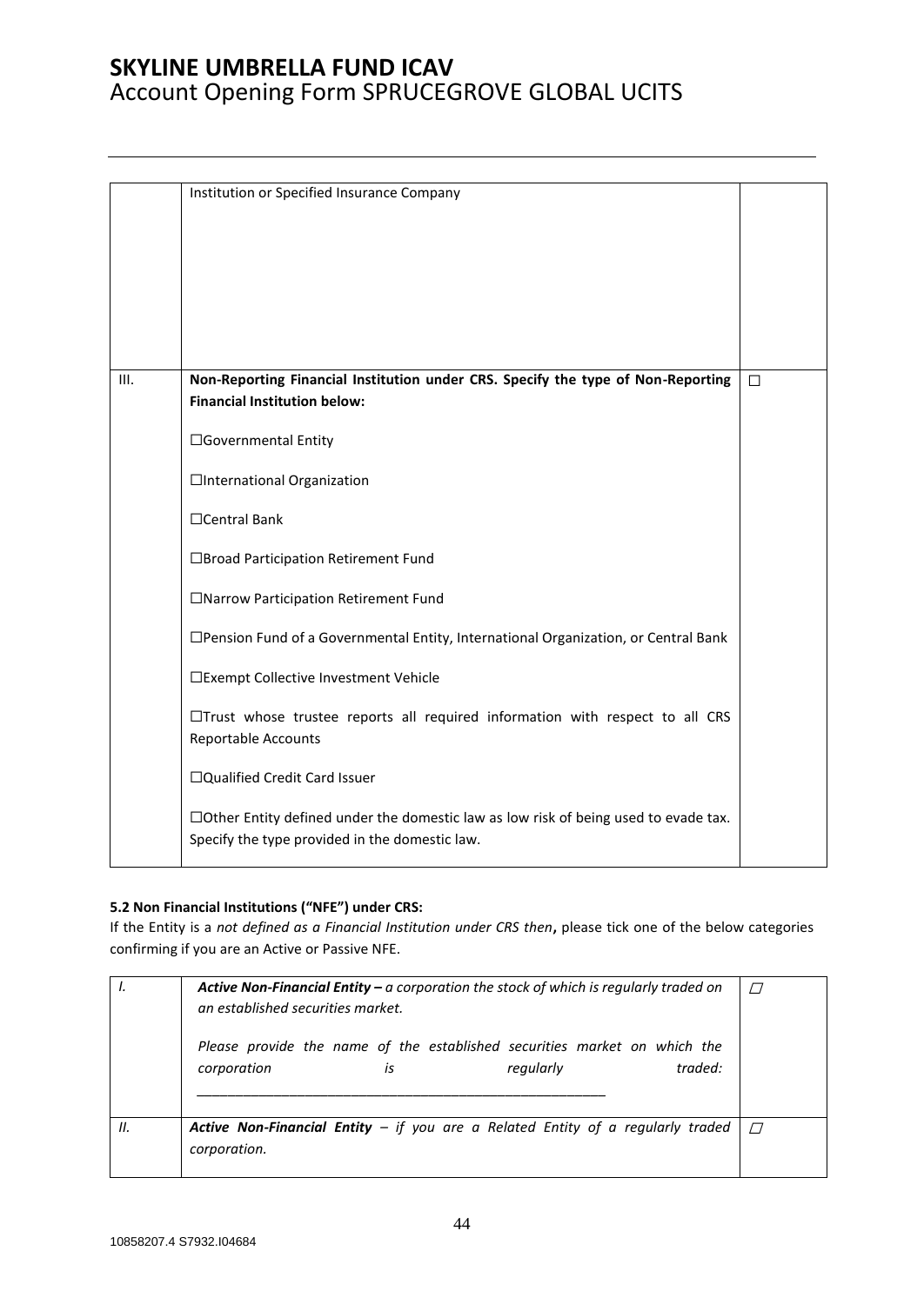|      | Institution or Specified Insurance Company                                                                                                   |        |
|------|----------------------------------------------------------------------------------------------------------------------------------------------|--------|
| III. | Non-Reporting Financial Institution under CRS. Specify the type of Non-Reporting<br><b>Financial Institution below:</b>                      | $\Box$ |
|      | □Governmental Entity                                                                                                                         |        |
|      | □International Organization                                                                                                                  |        |
|      | $\Box$ Central Bank                                                                                                                          |        |
|      | □Broad Participation Retirement Fund                                                                                                         |        |
|      | □Narrow Participation Retirement Fund                                                                                                        |        |
|      | □ Pension Fund of a Governmental Entity, International Organization, or Central Bank                                                         |        |
|      | □Exempt Collective Investment Vehicle                                                                                                        |        |
|      | $\Box$ Trust whose trustee reports all required information with respect to all CRS<br>Reportable Accounts                                   |        |
|      | □Qualified Credit Card Issuer                                                                                                                |        |
|      | $\Box$ Other Entity defined under the domestic law as low risk of being used to evade tax.<br>Specify the type provided in the domestic law. |        |

### **5.2 Non Financial Institutions ("NFE") under CRS:**

If the Entity is a *not defined as a Financial Institution under CRS then***,** please tick one of the below categories confirming if you are an Active or Passive NFE.

|    | <b>Active Non-Financial Entity – a corporation the stock of which is regularly traded on</b><br>an established securities market. |  |  |  |
|----|-----------------------------------------------------------------------------------------------------------------------------------|--|--|--|
|    | Please provide the name of the established securities market on which the<br>traded:<br>regularly<br>corporation<br>is            |  |  |  |
| Ш. | <b>Active Non-Financial Entity</b> – if you are a Related Entity of a regularly traded<br>corporation.                            |  |  |  |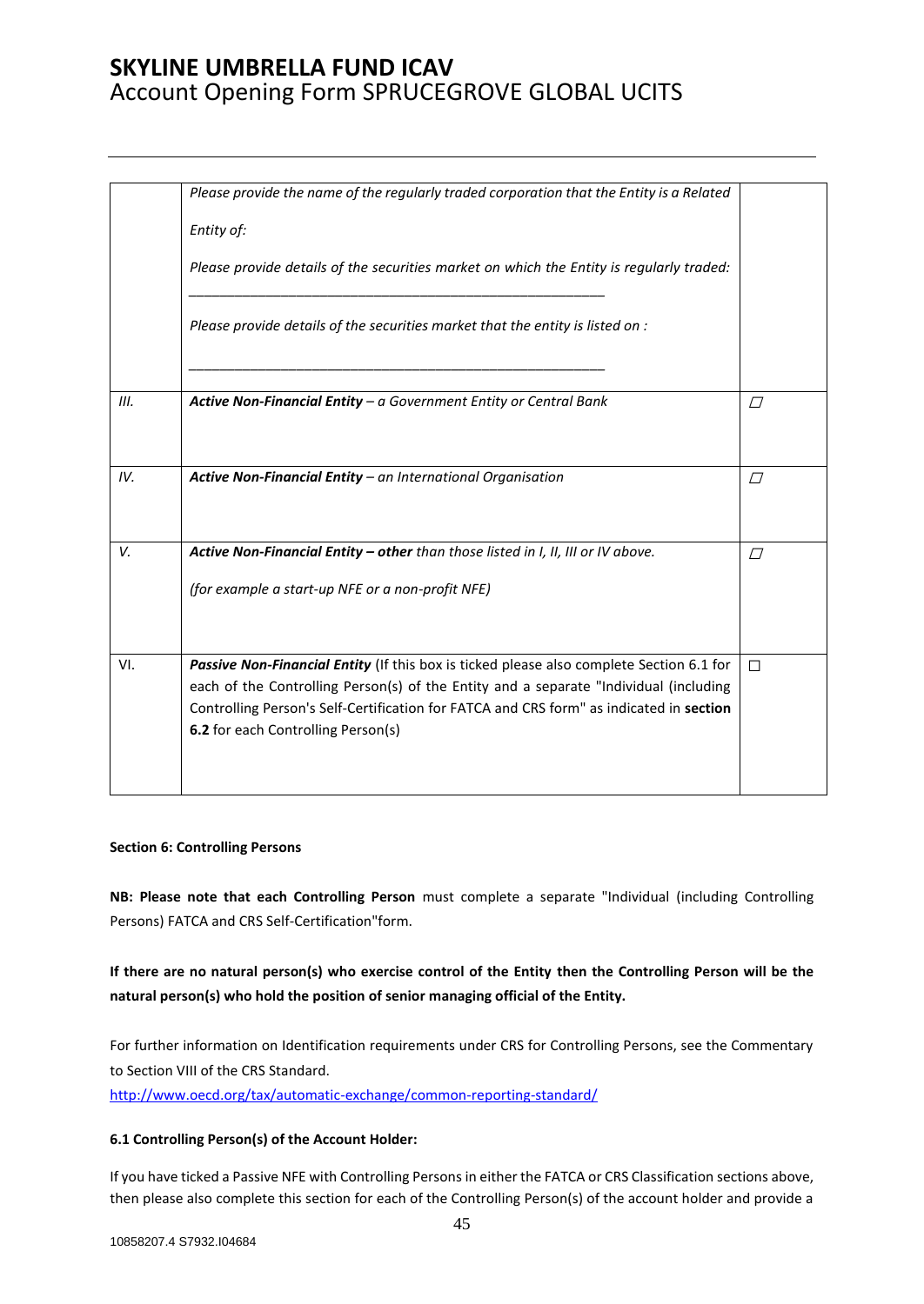|      | Please provide the name of the regularly traded corporation that the Entity is a Related<br>Entity of:<br>Please provide details of the securities market on which the Entity is regularly traded:<br>Please provide details of the securities market that the entity is listed on :                               |          |
|------|--------------------------------------------------------------------------------------------------------------------------------------------------------------------------------------------------------------------------------------------------------------------------------------------------------------------|----------|
| III. | Active Non-Financial Entity $-a$ Government Entity or Central Bank                                                                                                                                                                                                                                                 | $\Box$   |
| IV.  | Active Non-Financial Entity - an International Organisation                                                                                                                                                                                                                                                        | $\varpi$ |
| V.   | Active Non-Financial Entity - other than those listed in I, II, III or IV above.                                                                                                                                                                                                                                   | $\Box$   |
|      | (for example a start-up NFE or a non-profit NFE)                                                                                                                                                                                                                                                                   |          |
| VI.  | Passive Non-Financial Entity (If this box is ticked please also complete Section 6.1 for<br>each of the Controlling Person(s) of the Entity and a separate "Individual (including<br>Controlling Person's Self-Certification for FATCA and CRS form" as indicated in section<br>6.2 for each Controlling Person(s) | $\Box$   |

#### **Section 6: Controlling Persons**

**NB: Please note that each Controlling Person** must complete a separate "Individual (including Controlling Persons) FATCA and CRS Self-Certification"form.

### **If there are no natural person(s) who exercise control of the Entity then the Controlling Person will be the natural person(s) who hold the position of senior managing official of the Entity.**

For further information on Identification requirements under CRS for Controlling Persons, see the Commentary to Section VIII of the CRS Standard.

<http://www.oecd.org/tax/automatic-exchange/common-reporting-standard/>

### **6.1 Controlling Person(s) of the Account Holder:**

If you have ticked a Passive NFE with Controlling Persons in either the FATCA or CRS Classification sections above, then please also complete this section for each of the Controlling Person(s) of the account holder and provide a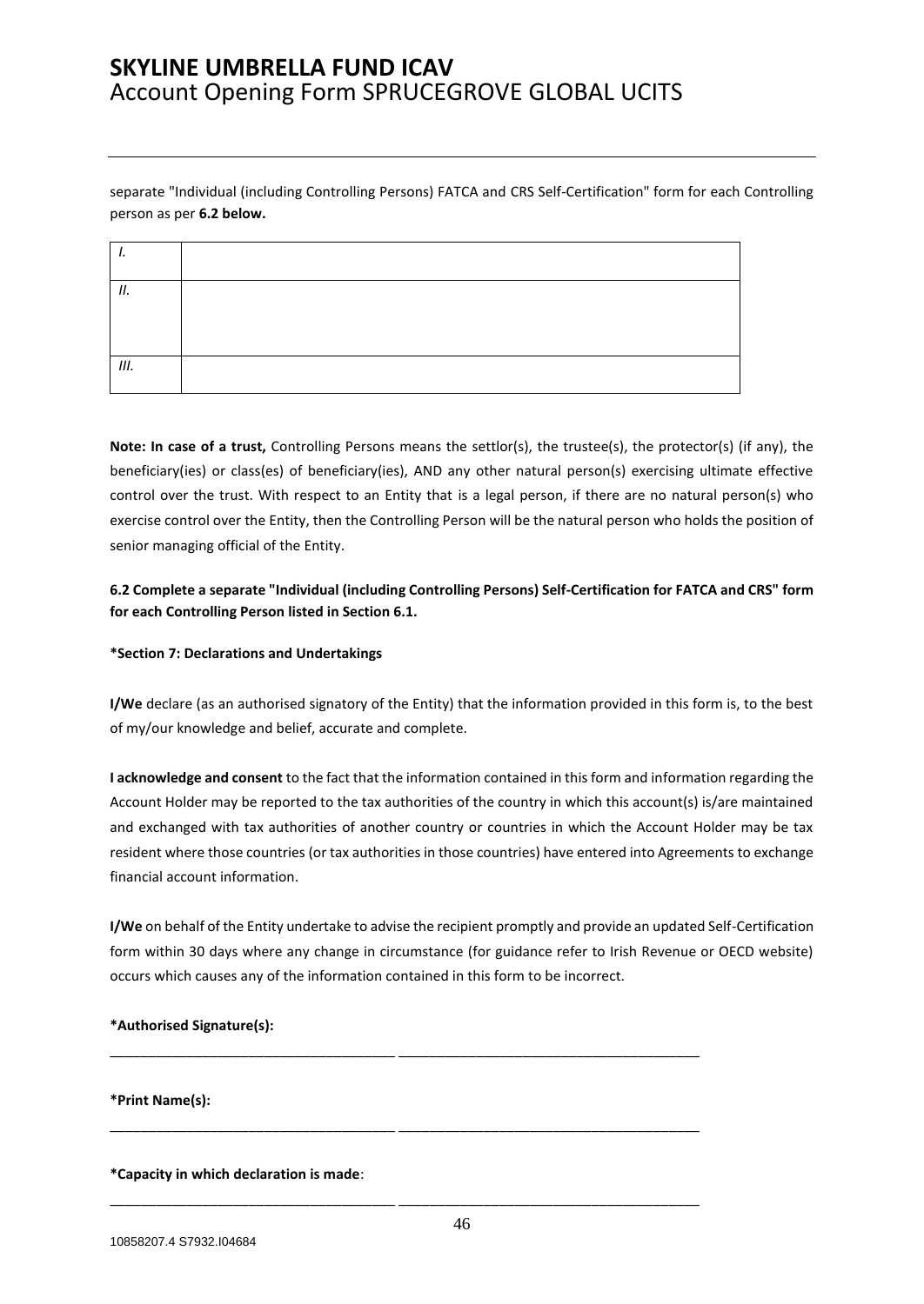separate "Individual (including Controlling Persons) FATCA and CRS Self-Certification" form for each Controlling person as per **6.2 below.**

| Н. |  |
|----|--|
|    |  |
| Ш. |  |

**Note: In case of a trust,** Controlling Persons means the settlor(s), the trustee(s), the protector(s) (if any), the beneficiary(ies) or class(es) of beneficiary(ies), AND any other natural person(s) exercising ultimate effective control over the trust. With respect to an Entity that is a legal person, if there are no natural person(s) who exercise control over the Entity, then the Controlling Person will be the natural person who holds the position of senior managing official of the Entity.

**6.2 Complete a separate "Individual (including Controlling Persons) Self-Certification for FATCA and CRS" form for each Controlling Person listed in Section 6.1.**

#### **\*Section 7: Declarations and Undertakings**

**I/We** declare (as an authorised signatory of the Entity) that the information provided in this form is, to the best of my/our knowledge and belief, accurate and complete.

**I acknowledge and consent** to the fact that the information contained in this form and information regarding the Account Holder may be reported to the tax authorities of the country in which this account(s) is/are maintained and exchanged with tax authorities of another country or countries in which the Account Holder may be tax resident where those countries (or tax authorities in those countries) have entered into Agreements to exchange financial account information.

**I/We** on behalf of the Entity undertake to advise the recipient promptly and provide an updated Self-Certification form within 30 days where any change in circumstance (for guidance refer to Irish Revenue or OECD website) occurs which causes any of the information contained in this form to be incorrect.

\_\_\_\_\_\_\_\_\_\_\_\_\_\_\_\_\_\_\_\_\_\_\_\_\_\_\_\_\_\_\_\_\_\_\_\_\_ \_\_\_\_\_\_\_\_\_\_\_\_\_\_\_\_\_\_\_\_\_\_\_\_\_\_\_\_\_\_\_\_\_\_\_\_\_\_\_

\_\_\_\_\_\_\_\_\_\_\_\_\_\_\_\_\_\_\_\_\_\_\_\_\_\_\_\_\_\_\_\_\_\_\_\_\_ \_\_\_\_\_\_\_\_\_\_\_\_\_\_\_\_\_\_\_\_\_\_\_\_\_\_\_\_\_\_\_\_\_\_\_\_\_\_\_

\_\_\_\_\_\_\_\_\_\_\_\_\_\_\_\_\_\_\_\_\_\_\_\_\_\_\_\_\_\_\_\_\_\_\_\_\_ \_\_\_\_\_\_\_\_\_\_\_\_\_\_\_\_\_\_\_\_\_\_\_\_\_\_\_\_\_\_\_\_\_\_\_\_\_\_\_

#### **\*Authorised Signature(s):**

**\*Print Name(s):** 

**\*Capacity in which declaration is made**: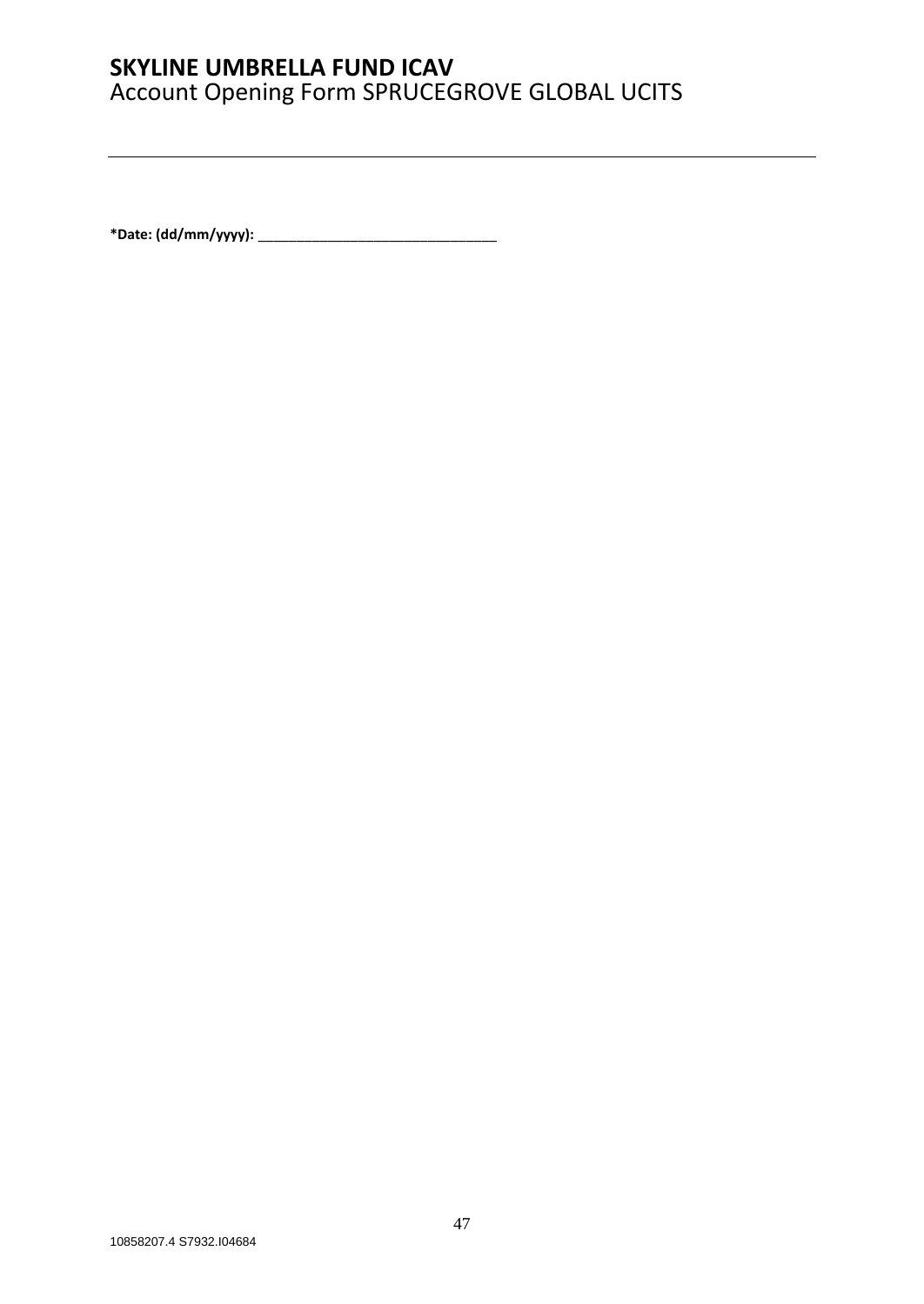**\*Date: (dd/mm/yyyy):** \_\_\_\_\_\_\_\_\_\_\_\_\_\_\_\_\_\_\_\_\_\_\_\_\_\_\_\_\_\_\_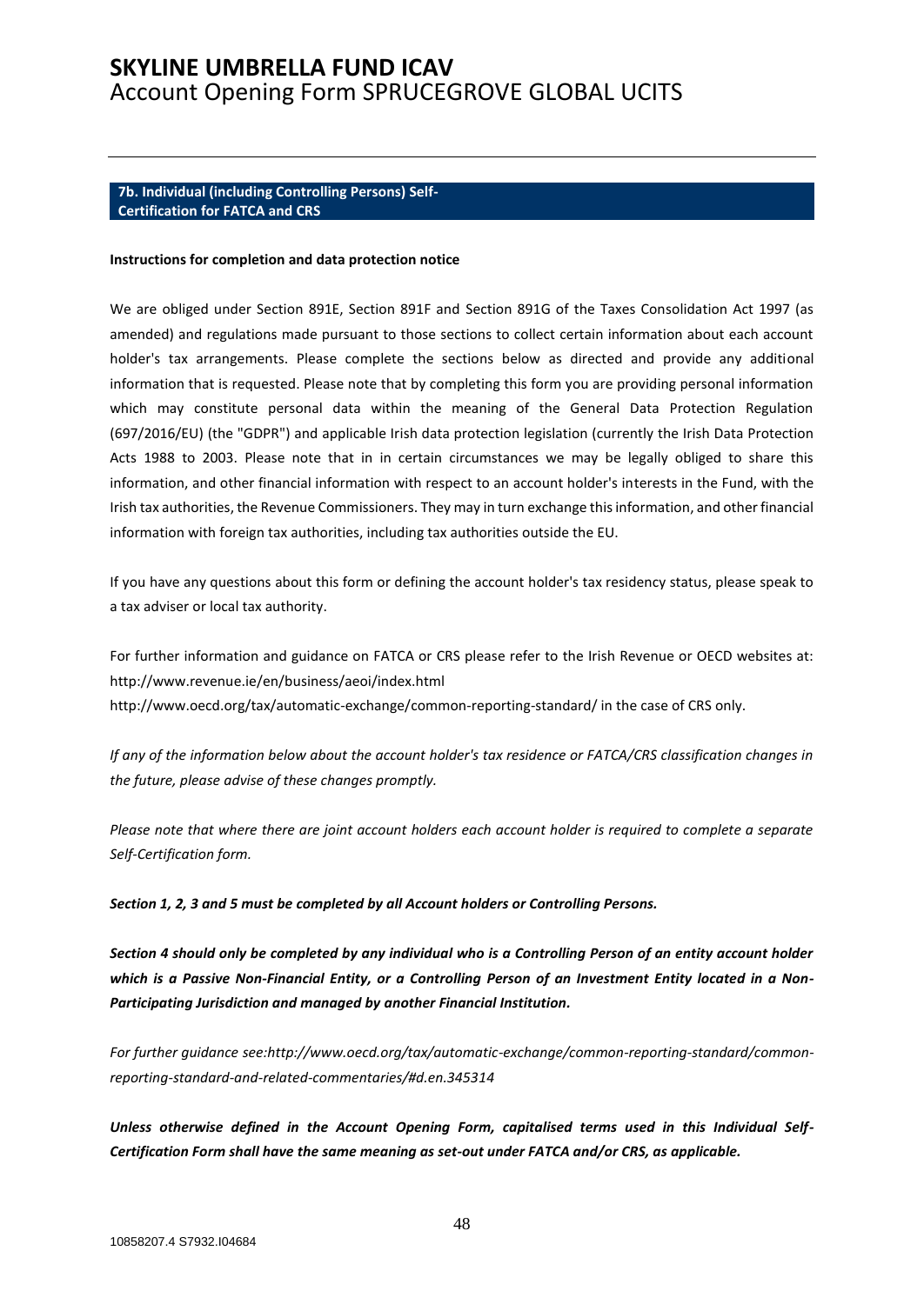#### <span id="page-47-0"></span>**7b. Individual (including Controlling Persons) Self-Certification for FATCA and CRS**

#### **Instructions for completion and data protection notice**

We are obliged under Section 891E, Section 891F and Section 891G of the Taxes Consolidation Act 1997 (as amended) and regulations made pursuant to those sections to collect certain information about each account holder's tax arrangements. Please complete the sections below as directed and provide any additional information that is requested. Please note that by completing this form you are providing personal information which may constitute personal data within the meaning of the General Data Protection Regulation (697/2016/EU) (the "GDPR") and applicable Irish data protection legislation (currently the Irish Data Protection Acts 1988 to 2003. Please note that in in certain circumstances we may be legally obliged to share this information, and other financial information with respect to an account holder's interests in the Fund, with the Irish tax authorities, the Revenue Commissioners. They may in turn exchange this information, and other financial information with foreign tax authorities, including tax authorities outside the EU.

If you have any questions about this form or defining the account holder's tax residency status, please speak to a tax adviser or local tax authority.

For further information and guidance on FATCA or CRS please refer to the Irish Revenue or OECD websites at: http://www.revenue.ie/en/business/aeoi/index.html http://www.oecd.org/tax/automatic-exchange/common-reporting-standard/ in the case of CRS only.

*If any of the information below about the account holder's tax residence or FATCA/CRS classification changes in the future, please advise of these changes promptly.*

*Please note that where there are joint account holders each account holder is required to complete a separate Self-Certification form.* 

*Section 1, 2, 3 and 5 must be completed by all Account holders or Controlling Persons.*

*Section 4 should only be completed by any individual who is a Controlling Person of an entity account holder which is a Passive Non-Financial Entity, or a Controlling Person of an Investment Entity located in a Non-Participating Jurisdiction and managed by another Financial Institution.* 

*For further guidance see:http://www.oecd.org/tax/automatic-exchange/common-reporting-standard/commonreporting-standard-and-related-commentaries/#d.en.345314* 

*Unless otherwise defined in the Account Opening Form, capitalised terms used in this Individual Self-Certification Form shall have the same meaning as set-out under FATCA and/or CRS, as applicable.*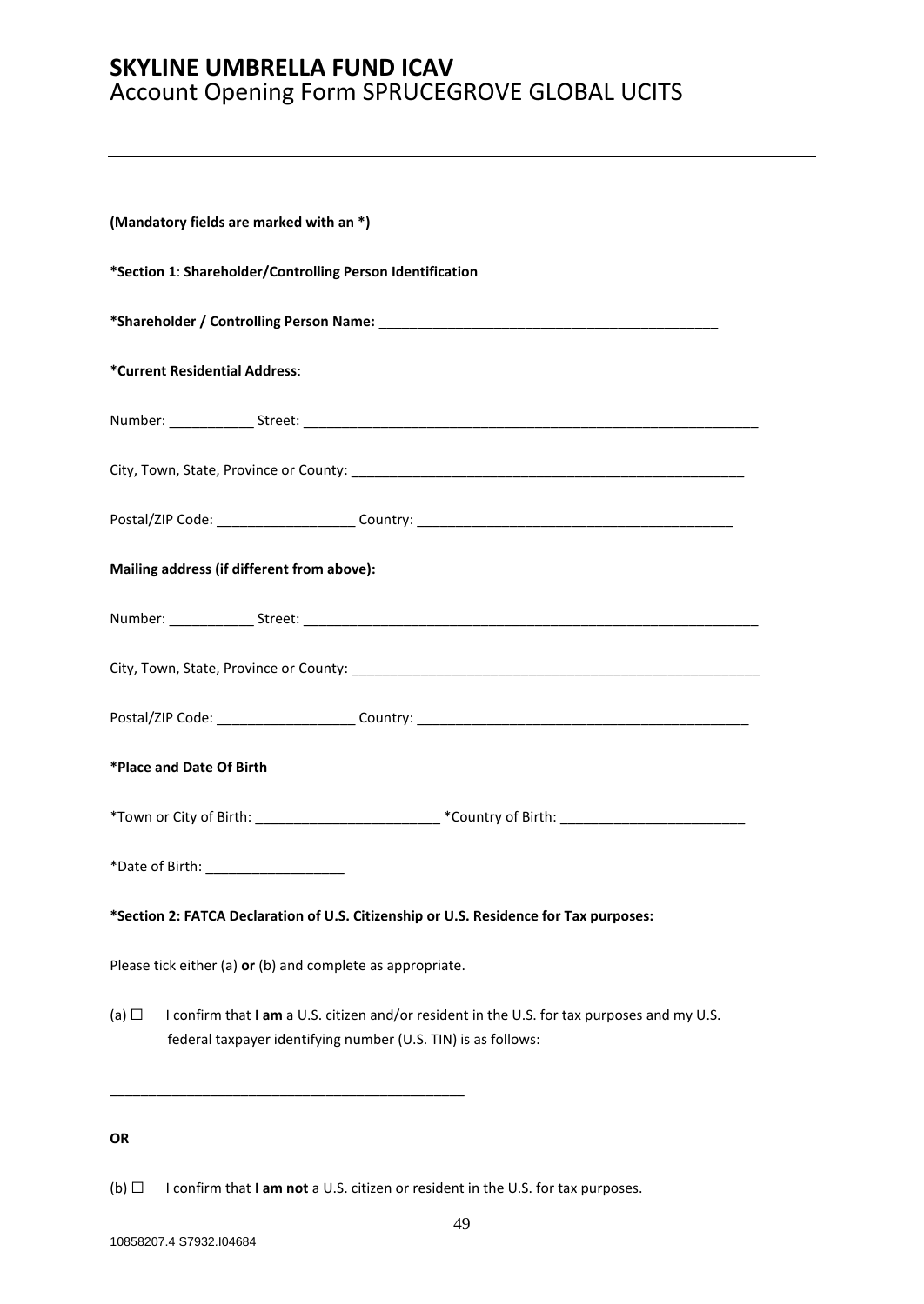| (Mandatory fields are marked with an *)                                                                                                                                    |  |  |  |  |
|----------------------------------------------------------------------------------------------------------------------------------------------------------------------------|--|--|--|--|
| *Section 1: Shareholder/Controlling Person Identification                                                                                                                  |  |  |  |  |
|                                                                                                                                                                            |  |  |  |  |
| *Current Residential Address:                                                                                                                                              |  |  |  |  |
|                                                                                                                                                                            |  |  |  |  |
|                                                                                                                                                                            |  |  |  |  |
|                                                                                                                                                                            |  |  |  |  |
| Mailing address (if different from above):                                                                                                                                 |  |  |  |  |
|                                                                                                                                                                            |  |  |  |  |
|                                                                                                                                                                            |  |  |  |  |
| Postal/ZIP Code: ________________________Country: ______________________________                                                                                           |  |  |  |  |
| *Place and Date Of Birth                                                                                                                                                   |  |  |  |  |
| *Town or City of Birth: ________________________________*Country of Birth: _________________________                                                                       |  |  |  |  |
|                                                                                                                                                                            |  |  |  |  |
| *Section 2: FATCA Declaration of U.S. Citizenship or U.S. Residence for Tax purposes:                                                                                      |  |  |  |  |
| Please tick either (a) or (b) and complete as appropriate.                                                                                                                 |  |  |  |  |
| I confirm that I am a U.S. citizen and/or resident in the U.S. for tax purposes and my U.S.<br>(a) $\Box$<br>federal taxpayer identifying number (U.S. TIN) is as follows: |  |  |  |  |
|                                                                                                                                                                            |  |  |  |  |

### **OR**

(b) ☐ I confirm that **I am not** a U.S. citizen or resident in the U.S. for tax purposes.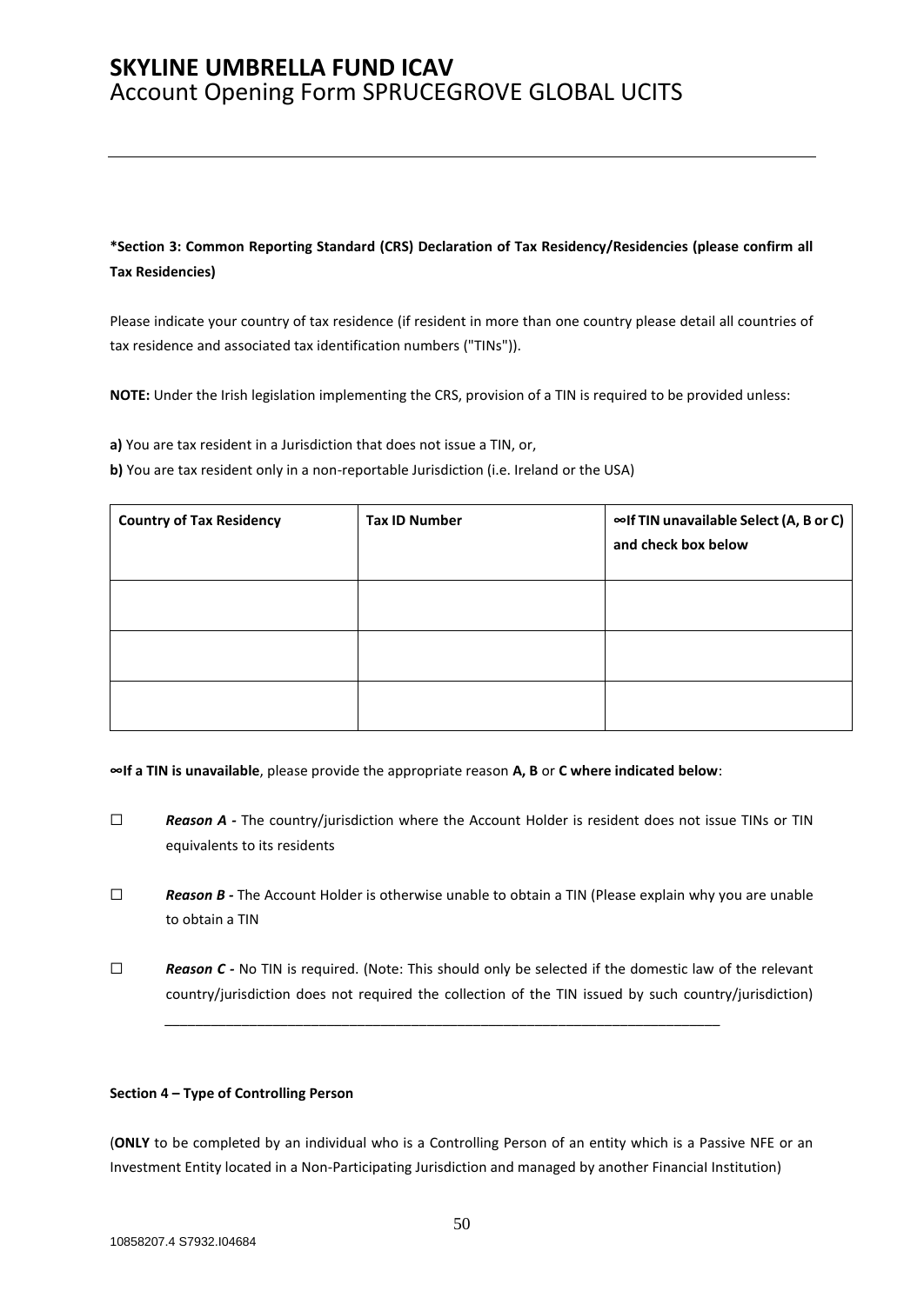**\*Section 3: Common Reporting Standard (CRS) Declaration of Tax Residency/Residencies (please confirm all Tax Residencies)** 

Please indicate your country of tax residence (if resident in more than one country please detail all countries of tax residence and associated tax identification numbers ("TINs")).

**NOTE:** Under the Irish legislation implementing the CRS, provision of a TIN is required to be provided unless:

**a)** You are tax resident in a Jurisdiction that does not issue a TIN, or,

**b)** You are tax resident only in a non-reportable Jurisdiction (i.e. Ireland or the USA)

| <b>Country of Tax Residency</b> | <b>Tax ID Number</b> | ∞If TIN unavailable Select (A, B or C)<br>and check box below |
|---------------------------------|----------------------|---------------------------------------------------------------|
|                                 |                      |                                                               |
|                                 |                      |                                                               |
|                                 |                      |                                                               |

**∞If a TIN is unavailable**, please provide the appropriate reason **A, B** or **C where indicated below**:

- □ **Reason A** The country/jurisdiction where the Account Holder is resident does not issue TINs or TIN equivalents to its residents
- ☐ *Reason B -* The Account Holder is otherwise unable to obtain a TIN (Please explain why you are unable to obtain a TIN
- □ *Reason C -* No TIN is required. (Note: This should only be selected if the domestic law of the relevant country/jurisdiction does not required the collection of the TIN issued by such country/jurisdiction)

*\_\_\_\_\_\_\_\_\_\_\_\_\_\_\_\_\_\_\_\_\_\_\_\_\_\_\_\_\_\_\_\_\_\_\_\_\_\_\_\_\_\_\_\_\_\_\_\_\_\_\_\_\_\_\_\_\_\_\_\_\_\_\_\_\_\_\_\_\_\_\_\_*

#### **Section 4 – Type of Controlling Person**

(**ONLY** to be completed by an individual who is a Controlling Person of an entity which is a Passive NFE or an Investment Entity located in a Non-Participating Jurisdiction and managed by another FinanciaI Institution)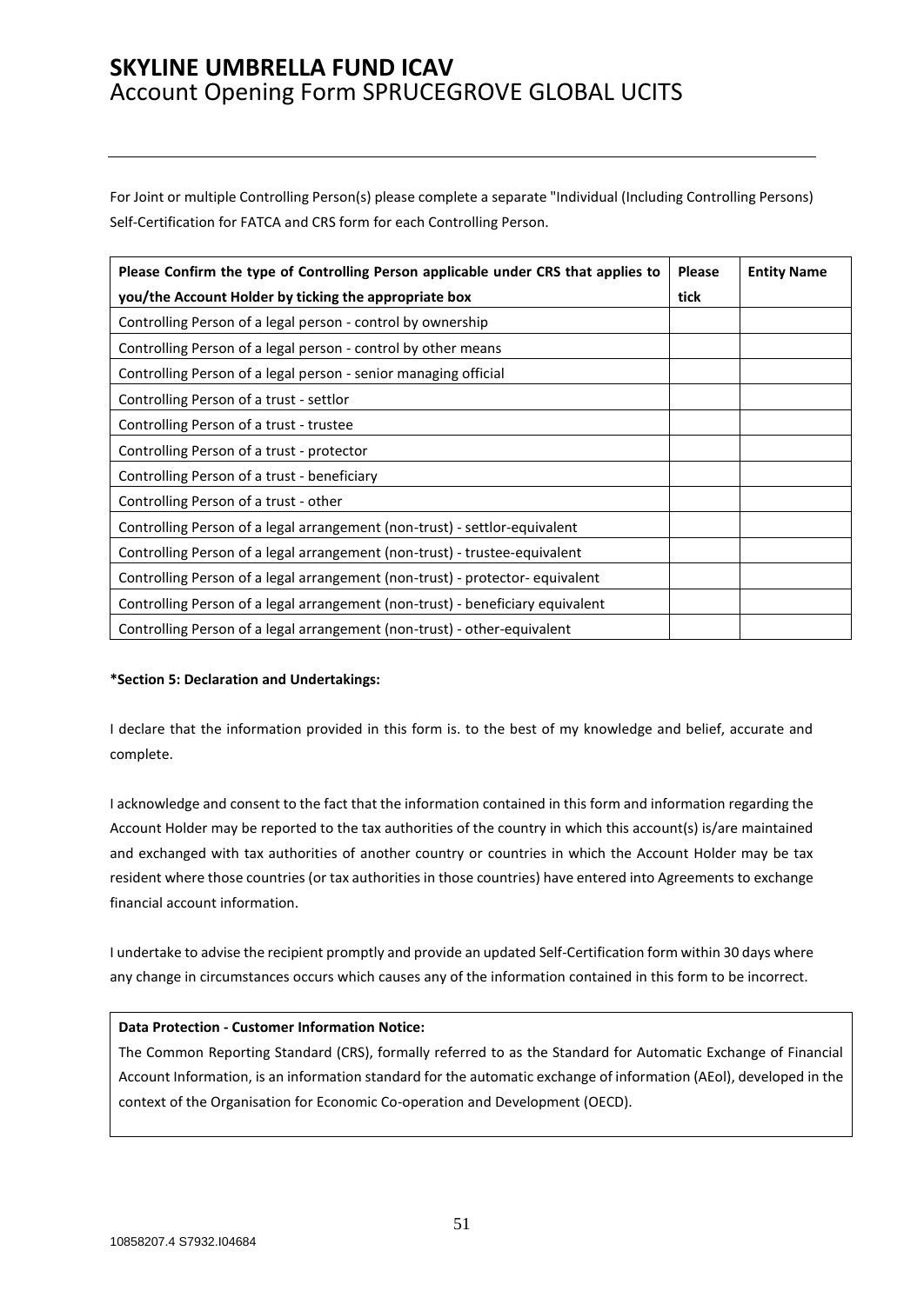For Joint or multiple Controlling Person(s) please complete a separate "Individual (Including Controlling Persons) Self-Certification for FATCA and CRS form for each Controlling Person.

| Please Confirm the type of Controlling Person applicable under CRS that applies to | <b>Please</b> | <b>Entity Name</b> |
|------------------------------------------------------------------------------------|---------------|--------------------|
| you/the Account Holder by ticking the appropriate box                              | tick          |                    |
| Controlling Person of a legal person - control by ownership                        |               |                    |
| Controlling Person of a legal person - control by other means                      |               |                    |
| Controlling Person of a legal person - senior managing official                    |               |                    |
| Controlling Person of a trust - settlor                                            |               |                    |
| Controlling Person of a trust - trustee                                            |               |                    |
| Controlling Person of a trust - protector                                          |               |                    |
| Controlling Person of a trust - beneficiary                                        |               |                    |
| Controlling Person of a trust - other                                              |               |                    |
| Controlling Person of a legal arrangement (non-trust) - settlor-equivalent         |               |                    |
| Controlling Person of a legal arrangement (non-trust) - trustee-equivalent         |               |                    |
| Controlling Person of a legal arrangement (non-trust) - protector- equivalent      |               |                    |
| Controlling Person of a legal arrangement (non-trust) - beneficiary equivalent     |               |                    |
| Controlling Person of a legal arrangement (non-trust) - other-equivalent           |               |                    |

#### **\*Section 5: Declaration and Undertakings:**

I declare that the information provided in this form is. to the best of my knowledge and belief, accurate and complete.

I acknowledge and consent to the fact that the information contained in this form and information regarding the Account Holder may be reported to the tax authorities of the country in which this account(s) is/are maintained and exchanged with tax authorities of another country or countries in which the Account Holder may be tax resident where those countries (or tax authorities in those countries) have entered into Agreements to exchange financial account information.

I undertake to advise the recipient promptly and provide an updated Self-Certification form within 30 days where any change in circumstances occurs which causes any of the information contained in this form to be incorrect.

#### **Data Protection - Customer Information Notice:**

The Common Reporting Standard (CRS), formally referred to as the Standard for Automatic Exchange of Financial Account Information, is an information standard for the automatic exchange of information (AEol), developed in the context of the Organisation for Economic Co-operation and Development (OECD).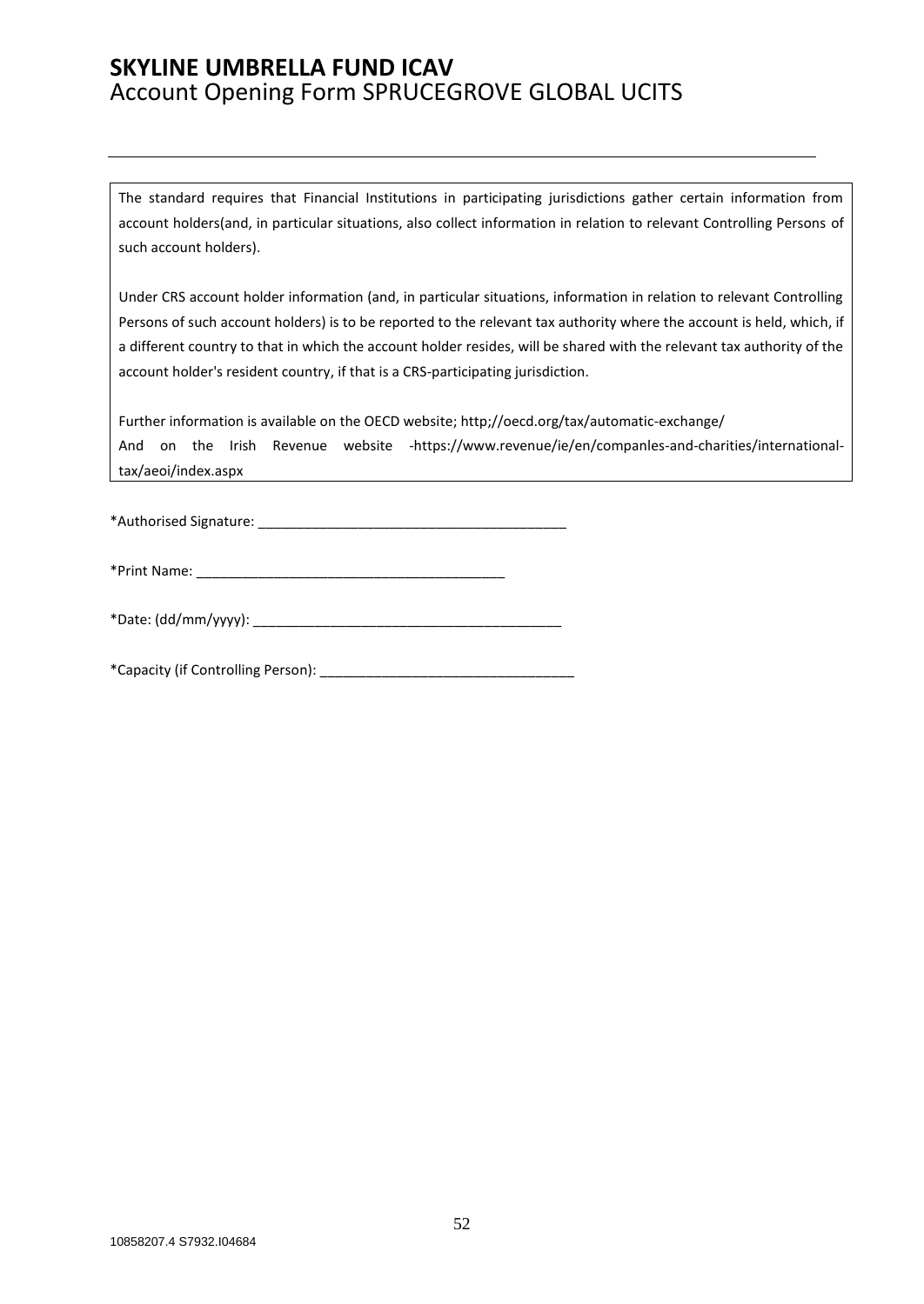The standard requires that Financial Institutions in participating jurisdictions gather certain information from account holders(and, in particular situations, also collect information in relation to relevant Controlling Persons of such account holders).

Under CRS account holder information (and, in particular situations, information in relation to relevant Controlling Persons of such account holders) is to be reported to the relevant tax authority where the account is held, which, if a different country to that in which the account holder resides, will be shared with the relevant tax authority of the account holder's resident country, if that is a CRS-participating jurisdiction.

Further information is available on the OECD website; http;//oecd.org/tax/automatic-exchange/ And on the Irish Revenue website -https://www.revenue/ie/en/companles-and-charities/internationaltax/aeoi/index.aspx

\*Authorised Signature: \_\_\_\_\_\_\_\_\_\_\_\_\_\_\_\_\_\_\_\_\_\_\_\_\_\_\_\_\_\_\_\_\_\_\_\_\_\_\_\_

\*Print Name: \_\_\_\_\_\_\_\_\_\_\_\_\_\_\_\_\_\_\_\_\_\_\_\_\_\_\_\_\_\_\_\_\_\_\_\_\_\_\_\_

| *Date: (dd/mm/yyyy): |  |
|----------------------|--|
|----------------------|--|

\*Capacity (if Controlling Person): \_\_\_\_\_\_\_\_\_\_\_\_\_\_\_\_\_\_\_\_\_\_\_\_\_\_\_\_\_\_\_\_\_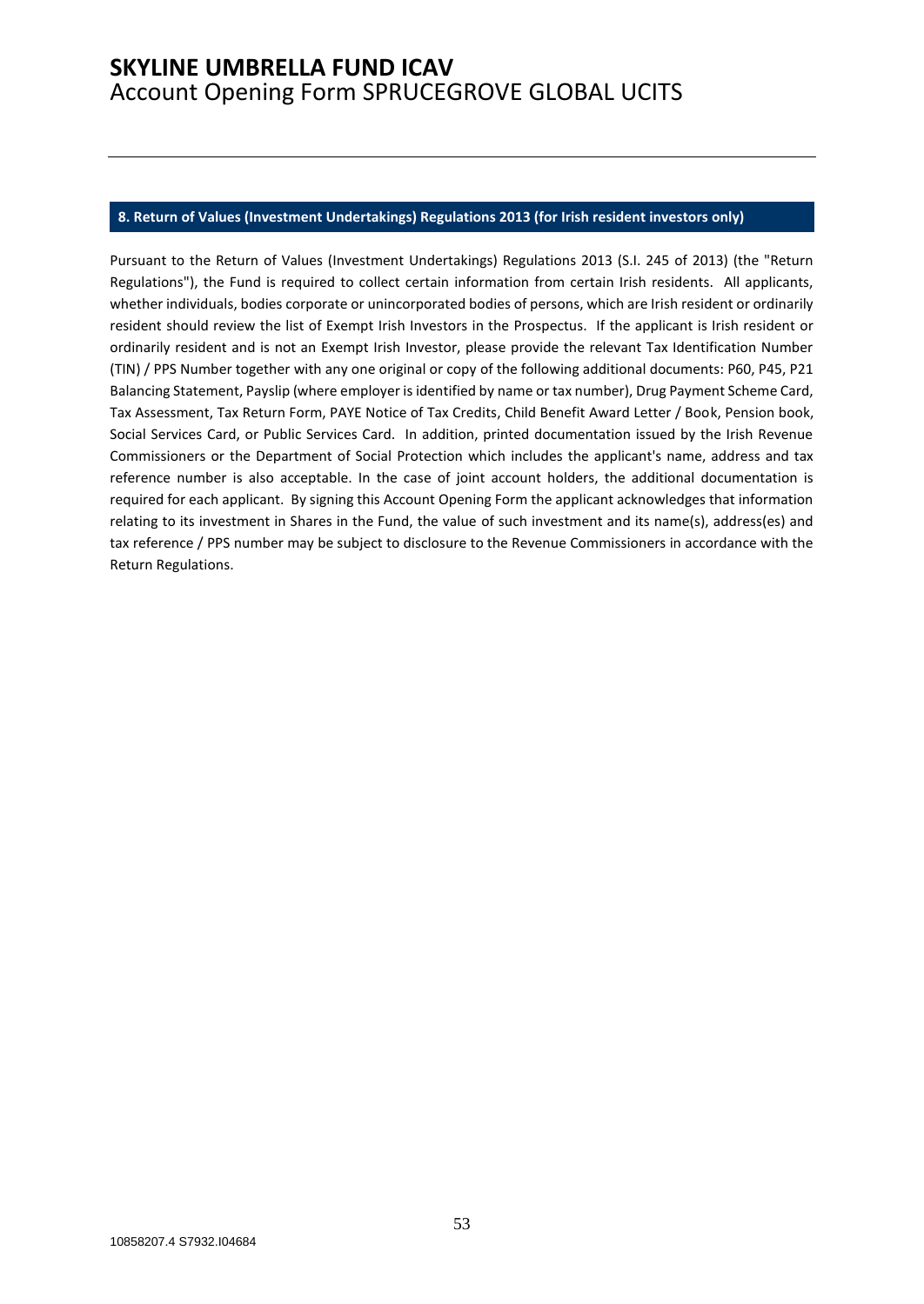#### <span id="page-52-0"></span>**8. Return of Values (Investment Undertakings) Regulations 2013 (for Irish resident investors only)**

Pursuant to the Return of Values (Investment Undertakings) Regulations 2013 (S.I. 245 of 2013) (the "Return Regulations"), the Fund is required to collect certain information from certain Irish residents. All applicants, whether individuals, bodies corporate or unincorporated bodies of persons, which are Irish resident or ordinarily resident should review the list of Exempt Irish Investors in the Prospectus. If the applicant is Irish resident or ordinarily resident and is not an Exempt Irish Investor, please provide the relevant Tax Identification Number (TIN) / PPS Number together with any one original or copy of the following additional documents: P60, P45, P21 Balancing Statement, Payslip (where employer is identified by name or tax number), Drug Payment Scheme Card, Tax Assessment, Tax Return Form, PAYE Notice of Tax Credits, Child Benefit Award Letter / Book, Pension book, Social Services Card, or Public Services Card. In addition, printed documentation issued by the Irish Revenue Commissioners or the Department of Social Protection which includes the applicant's name, address and tax reference number is also acceptable. In the case of joint account holders, the additional documentation is required for each applicant. By signing this Account Opening Form the applicant acknowledges that information relating to its investment in Shares in the Fund, the value of such investment and its name(s), address(es) and tax reference / PPS number may be subject to disclosure to the Revenue Commissioners in accordance with the Return Regulations.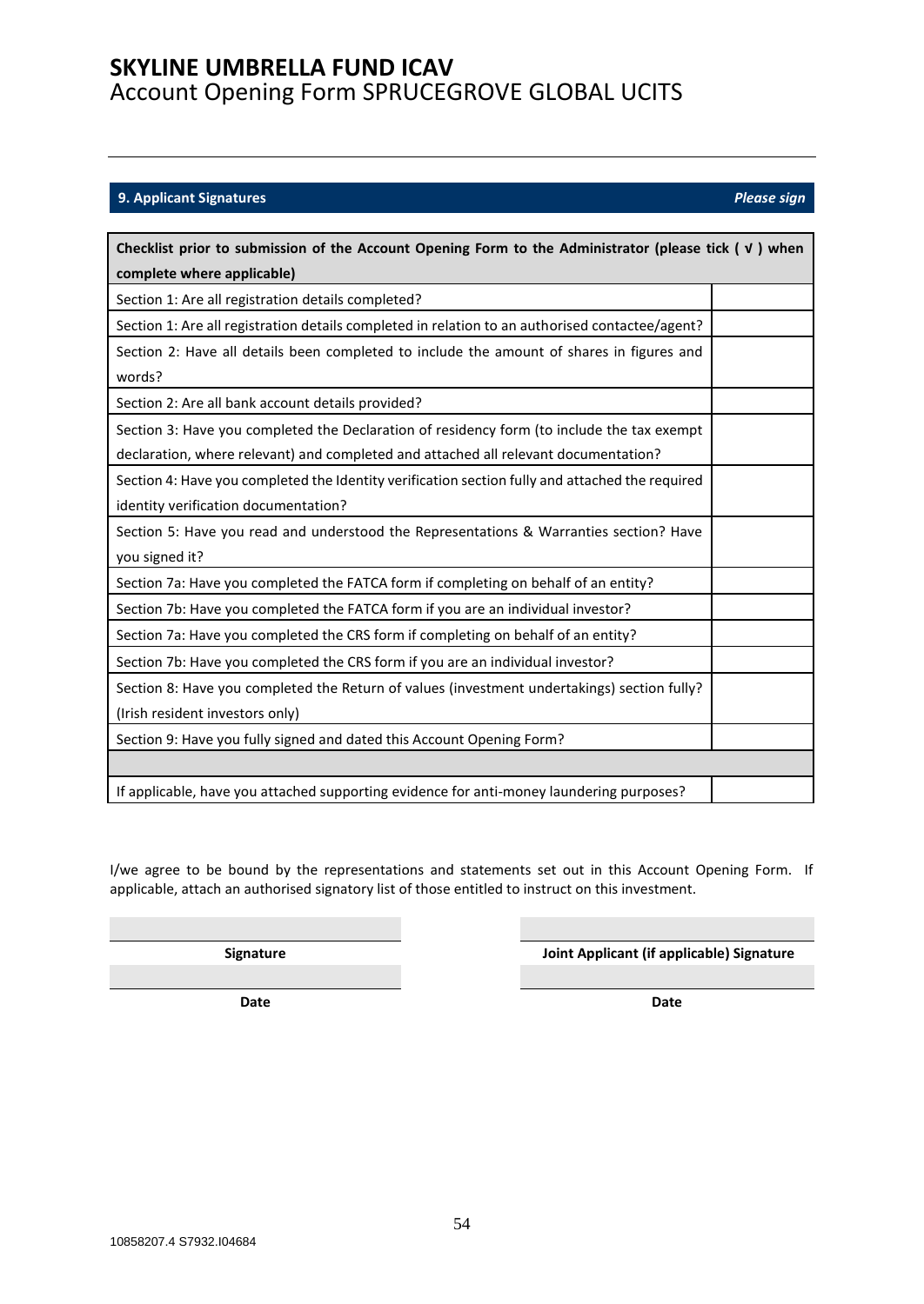### <span id="page-53-0"></span>**9. Applicant Signatures** *Please sign*

| Checklist prior to submission of the Account Opening Form to the Administrator (please tick $(\nu)$ when                                                                          |  |  |  |
|-----------------------------------------------------------------------------------------------------------------------------------------------------------------------------------|--|--|--|
| complete where applicable)                                                                                                                                                        |  |  |  |
| Section 1: Are all registration details completed?                                                                                                                                |  |  |  |
| Section 1: Are all registration details completed in relation to an authorised contactee/agent?                                                                                   |  |  |  |
| Section 2: Have all details been completed to include the amount of shares in figures and<br>words?                                                                               |  |  |  |
| Section 2: Are all bank account details provided?                                                                                                                                 |  |  |  |
| Section 3: Have you completed the Declaration of residency form (to include the tax exempt<br>declaration, where relevant) and completed and attached all relevant documentation? |  |  |  |
| Section 4: Have you completed the Identity verification section fully and attached the required<br>identity verification documentation?                                           |  |  |  |
| Section 5: Have you read and understood the Representations & Warranties section? Have<br>you signed it?                                                                          |  |  |  |
| Section 7a: Have you completed the FATCA form if completing on behalf of an entity?                                                                                               |  |  |  |
| Section 7b: Have you completed the FATCA form if you are an individual investor?                                                                                                  |  |  |  |
| Section 7a: Have you completed the CRS form if completing on behalf of an entity?                                                                                                 |  |  |  |
| Section 7b: Have you completed the CRS form if you are an individual investor?                                                                                                    |  |  |  |
| Section 8: Have you completed the Return of values (investment undertakings) section fully?<br>(Irish resident investors only)                                                    |  |  |  |
| Section 9: Have you fully signed and dated this Account Opening Form?                                                                                                             |  |  |  |
|                                                                                                                                                                                   |  |  |  |
| If applicable, have you attached supporting evidence for anti-money laundering purposes?                                                                                          |  |  |  |

I/we agree to be bound by the representations and statements set out in this Account Opening Form. If applicable, attach an authorised signatory list of those entitled to instruct on this investment.

**Signature Joint Applicant (if applicable) Signature**

**Date Date**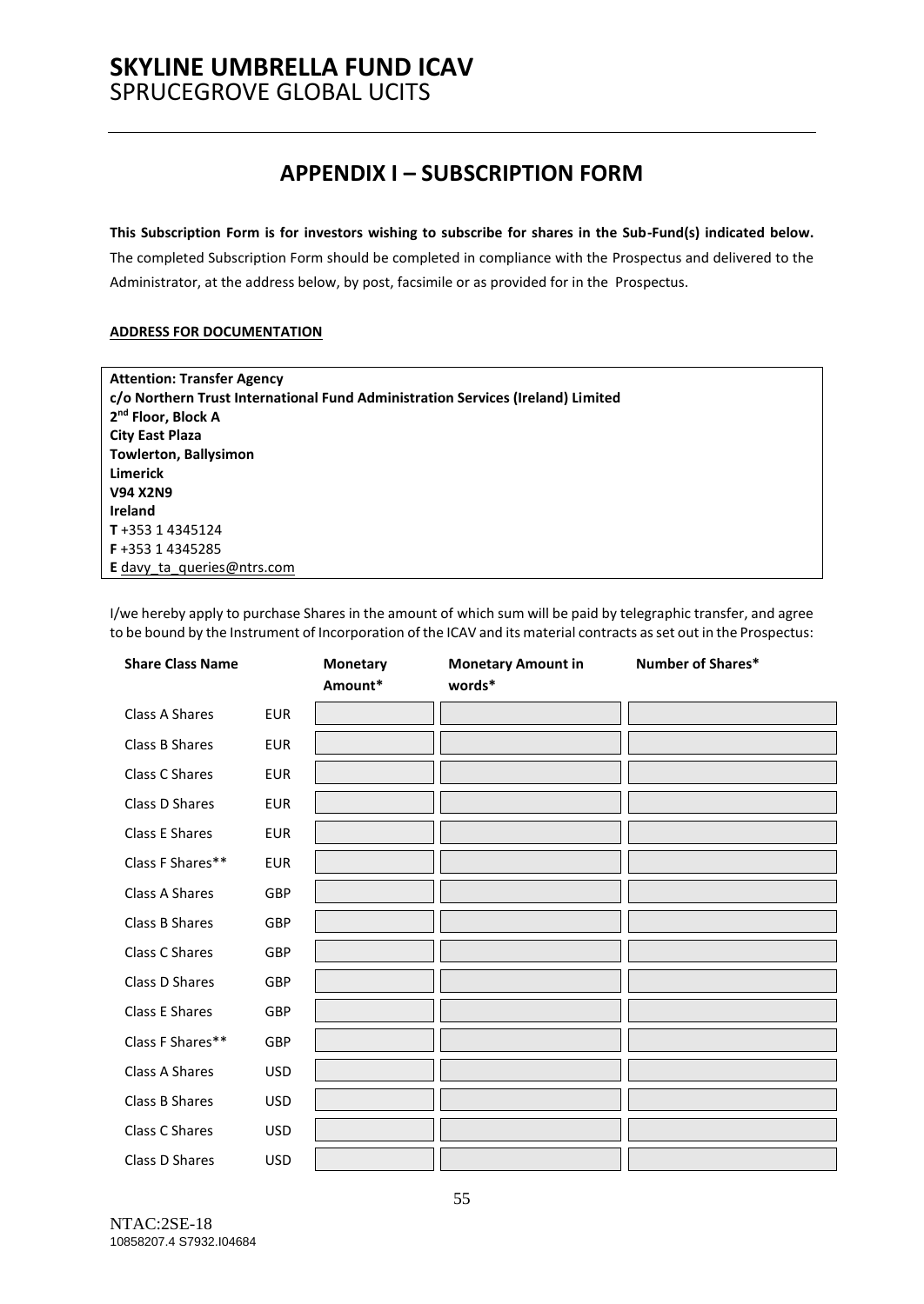# **APPENDIX I – SUBSCRIPTION FORM**

#### <span id="page-54-0"></span>**This Subscription Form is for investors wishing to subscribe for shares in the Sub-Fund(s) indicated below.**

The completed Subscription Form should be completed in compliance with the Prospectus and delivered to the Administrator, at the address below, by post, facsimile or as provided for in the Prospectus.

### **ADDRESS FOR DOCUMENTATION**

| <b>Attention: Transfer Agency</b>                                               |
|---------------------------------------------------------------------------------|
| c/o Northern Trust International Fund Administration Services (Ireland) Limited |
| 2 <sup>nd</sup> Floor, Block A                                                  |
| <b>City East Plaza</b>                                                          |
| <b>Towlerton, Ballysimon</b>                                                    |
| <b>Limerick</b>                                                                 |
| <b>V94 X2N9</b>                                                                 |
| <b>Ireland</b>                                                                  |
| T+353 14345124                                                                  |
| F+353 14345285                                                                  |
| <b>E</b> davy ta queries @ ntrs.com                                             |

I/we hereby apply to purchase Shares in the amount of which sum will be paid by telegraphic transfer, and agree to be bound by the Instrument of Incorporation of the ICAV and its material contracts as set out in the Prospectus:

| <b>Share Class Name</b> |            | <b>Monetary</b><br>Amount* | <b>Monetary Amount in</b><br>words* | Number of Shares* |
|-------------------------|------------|----------------------------|-------------------------------------|-------------------|
| Class A Shares          | <b>EUR</b> |                            |                                     |                   |
| Class B Shares          | <b>EUR</b> |                            |                                     |                   |
| Class C Shares          | <b>EUR</b> |                            |                                     |                   |
| Class D Shares          | <b>EUR</b> |                            |                                     |                   |
| Class E Shares          | <b>EUR</b> |                            |                                     |                   |
| Class F Shares**        | <b>EUR</b> |                            |                                     |                   |
| Class A Shares          | GBP        |                            |                                     |                   |
| Class B Shares          | GBP        |                            |                                     |                   |
| Class C Shares          | GBP        |                            |                                     |                   |
| Class D Shares          | GBP        |                            |                                     |                   |
| Class E Shares          | GBP        |                            |                                     |                   |
| Class F Shares**        | GBP        |                            |                                     |                   |
| Class A Shares          | <b>USD</b> |                            |                                     |                   |
| Class B Shares          | <b>USD</b> |                            |                                     |                   |
| Class C Shares          | <b>USD</b> |                            |                                     |                   |
| Class D Shares          | <b>USD</b> |                            |                                     |                   |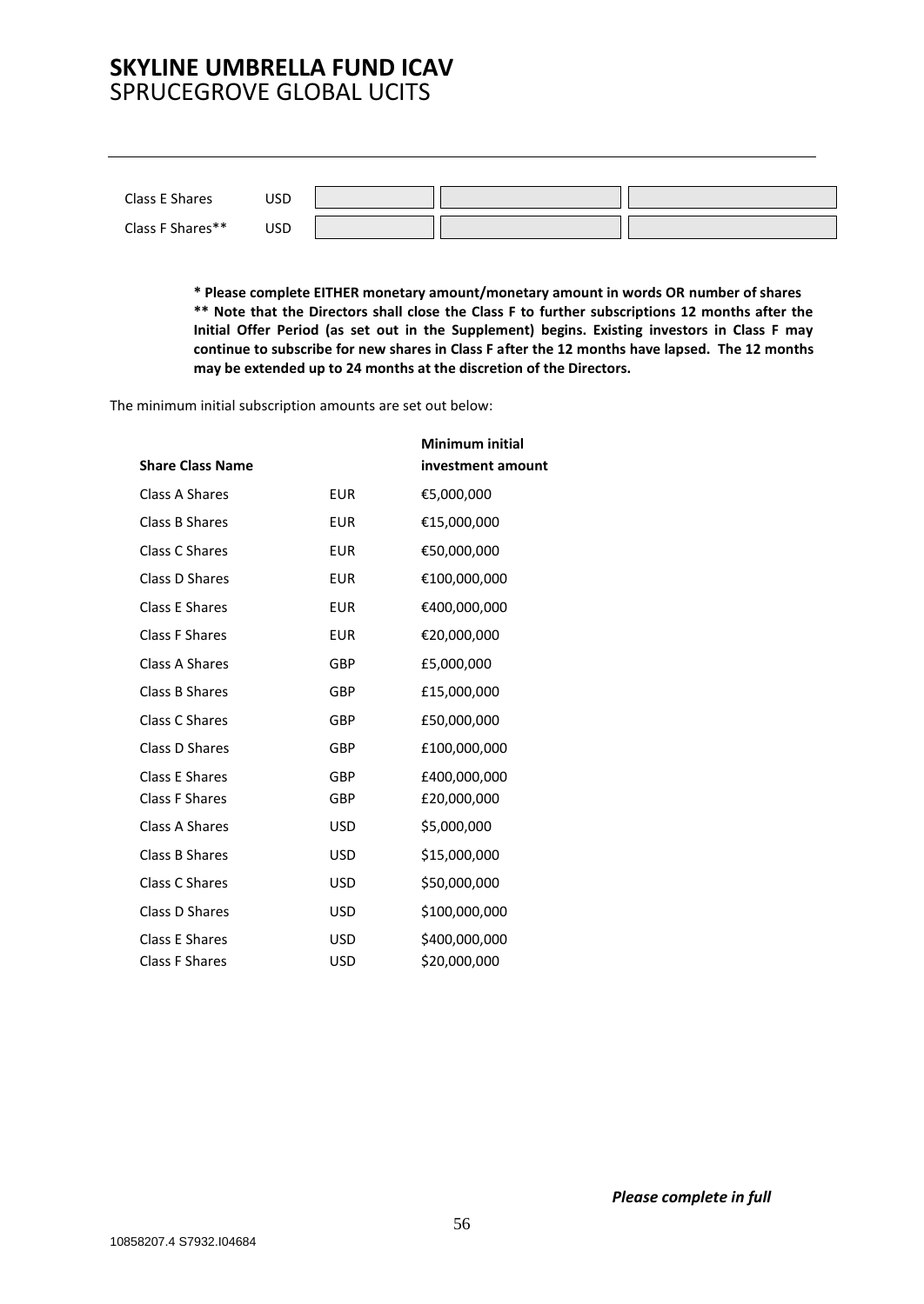| Class E Shares   | USD |  |  |
|------------------|-----|--|--|
| Class F Shares** | USD |  |  |

**\* Please complete EITHER monetary amount/monetary amount in words OR number of shares \*\* Note that the Directors shall close the Class F to further subscriptions 12 months after the Initial Offer Period (as set out in the Supplement) begins. Existing investors in Class F may continue to subscribe for new shares in Class F after the 12 months have lapsed. The 12 months may be extended up to 24 months at the discretion of the Directors.**

The minimum initial subscription amounts are set out below:

|                         |            | Minimum initial   |
|-------------------------|------------|-------------------|
| <b>Share Class Name</b> |            | investment amount |
| Class A Shares          | <b>EUR</b> | €5,000,000        |
| Class B Shares          | <b>EUR</b> | €15,000,000       |
| Class C Shares          | <b>EUR</b> | €50,000,000       |
| Class D Shares          | <b>EUR</b> | €100,000,000      |
| Class E Shares          | <b>EUR</b> | €400,000,000      |
| Class F Shares          | <b>EUR</b> | €20,000,000       |
| Class A Shares          | <b>GBP</b> | £5,000,000        |
| Class B Shares          | <b>GBP</b> | £15,000,000       |
| Class C Shares          | <b>GBP</b> | £50,000,000       |
| Class D Shares          | <b>GBP</b> | £100,000,000      |
| Class E Shares          | GBP        | £400,000,000      |
| <b>Class F Shares</b>   | GBP        | £20,000,000       |
| Class A Shares          | USD        | \$5,000,000       |
| Class B Shares          | <b>USD</b> | \$15,000,000      |
| Class C Shares          | <b>USD</b> | \$50,000,000      |
| Class D Shares          | <b>USD</b> | \$100,000,000     |
| Class E Shares          | <b>USD</b> | \$400,000,000     |
| <b>Class F Shares</b>   | <b>USD</b> | \$20,000,000      |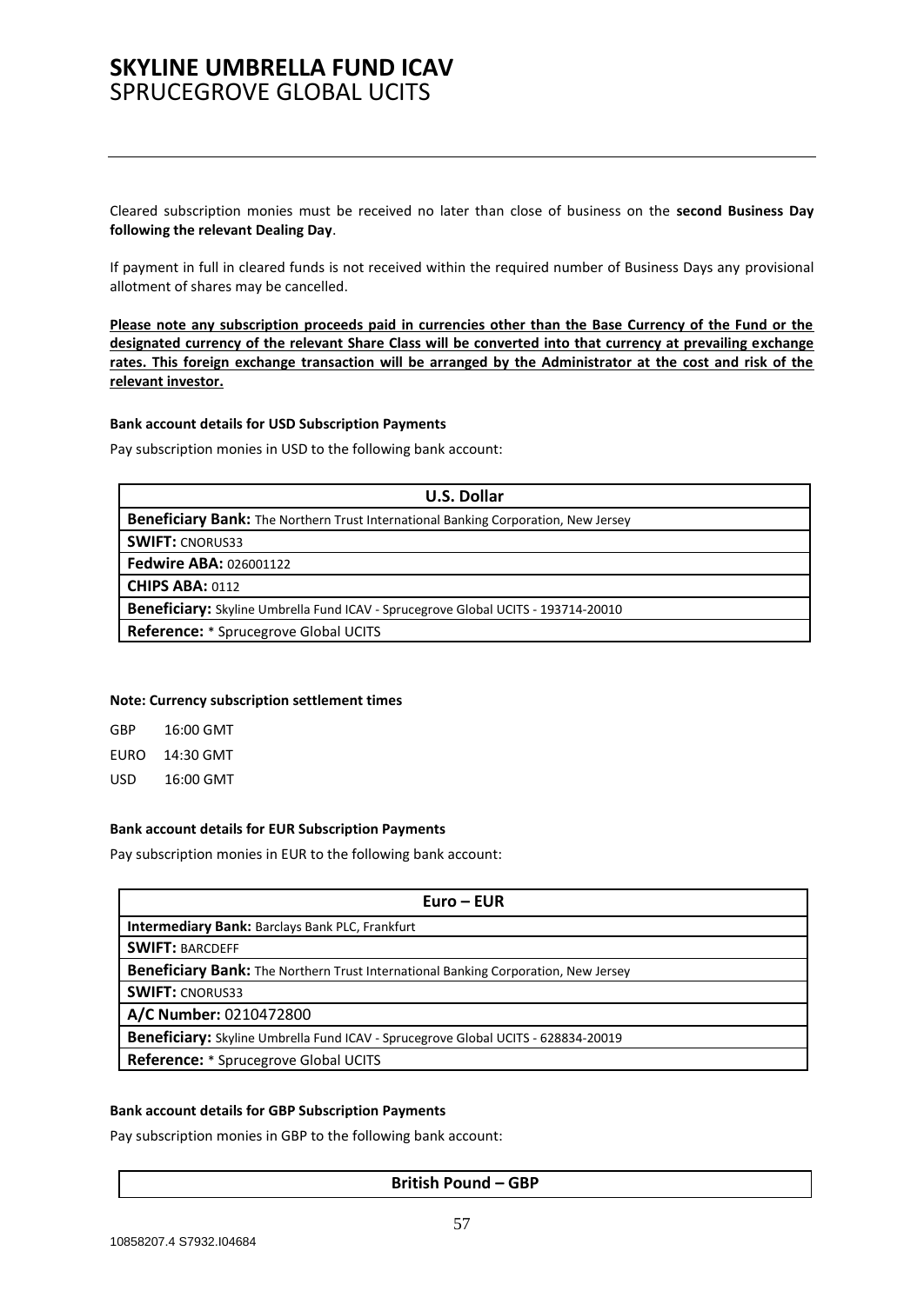Cleared subscription monies must be received no later than close of business on the **second Business Day following the relevant Dealing Day**.

If payment in full in cleared funds is not received within the required number of Business Days any provisional allotment of shares may be cancelled.

**Please note any subscription proceeds paid in currencies other than the Base Currency of the Fund or the designated currency of the relevant Share Class will be converted into that currency at prevailing exchange rates. This foreign exchange transaction will be arranged by the Administrator at the cost and risk of the relevant investor.**

#### **Bank account details for USD Subscription Payments**

Pay subscription monies in USD to the following bank account:

| <b>U.S. Dollar</b>                                                                 |  |  |
|------------------------------------------------------------------------------------|--|--|
| Beneficiary Bank: The Northern Trust International Banking Corporation, New Jersey |  |  |
| <b>SWIFT: CNORUS33</b>                                                             |  |  |
| <b>Fedwire ABA: 026001122</b>                                                      |  |  |
| <b>CHIPS ABA: 0112</b>                                                             |  |  |
| Beneficiary: Skyline Umbrella Fund ICAV - Sprucegrove Global UCITS - 193714-20010  |  |  |
| Reference: * Sprucegrove Global UCITS                                              |  |  |
|                                                                                    |  |  |

#### **Note: Currency subscription settlement times**

| GBP  | 16:00 GMT |
|------|-----------|
| EURO | 14:30 GMT |
| USD  | 16:00 GMT |

#### **Bank account details for EUR Subscription Payments**

Pay subscription monies in EUR to the following bank account:

| $Euro - EUR$                                                                             |  |  |
|------------------------------------------------------------------------------------------|--|--|
| <b>Intermediary Bank: Barclays Bank PLC, Frankfurt</b>                                   |  |  |
| <b>SWIFT: BARCDEFF</b>                                                                   |  |  |
| Beneficiary Bank: The Northern Trust International Banking Corporation, New Jersey       |  |  |
| <b>SWIFT: CNORUS33</b>                                                                   |  |  |
| A/C Number: 0210472800                                                                   |  |  |
| <b>Beneficiary:</b> Skyline Umbrella Fund ICAV - Sprucegrove Global UCITS - 628834-20019 |  |  |
| <b>Reference:</b> * Sprucegrove Global UCITS                                             |  |  |

#### **Bank account details for GBP Subscription Payments**

Pay subscription monies in GBP to the following bank account:

#### **British Pound – GBP**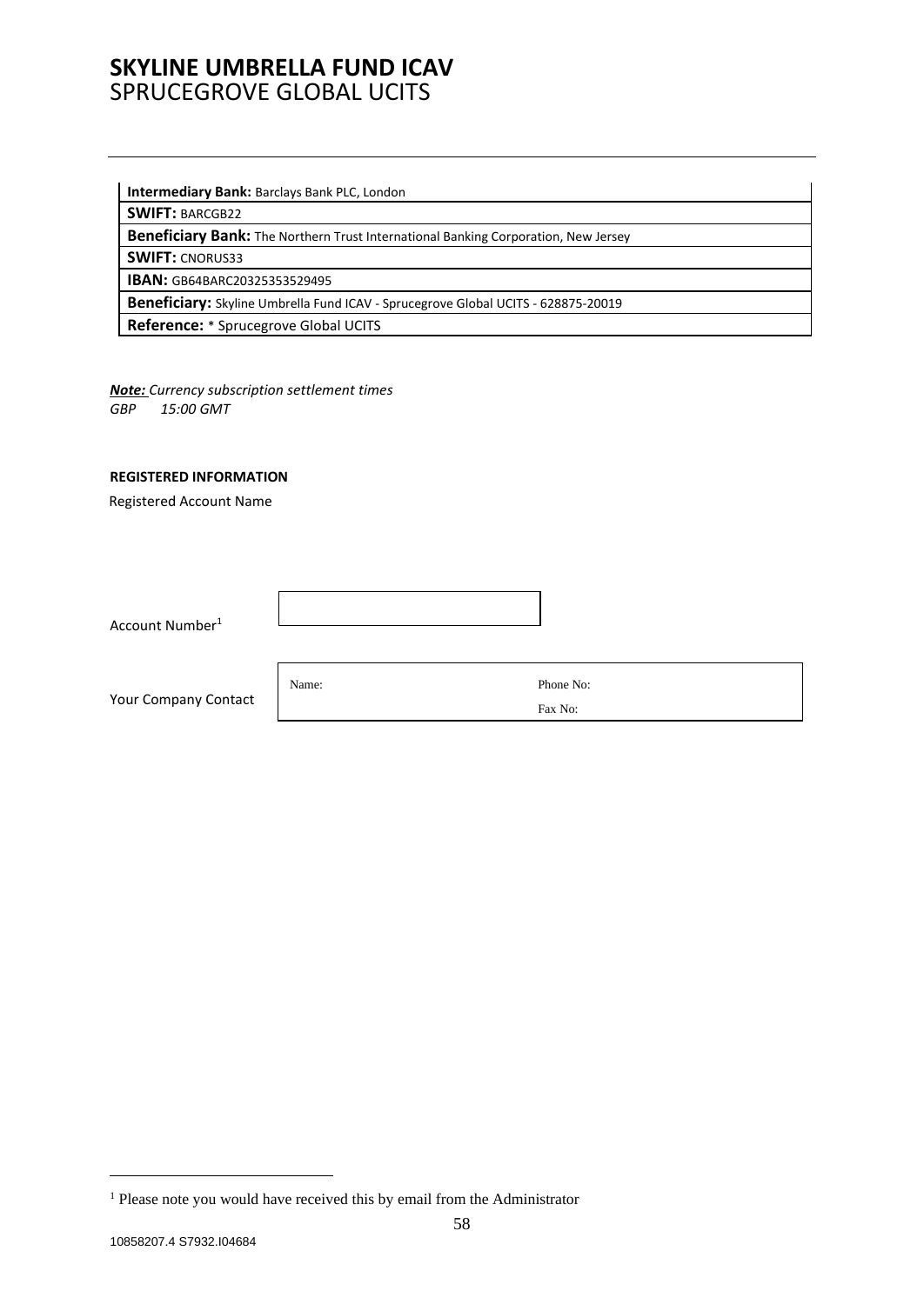#### **Intermediary Bank:** Barclays Bank PLC, London

**SWIFT:** BARCGB22

**Beneficiary Bank:** The Northern Trust International Banking Corporation, New Jersey

**SWIFT:** CNORUS33

**IBAN:** GB64BARC20325353529495

**Beneficiary:** Skyline Umbrella Fund ICAV - Sprucegrove Global UCITS - 628875-20019

**Reference:** \* Sprucegrove Global UCITS

*Note: Currency subscription settlement times GBP 15:00 GMT*

#### **REGISTERED INFORMATION**

Registered Account Name

Account Number<sup>1</sup>

Your Company Contact

Name: Phone No:

Fax No:

<sup>&</sup>lt;sup>1</sup> Please note you would have received this by email from the Administrator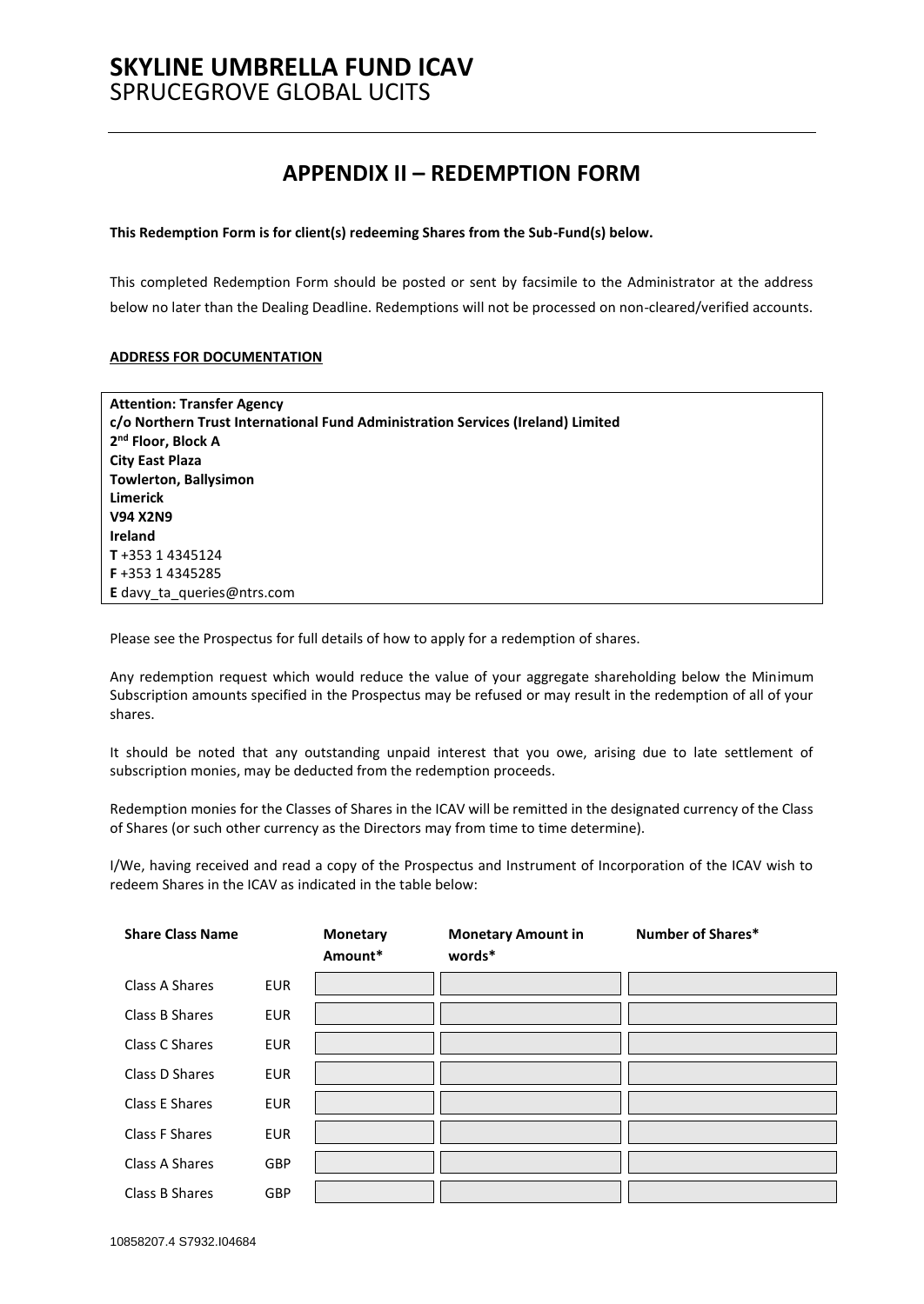# **APPENDIX II – REDEMPTION FORM**

#### <span id="page-58-0"></span>**This Redemption Form is for client(s) redeeming Shares from the Sub-Fund(s) below.**

This completed Redemption Form should be posted or sent by facsimile to the Administrator at the address below no later than the Dealing Deadline. Redemptions will not be processed on non-cleared/verified accounts.

#### **ADDRESS FOR DOCUMENTATION**

| <b>Attention: Transfer Agency</b>                                               |
|---------------------------------------------------------------------------------|
| c/o Northern Trust International Fund Administration Services (Ireland) Limited |
| 2 <sup>nd</sup> Floor, Block A                                                  |
| <b>City East Plaza</b>                                                          |
| <b>Towlerton, Ballysimon</b>                                                    |
| <b>Limerick</b>                                                                 |
| <b>V94 X2N9</b>                                                                 |
| <b>Ireland</b>                                                                  |
| T+353 14345124                                                                  |
| <b>F</b> +353 14345285                                                          |
| <b>E</b> davy ta queries@ntrs.com                                               |

Please see the Prospectus for full details of how to apply for a redemption of shares.

Any redemption request which would reduce the value of your aggregate shareholding below the Minimum Subscription amounts specified in the Prospectus may be refused or may result in the redemption of all of your shares.

It should be noted that any outstanding unpaid interest that you owe, arising due to late settlement of subscription monies, may be deducted from the redemption proceeds.

Redemption monies for the Classes of Shares in the ICAV will be remitted in the designated currency of the Class of Shares (or such other currency as the Directors may from time to time determine).

I/We, having received and read a copy of the Prospectus and Instrument of Incorporation of the ICAV wish to redeem Shares in the ICAV as indicated in the table below:

| <b>Share Class Name</b> |            | <b>Monetary</b><br>Amount* | <b>Monetary Amount in</b><br>words* | <b>Number of Shares*</b> |
|-------------------------|------------|----------------------------|-------------------------------------|--------------------------|
| Class A Shares          | <b>EUR</b> |                            |                                     |                          |
| Class B Shares          | <b>EUR</b> |                            |                                     |                          |
| Class C Shares          | <b>EUR</b> |                            |                                     |                          |
| Class D Shares          | <b>EUR</b> |                            |                                     |                          |
| Class E Shares          | <b>EUR</b> |                            |                                     |                          |
| Class F Shares          | <b>EUR</b> |                            |                                     |                          |
| Class A Shares          | <b>GBP</b> |                            |                                     |                          |
| Class B Shares          | GBP        |                            |                                     |                          |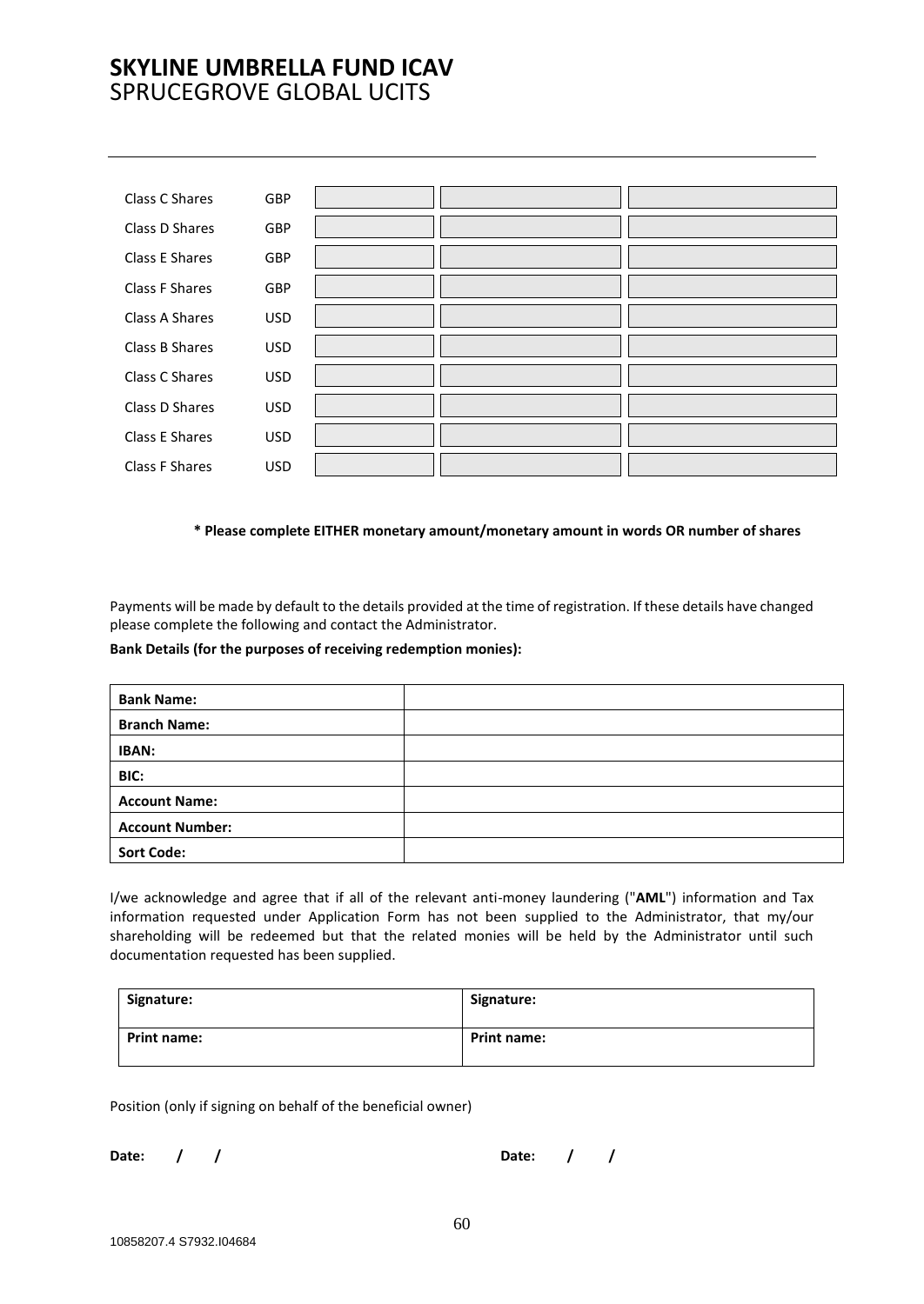| Class C Shares | GBP        |  |
|----------------|------------|--|
| Class D Shares | <b>GBP</b> |  |
| Class E Shares | GBP        |  |
| Class F Shares | GBP        |  |
| Class A Shares | <b>USD</b> |  |
| Class B Shares | <b>USD</b> |  |
| Class C Shares | <b>USD</b> |  |
| Class D Shares | <b>USD</b> |  |
| Class E Shares | <b>USD</b> |  |
| Class F Shares | <b>USD</b> |  |

#### **\* Please complete EITHER monetary amount/monetary amount in words OR number of shares**

Payments will be made by default to the details provided at the time of registration. If these details have changed please complete the following and contact the Administrator.

#### **Bank Details (for the purposes of receiving redemption monies):**

| <b>Bank Name:</b>      |  |
|------------------------|--|
| <b>Branch Name:</b>    |  |
| <b>IBAN:</b>           |  |
| BIC:                   |  |
| <b>Account Name:</b>   |  |
| <b>Account Number:</b> |  |
| <b>Sort Code:</b>      |  |

I/we acknowledge and agree that if all of the relevant anti-money laundering ("**AML**") information and Tax information requested under Application Form has not been supplied to the Administrator, that my/our shareholding will be redeemed but that the related monies will be held by the Administrator until such documentation requested has been supplied.

| Signature:         | Signature:         |
|--------------------|--------------------|
| <b>Print name:</b> | <b>Print name:</b> |

Position (only if signing on behalf of the beneficial owner)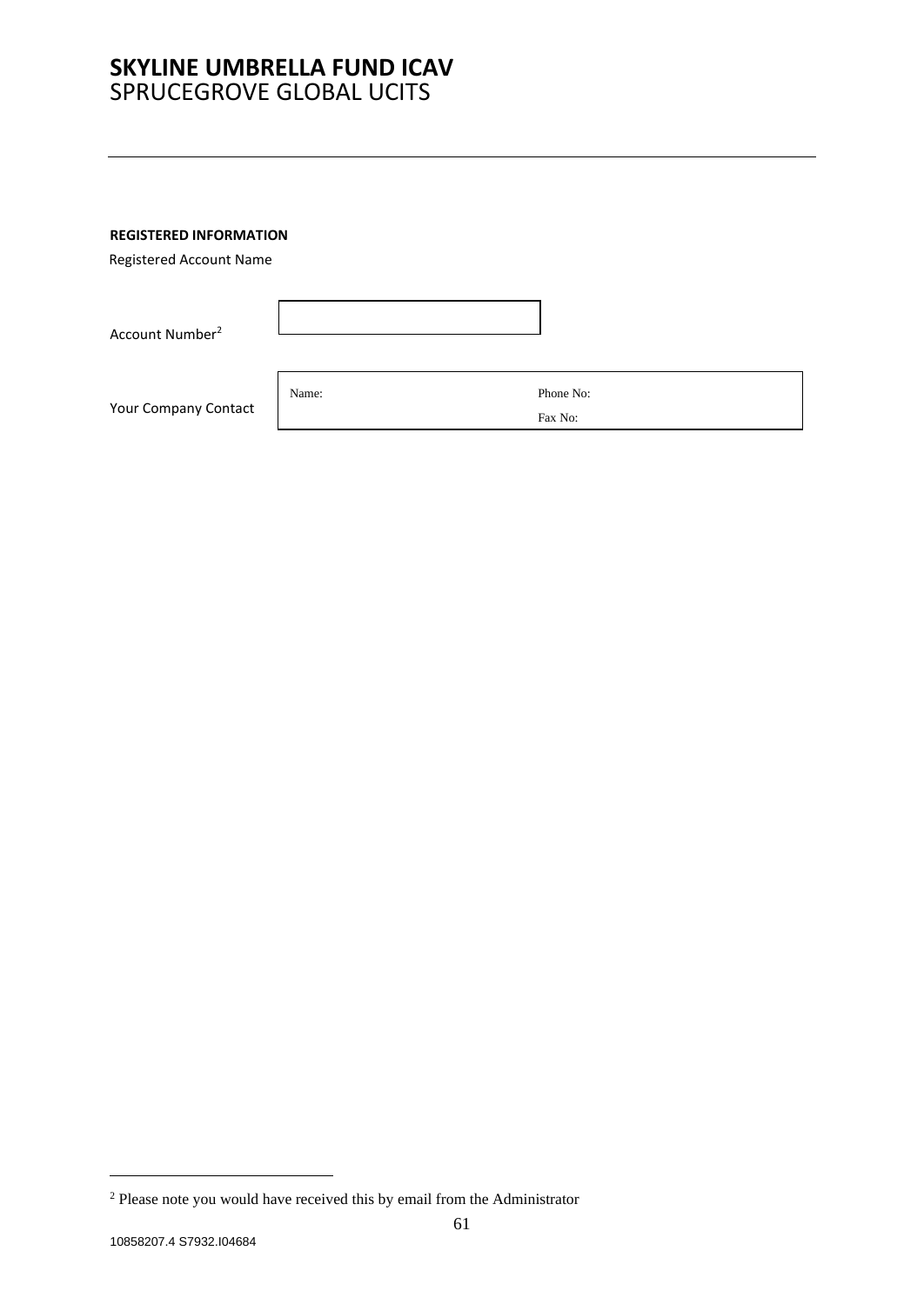### **REGISTERED INFORMATION**

Registered Account Name

Account Number<sup>2</sup>

Your Company Contact

Name: Phone No:

Fax No:

<sup>2</sup> Please note you would have received this by email from the Administrator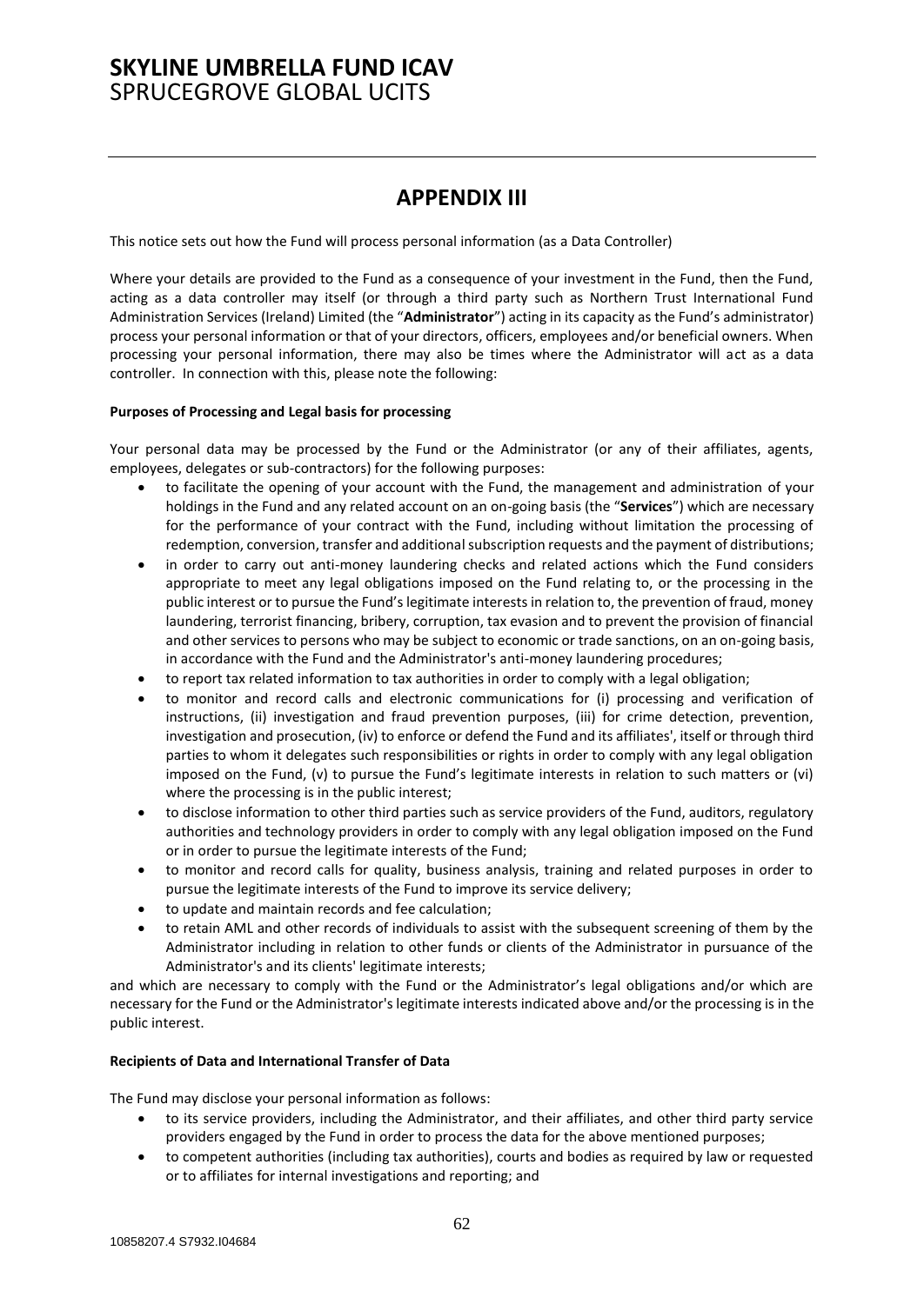## **APPENDIX III**

<span id="page-61-0"></span>This notice sets out how the Fund will process personal information (as a Data Controller)

Where your details are provided to the Fund as a consequence of your investment in the Fund, then the Fund, acting as a data controller may itself (or through a third party such as Northern Trust International Fund Administration Services (Ireland) Limited (the "**Administrator**") acting in its capacity as the Fund's administrator) process your personal information or that of your directors, officers, employees and/or beneficial owners. When processing your personal information, there may also be times where the Administrator will act as a data controller. In connection with this, please note the following:

#### **Purposes of Processing and Legal basis for processing**

Your personal data may be processed by the Fund or the Administrator (or any of their affiliates, agents, employees, delegates or sub-contractors) for the following purposes:

- to facilitate the opening of your account with the Fund, the management and administration of your holdings in the Fund and any related account on an on-going basis (the "**Services**") which are necessary for the performance of your contract with the Fund, including without limitation the processing of redemption, conversion, transfer and additional subscription requests and the payment of distributions;
- in order to carry out anti-money laundering checks and related actions which the Fund considers appropriate to meet any legal obligations imposed on the Fund relating to, or the processing in the public interest or to pursue the Fund's legitimate interests in relation to, the prevention of fraud, money laundering, terrorist financing, bribery, corruption, tax evasion and to prevent the provision of financial and other services to persons who may be subject to economic or trade sanctions, on an on-going basis, in accordance with the Fund and the Administrator's anti-money laundering procedures;
- to report tax related information to tax authorities in order to comply with a legal obligation;
- to monitor and record calls and electronic communications for (i) processing and verification of instructions, (ii) investigation and fraud prevention purposes, (iii) for crime detection, prevention, investigation and prosecution, (iv) to enforce or defend the Fund and its affiliates', itself or through third parties to whom it delegates such responsibilities or rights in order to comply with any legal obligation imposed on the Fund, (v) to pursue the Fund's legitimate interests in relation to such matters or (vi) where the processing is in the public interest;
- to disclose information to other third parties such as service providers of the Fund, auditors, regulatory authorities and technology providers in order to comply with any legal obligation imposed on the Fund or in order to pursue the legitimate interests of the Fund;
- to monitor and record calls for quality, business analysis, training and related purposes in order to pursue the legitimate interests of the Fund to improve its service delivery;
- to update and maintain records and fee calculation;
- to retain AML and other records of individuals to assist with the subsequent screening of them by the Administrator including in relation to other funds or clients of the Administrator in pursuance of the Administrator's and its clients' legitimate interests;

and which are necessary to comply with the Fund or the Administrator's legal obligations and/or which are necessary for the Fund or the Administrator's legitimate interests indicated above and/or the processing is in the public interest.

#### **Recipients of Data and International Transfer of Data**

The Fund may disclose your personal information as follows:

- to its service providers, including the Administrator, and their affiliates, and other third party service providers engaged by the Fund in order to process the data for the above mentioned purposes;
- to competent authorities (including tax authorities), courts and bodies as required by law or requested or to affiliates for internal investigations and reporting; and